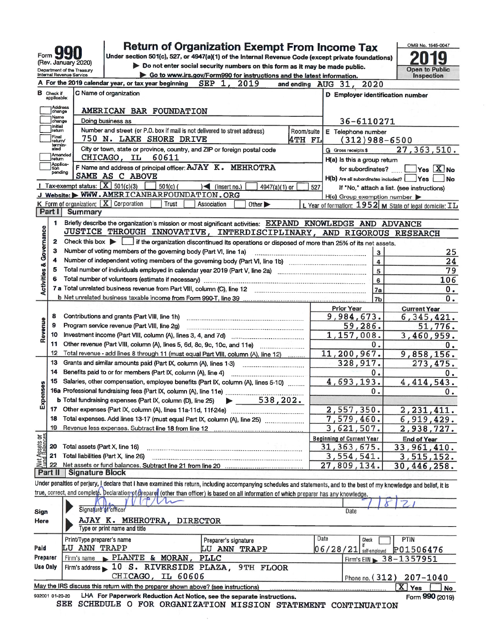| Form                                                  |
|-------------------------------------------------------|
| (Rev. January 2020)                                   |
| Department of the Treasur<br>Internal Devenue Centine |

932001 01-20-20

# **Return of Organization Exempt From Income Tax**

Under section 501(c), 527, or 4947(a)(1) of the Internal Revenue Code (except private foundations) Do not enter social security numbers on this form as it may be made public.

Go to www.irs.gov/Form990 for instructions and the latest information

OMB No. 1545-0047 g Z **Open to Public** 

Form 990 (2019)

|                                    |                   | A For the 2019 calendar year, or tax year beginning<br><b>SEP</b><br>1.                                                                                                    | 2019                                                         | and ending AUG 31, | 2020                                    |                                                         |
|------------------------------------|-------------------|----------------------------------------------------------------------------------------------------------------------------------------------------------------------------|--------------------------------------------------------------|--------------------|-----------------------------------------|---------------------------------------------------------|
| в                                  | Check if          | C Name of organization                                                                                                                                                     |                                                              |                    | <b>D</b> Employer identification number |                                                         |
|                                    | applicable:       |                                                                                                                                                                            |                                                              |                    |                                         |                                                         |
|                                    | Address<br>change | AMERICAN BAR FOUNDATION                                                                                                                                                    |                                                              |                    |                                         |                                                         |
|                                    | Name<br>change    | Doing business as                                                                                                                                                          |                                                              |                    | 36-6110271                              |                                                         |
|                                    | Initial<br>return | Number and street (or P.O. box if mail is not delivered to street address)                                                                                                 |                                                              | Room/suite         | E Telephone number                      |                                                         |
|                                    | Final<br>return⁄  | 750 N. LAKE SHORE DRIVE                                                                                                                                                    |                                                              | 4TH FL             | $(312)988 - 6500$                       |                                                         |
|                                    | termin-<br>ated   | City or town, state or province, country, and ZIP or foreign postal code                                                                                                   |                                                              |                    | G Gross receipts \$                     | 27, 363, 510.                                           |
|                                    | Amended<br>return | 60611<br>CHICAGO, IL                                                                                                                                                       |                                                              |                    | H(a) Is this a group return             |                                                         |
|                                    | Applica-<br>tion  | F Name and address of principal officer: AJAY K. MEHROTRA                                                                                                                  |                                                              |                    | for subordinates?                       | $\overline{\mathsf{Yes}}$ $\overline{\mathbf{X}}$ No    |
|                                    | pending           | SAME AS C ABOVE                                                                                                                                                            |                                                              |                    |                                         |                                                         |
|                                    |                   | Tax-exempt status: $\boxed{\mathbf{X}}$ 501(c)(3)<br>$501(c)$ (<br>$\leq$ (insert no.)                                                                                     | 4947(a)(1) or                                                | 527                | H(b) Are all subordinates included?     | ]Yes<br><b>No</b>                                       |
|                                    |                   | J Website: WWW.AMERICANBARFOUNDATION.ORG                                                                                                                                   |                                                              |                    |                                         | If "No," attach a list. (see instructions)              |
|                                    |                   | <b>K</b> Form of organization: $\mathbf{X}$ Corporation<br>Trust<br>Association                                                                                            | Other $\blacktriangleright$                                  |                    | $H(c)$ Group exemption number           | L Year of formation: 1952 M State of legal domicile: IL |
|                                    | Part I            | <b>Summary</b>                                                                                                                                                             |                                                              |                    |                                         |                                                         |
|                                    | 1.                | Briefly describe the organization's mission or most significant activities: EXPAND KNOWLEDGE AND ADVANCE                                                                   |                                                              |                    |                                         |                                                         |
|                                    |                   | JUSTICE THROUGH INNOVATIVE, INTERDISCIPLINARY, AND RIGOROUS RESEARCH                                                                                                       |                                                              |                    |                                         |                                                         |
| <b>Activities &amp; Governance</b> | 2                 | Check this box in it the organization discontinued its operations or disposed of more than 25% of its net assets.                                                          |                                                              |                    |                                         |                                                         |
|                                    | з                 | Number of voting members of the governing body (Part VI, line 1a)                                                                                                          |                                                              |                    |                                         |                                                         |
|                                    | 4                 |                                                                                                                                                                            |                                                              |                    | $\mathbf{3}$                            | 25                                                      |
|                                    |                   |                                                                                                                                                                            |                                                              |                    | $\overline{\mathbf{4}}$                 | 24                                                      |
|                                    | 5<br>6            |                                                                                                                                                                            |                                                              |                    | 5                                       | 79                                                      |
|                                    |                   |                                                                                                                                                                            |                                                              |                    | 6                                       | 106                                                     |
|                                    |                   |                                                                                                                                                                            |                                                              |                    | 7a                                      | $\mathbf{0}$ .                                          |
|                                    |                   |                                                                                                                                                                            |                                                              |                    | 7b                                      | 0.                                                      |
|                                    |                   |                                                                                                                                                                            |                                                              |                    | <b>Prior Year</b>                       | <b>Current Year</b>                                     |
|                                    | 8                 | Contributions and grants (Part VIII, line 1h)                                                                                                                              |                                                              |                    | 9,984,673.                              | 6, 345, 421.                                            |
| Revenue                            | 9                 | Program service revenue (Part VIII, line 2g)                                                                                                                               |                                                              |                    | 59,286.                                 | 51,776.                                                 |
|                                    | 10                |                                                                                                                                                                            |                                                              |                    | 1,157,008.                              | 3,460,959.                                              |
|                                    | 11                |                                                                                                                                                                            |                                                              |                    | ο.                                      | 0.                                                      |
|                                    | 12                | Total revenue - add lines 8 through 11 (must equal Part VIII, column (A), line 12)                                                                                         |                                                              |                    | 11,200,967.                             | 9,858,156.                                              |
|                                    | 13                | Grants and similar amounts paid (Part IX, column (A), lines 1-3)                                                                                                           |                                                              |                    | 328,917.                                | 273,475.                                                |
|                                    | 14                | Benefits paid to or for members (Part IX, column (A), line 4)                                                                                                              |                                                              |                    | 0.                                      | 0.                                                      |
|                                    | 15                | Salaries, other compensation, employee benefits (Part IX, column (A), lines 5-10)                                                                                          |                                                              |                    | 4,693,193.                              | 4, 414, 543.                                            |
| Expenses                           |                   | 16a Professional fundraising fees (Part IX, column (A), line 11e)                                                                                                          |                                                              |                    | О.                                      | 0.                                                      |
|                                    |                   | b Total fundraising expenses (Part IX, column (D), line 25)                                                                                                                | 538, 202.<br>$\blacktriangleright$ and $\blacktriangleright$ |                    |                                         |                                                         |
|                                    |                   |                                                                                                                                                                            |                                                              |                    | 2,557,350.                              | 2, 231, 411.                                            |
|                                    | 18                | Total expenses. Add lines 13-17 (must equal Part IX, column (A), line 25)                                                                                                  |                                                              |                    | 7,579,460.                              | 6,919,429.                                              |
|                                    | 19                |                                                                                                                                                                            |                                                              |                    | 3,621,507.                              | 2,938,727.                                              |
| គន្ធ                               |                   |                                                                                                                                                                            |                                                              |                    | <b>Beginning of Current Year</b>        | <b>End of Year</b>                                      |
| Net Assets<br>Fund Balanc          | 20                | Total assets (Part X, line 16)                                                                                                                                             |                                                              |                    | 31, 363, 675.                           | 33,961,410.                                             |
|                                    | 21                | Total liabilities (Part X, line 26)                                                                                                                                        |                                                              |                    | 3,554,541.                              | 3, 515, 152.                                            |
|                                    | 22                |                                                                                                                                                                            |                                                              |                    | 27,809,134.                             | 30,446,258.                                             |
|                                    | Part II           | <b>Signature Block</b>                                                                                                                                                     |                                                              |                    |                                         |                                                         |
|                                    |                   | Under penalties of perjury, I declare that I have examined this return, including accompanying schedules and statements, and to the best of my knowledge and belief, it is |                                                              |                    |                                         |                                                         |
|                                    |                   | true, correct, and completé. Declaration of fireparet (other than officer) is based on all information of which preparer has any knowledge.                                |                                                              |                    |                                         |                                                         |
|                                    |                   | Signature of officer                                                                                                                                                       |                                                              |                    |                                         |                                                         |
| Sign                               |                   |                                                                                                                                                                            |                                                              |                    | Date                                    |                                                         |
| Here                               |                   | AJAY K. MEHROTRA,<br><b>DIRECTOR</b>                                                                                                                                       |                                                              |                    |                                         |                                                         |
|                                    |                   | Type or print name and title                                                                                                                                               |                                                              |                    |                                         |                                                         |
|                                    |                   | Print/Type preparer's name                                                                                                                                                 | Preparer's signature                                         |                    | Date<br>Check                           | <b>PTIN</b>                                             |
| Paid                               |                   | LU ANN TRAPP                                                                                                                                                               | <b>LU ANN TRAPP</b>                                          |                    | $06/28/21$ self-employed                | P01506476                                               |
| <b>Preparer</b>                    |                   | PLANTE & MORAN,<br>Firm's name<br><b>PLLC</b>                                                                                                                              |                                                              |                    |                                         | Firm's EIN > 38-1357951                                 |
| Use Only                           |                   | 10 S. RIVERSIDE PLAZA, 9TH FLOOR<br>Firm's address                                                                                                                         |                                                              |                    |                                         |                                                         |
|                                    |                   | CHICAGO,<br>IL 60606                                                                                                                                                       |                                                              |                    |                                         | Phone no. (312) 207-1040                                |
|                                    |                   | May the IRS discuss this return with the preparer shown above? (see instructions)                                                                                          |                                                              |                    |                                         | $\boxed{\mathbf{X}}$ Yes<br>No                          |

LHA For Paperwork Reduction Act Notice, see the separate instructions.

SEE SCHEDULE O FOR ORGANIZATION MISSION STATEMENT CONTINUATION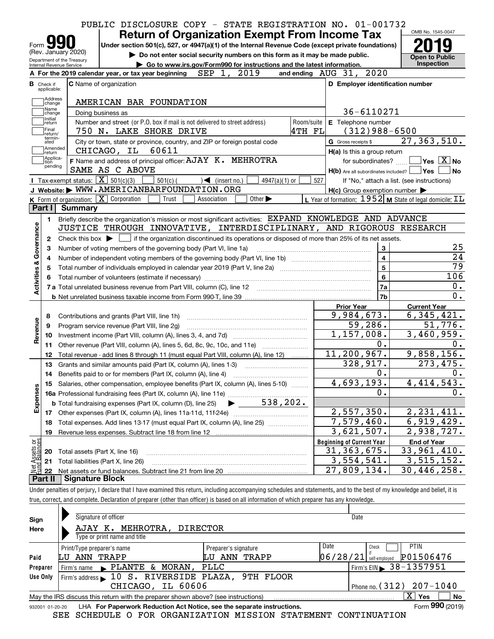|                                                                                        |                             |                                                                                                                                                          | PUBLIC DISCLOSURE COPY - STATE REGISTRATION NO. 01-001732 |                                                                                                                                                                                                                          |                                                                                                    |  |                            |  |                                                                                                                                                                                                                                                                                                                                                               |                 |                      |     |                     |                                                     | OMB No. 1545-0047                                           |                                                                            |
|----------------------------------------------------------------------------------------|-----------------------------|----------------------------------------------------------------------------------------------------------------------------------------------------------|-----------------------------------------------------------|--------------------------------------------------------------------------------------------------------------------------------------------------------------------------------------------------------------------------|----------------------------------------------------------------------------------------------------|--|----------------------------|--|---------------------------------------------------------------------------------------------------------------------------------------------------------------------------------------------------------------------------------------------------------------------------------------------------------------------------------------------------------------|-----------------|----------------------|-----|---------------------|-----------------------------------------------------|-------------------------------------------------------------|----------------------------------------------------------------------------|
|                                                                                        |                             |                                                                                                                                                          |                                                           |                                                                                                                                                                                                                          | <b>Return of Organization Exempt From Income Tax</b>                                               |  |                            |  |                                                                                                                                                                                                                                                                                                                                                               |                 |                      |     |                     |                                                     |                                                             |                                                                            |
| Form <b>M</b>                                                                          |                             | (Rev. January 2020)                                                                                                                                      |                                                           |                                                                                                                                                                                                                          | Under section 501(c), 527, or 4947(a)(1) of the Internal Revenue Code (except private foundations) |  |                            |  |                                                                                                                                                                                                                                                                                                                                                               |                 |                      |     |                     |                                                     |                                                             |                                                                            |
|                                                                                        |                             | Department of the Treasury                                                                                                                               |                                                           |                                                                                                                                                                                                                          | Do not enter social security numbers on this form as it may be made public.                        |  |                            |  |                                                                                                                                                                                                                                                                                                                                                               |                 |                      |     |                     |                                                     | <b>Open to Public</b>                                       |                                                                            |
|                                                                                        |                             | Internal Revenue Service                                                                                                                                 |                                                           |                                                                                                                                                                                                                          | Go to www.irs.gov/Form990 for instructions and the latest information.                             |  |                            |  |                                                                                                                                                                                                                                                                                                                                                               |                 |                      |     |                     |                                                     | Inspection                                                  |                                                                            |
|                                                                                        |                             | A For the 2019 calendar year, or tax year beginning                                                                                                      |                                                           |                                                                                                                                                                                                                          |                                                                                                    |  | SEP 1, 2019                |  |                                                                                                                                                                                                                                                                                                                                                               |                 |                      |     |                     | and ending AUG 31, 2020                             |                                                             |                                                                            |
| <b>B</b> Check if<br>applicable:                                                       |                             | C Name of organization                                                                                                                                   |                                                           |                                                                                                                                                                                                                          |                                                                                                    |  |                            |  |                                                                                                                                                                                                                                                                                                                                                               |                 |                      |     |                     | D Employer identification number                    |                                                             |                                                                            |
|                                                                                        | Address                     |                                                                                                                                                          |                                                           |                                                                                                                                                                                                                          |                                                                                                    |  |                            |  |                                                                                                                                                                                                                                                                                                                                                               |                 |                      |     |                     |                                                     |                                                             |                                                                            |
|                                                                                        | change<br>Name              |                                                                                                                                                          |                                                           |                                                                                                                                                                                                                          | AMERICAN BAR FOUNDATION                                                                            |  |                            |  |                                                                                                                                                                                                                                                                                                                                                               |                 |                      |     |                     |                                                     |                                                             |                                                                            |
| Initial                                                                                | change                      |                                                                                                                                                          | Doing business as                                         |                                                                                                                                                                                                                          |                                                                                                    |  |                            |  |                                                                                                                                                                                                                                                                                                                                                               |                 |                      |     |                     | 36-6110271                                          |                                                             |                                                                            |
| return<br>Final                                                                        |                             |                                                                                                                                                          |                                                           |                                                                                                                                                                                                                          | Number and street (or P.O. box if mail is not delivered to street address)                         |  |                            |  |                                                                                                                                                                                                                                                                                                                                                               |                 | Room/suite<br>4TH FL |     |                     | E Telephone number                                  |                                                             |                                                                            |
|                                                                                        | return/<br>termin-          |                                                                                                                                                          |                                                           |                                                                                                                                                                                                                          | 750 N. LAKE SHORE DRIVE                                                                            |  |                            |  |                                                                                                                                                                                                                                                                                                                                                               |                 |                      |     |                     | $(312)$ 988-6500                                    |                                                             |                                                                            |
| ated                                                                                   | Amended                     |                                                                                                                                                          |                                                           |                                                                                                                                                                                                                          | City or town, state or province, country, and ZIP or foreign postal code                           |  |                            |  |                                                                                                                                                                                                                                                                                                                                                               |                 |                      |     | G Gross receipts \$ |                                                     | 27, 363, 510.                                               |                                                                            |
|                                                                                        | return                      |                                                                                                                                                          | CHICAGO, IL                                               |                                                                                                                                                                                                                          | 60611                                                                                              |  |                            |  |                                                                                                                                                                                                                                                                                                                                                               |                 |                      |     |                     | $H(a)$ is this a group return                       |                                                             |                                                                            |
|                                                                                        | Applica-<br>tion<br>pending | F Name and address of principal officer: AJAY K. MEHROTRA                                                                                                |                                                           |                                                                                                                                                                                                                          |                                                                                                    |  |                            |  |                                                                                                                                                                                                                                                                                                                                                               |                 |                      |     |                     |                                                     | for subordinates? $\Box$ Yes $\boxed{\textbf{X}}$ No        |                                                                            |
|                                                                                        |                             | SAME AS C ABOVE                                                                                                                                          |                                                           |                                                                                                                                                                                                                          |                                                                                                    |  |                            |  |                                                                                                                                                                                                                                                                                                                                                               |                 |                      |     |                     |                                                     | H(b) Are all subordinates included?   Yes                   | ∣No                                                                        |
|                                                                                        |                             | Tax-exempt status: $X \overline{X}$ 501(c)(3)                                                                                                            |                                                           |                                                                                                                                                                                                                          | $501(c)$ (                                                                                         |  | $\rightarrow$ (insert no.) |  |                                                                                                                                                                                                                                                                                                                                                               | $4947(a)(1)$ or |                      | 527 |                     |                                                     | If "No," attach a list. (see instructions)                  |                                                                            |
|                                                                                        |                             | J Website: WWW.AMERICANBARFOUNDATION.ORG                                                                                                                 |                                                           |                                                                                                                                                                                                                          |                                                                                                    |  |                            |  |                                                                                                                                                                                                                                                                                                                                                               |                 |                      |     |                     | $H(c)$ Group exemption number $\blacktriangleright$ |                                                             |                                                                            |
|                                                                                        |                             | K Form of organization: X Corporation<br>Part I Summary                                                                                                  |                                                           |                                                                                                                                                                                                                          | Trust                                                                                              |  | Association                |  | Other $\blacktriangleright$                                                                                                                                                                                                                                                                                                                                   |                 |                      |     |                     |                                                     | L Year of formation: $1952$ M State of legal domicile: $IL$ |                                                                            |
|                                                                                        |                             |                                                                                                                                                          |                                                           |                                                                                                                                                                                                                          |                                                                                                    |  |                            |  |                                                                                                                                                                                                                                                                                                                                                               |                 |                      |     |                     |                                                     |                                                             |                                                                            |
| 1.                                                                                     |                             | Briefly describe the organization's mission or most significant activities: EXPAND KNOWLEDGE AND ADVANCE                                                 |                                                           |                                                                                                                                                                                                                          |                                                                                                    |  |                            |  |                                                                                                                                                                                                                                                                                                                                                               |                 |                      |     |                     |                                                     |                                                             |                                                                            |
|                                                                                        |                             |                                                                                                                                                          |                                                           |                                                                                                                                                                                                                          |                                                                                                    |  |                            |  |                                                                                                                                                                                                                                                                                                                                                               |                 |                      |     |                     |                                                     |                                                             |                                                                            |
|                                                                                        |                             |                                                                                                                                                          |                                                           | JUSTICE THROUGH INNOVATIVE, INTERDISCIPLINARY, AND RIGOROUS RESEARCH<br>Check this box $\blacktriangleright$ $\Box$ if the organization discontinued its operations or disposed of more than 25% of its net assets.<br>2 |                                                                                                    |  |                            |  |                                                                                                                                                                                                                                                                                                                                                               |                 |                      |     |                     |                                                     |                                                             |                                                                            |
| 3                                                                                      |                             |                                                                                                                                                          |                                                           |                                                                                                                                                                                                                          |                                                                                                    |  |                            |  |                                                                                                                                                                                                                                                                                                                                                               |                 |                      |     |                     |                                                     |                                                             |                                                                            |
|                                                                                        |                             |                                                                                                                                                          |                                                           |                                                                                                                                                                                                                          | Number of voting members of the governing body (Part VI, line 1a)                                  |  |                            |  |                                                                                                                                                                                                                                                                                                                                                               |                 |                      |     |                     | 3                                                   |                                                             |                                                                            |
| 4                                                                                      |                             |                                                                                                                                                          |                                                           |                                                                                                                                                                                                                          |                                                                                                    |  |                            |  |                                                                                                                                                                                                                                                                                                                                                               |                 |                      |     |                     | $\overline{\mathbf{4}}$                             |                                                             |                                                                            |
| 5                                                                                      |                             | Total number of individuals employed in calendar year 2019 (Part V, line 2a) manufacture of individuals employed in calendar year 2019 (Part V, line 2a) |                                                           |                                                                                                                                                                                                                          |                                                                                                    |  |                            |  |                                                                                                                                                                                                                                                                                                                                                               |                 |                      |     |                     | $\overline{5}$                                      |                                                             |                                                                            |
|                                                                                        |                             |                                                                                                                                                          |                                                           |                                                                                                                                                                                                                          |                                                                                                    |  |                            |  |                                                                                                                                                                                                                                                                                                                                                               |                 |                      |     |                     | 6                                                   |                                                             |                                                                            |
|                                                                                        |                             |                                                                                                                                                          |                                                           |                                                                                                                                                                                                                          |                                                                                                    |  |                            |  |                                                                                                                                                                                                                                                                                                                                                               |                 |                      |     |                     | 7a                                                  |                                                             |                                                                            |
|                                                                                        |                             |                                                                                                                                                          |                                                           |                                                                                                                                                                                                                          |                                                                                                    |  |                            |  |                                                                                                                                                                                                                                                                                                                                                               |                 |                      |     |                     | 7 <sub>b</sub>                                      |                                                             |                                                                            |
|                                                                                        |                             |                                                                                                                                                          |                                                           |                                                                                                                                                                                                                          |                                                                                                    |  |                            |  |                                                                                                                                                                                                                                                                                                                                                               |                 |                      |     | <b>Prior Year</b>   |                                                     | <b>Current Year</b>                                         |                                                                            |
| 8                                                                                      |                             |                                                                                                                                                          |                                                           |                                                                                                                                                                                                                          |                                                                                                    |  |                            |  |                                                                                                                                                                                                                                                                                                                                                               |                 |                      |     |                     | 9,984,673.                                          | 6,345,421.                                                  |                                                                            |
| 9                                                                                      |                             | Program service revenue (Part VIII, line 2g)                                                                                                             |                                                           |                                                                                                                                                                                                                          |                                                                                                    |  |                            |  |                                                                                                                                                                                                                                                                                                                                                               |                 |                      |     |                     | 59,286.                                             |                                                             |                                                                            |
| 10                                                                                     |                             |                                                                                                                                                          |                                                           |                                                                                                                                                                                                                          |                                                                                                    |  |                            |  |                                                                                                                                                                                                                                                                                                                                                               |                 |                      |     |                     | 1,157,008.                                          | 3,460,959.                                                  |                                                                            |
| 11                                                                                     |                             | Other revenue (Part VIII, column (A), lines 5, 6d, 8c, 9c, 10c, and 11e)                                                                                 |                                                           |                                                                                                                                                                                                                          |                                                                                                    |  |                            |  |                                                                                                                                                                                                                                                                                                                                                               |                 |                      |     |                     | 0.                                                  |                                                             |                                                                            |
| 12                                                                                     |                             | Total revenue - add lines 8 through 11 (must equal Part VIII, column (A), line 12)                                                                       |                                                           |                                                                                                                                                                                                                          |                                                                                                    |  |                            |  |                                                                                                                                                                                                                                                                                                                                                               |                 |                      |     |                     | 11, 200, 967.                                       | 9,858,156.                                                  |                                                                            |
| 13                                                                                     |                             | Grants and similar amounts paid (Part IX, column (A), lines 1-3)                                                                                         |                                                           |                                                                                                                                                                                                                          |                                                                                                    |  |                            |  |                                                                                                                                                                                                                                                                                                                                                               |                 |                      |     |                     | 328, 917.                                           |                                                             |                                                                            |
|                                                                                        |                             |                                                                                                                                                          |                                                           |                                                                                                                                                                                                                          |                                                                                                    |  |                            |  |                                                                                                                                                                                                                                                                                                                                                               |                 |                      |     |                     | 0.                                                  |                                                             |                                                                            |
| 15                                                                                     |                             | Salaries, other compensation, employee benefits (Part IX, column (A), lines 5-10)                                                                        |                                                           |                                                                                                                                                                                                                          |                                                                                                    |  |                            |  |                                                                                                                                                                                                                                                                                                                                                               |                 |                      |     |                     | 4,693,193.                                          | 4,414,543.                                                  |                                                                            |
|                                                                                        |                             |                                                                                                                                                          |                                                           |                                                                                                                                                                                                                          |                                                                                                    |  |                            |  |                                                                                                                                                                                                                                                                                                                                                               |                 |                      |     |                     | 0.                                                  |                                                             |                                                                            |
|                                                                                        |                             | <b>b</b> Total fundraising expenses (Part IX, column (D), line 25)                                                                                       |                                                           |                                                                                                                                                                                                                          |                                                                                                    |  |                            |  |                                                                                                                                                                                                                                                                                                                                                               | 538,202.        |                      |     |                     |                                                     |                                                             |                                                                            |
| 17                                                                                     |                             | Other expenses (Part IX, column (A), lines 11a-11d, 11f-24e)                                                                                             |                                                           |                                                                                                                                                                                                                          |                                                                                                    |  |                            |  | $\mathcal{L} = \{1, 2, \ldots, 2, \ldots, 2, \ldots, 2, \ldots, 2, \ldots, 2, \ldots, 2, \ldots, 2, \ldots, 2, \ldots, 2, \ldots, 2, \ldots, 2, \ldots, 2, \ldots, 2, \ldots, 2, \ldots, 2, \ldots, 2, \ldots, 2, \ldots, 2, \ldots, 2, \ldots, 2, \ldots, 2, \ldots, 2, \ldots, 2, \ldots, 2, \ldots, 2, \ldots, 2, \ldots, 2, \ldots, 2, \ldots, 2, \ldots$ |                 |                      |     |                     | 2,557,350.                                          | 2, 231, 411.                                                |                                                                            |
| 18                                                                                     |                             | Total expenses. Add lines 13-17 (must equal Part IX, column (A), line 25) [11, 11, 1201, 1301, 1301, 1301, 130                                           |                                                           |                                                                                                                                                                                                                          |                                                                                                    |  |                            |  |                                                                                                                                                                                                                                                                                                                                                               |                 |                      |     |                     | 7,579,460.                                          | 6,919,429.                                                  |                                                                            |
| 19                                                                                     |                             | Revenue less expenses. Subtract line 18 from line 12                                                                                                     |                                                           |                                                                                                                                                                                                                          |                                                                                                    |  |                            |  |                                                                                                                                                                                                                                                                                                                                                               |                 |                      |     |                     | 3,621,507.                                          | 2,938,727.                                                  |                                                                            |
|                                                                                        |                             |                                                                                                                                                          |                                                           |                                                                                                                                                                                                                          |                                                                                                    |  |                            |  |                                                                                                                                                                                                                                                                                                                                                               |                 |                      |     |                     | <b>Beginning of Current Year</b>                    | <b>End of Year</b>                                          |                                                                            |
| 20                                                                                     |                             | Total assets (Part X, line 16)                                                                                                                           |                                                           |                                                                                                                                                                                                                          |                                                                                                    |  |                            |  |                                                                                                                                                                                                                                                                                                                                                               |                 |                      |     |                     | 31, 363, 675.                                       | 33,961,410.                                                 |                                                                            |
| 21                                                                                     |                             | Total liabilities (Part X, line 26)                                                                                                                      |                                                           |                                                                                                                                                                                                                          |                                                                                                    |  |                            |  |                                                                                                                                                                                                                                                                                                                                                               |                 |                      |     |                     | 3,554,541.                                          | 3,515,152.                                                  | 25<br>24<br>79<br>106<br>0.<br>0.<br>51,776.<br>0.<br>273,475.<br>0.<br>0. |
| Activities & Governance<br>Revenue<br>Expenses<br>Net Assets or<br>Fund Balances<br>22 |                             | <b>Signature Block</b>                                                                                                                                   |                                                           |                                                                                                                                                                                                                          |                                                                                                    |  |                            |  |                                                                                                                                                                                                                                                                                                                                                               |                 |                      |     |                     | 27,809,134.                                         | 30, 446, 258.                                               |                                                                            |

| true<br>rac.<br>ւսեւ | anc | .<br><br>all<br>complete<br>anv<br>based<br>Declaration<br>than<br>, officer<br>ntormativ<br>which<br>preparer<br>eparer<br>has<br>.other<br>01<br>.nr<br>v | knowledge.                              |
|----------------------|-----|-------------------------------------------------------------------------------------------------------------------------------------------------------------|-----------------------------------------|
|                      |     |                                                                                                                                                             |                                         |
| Sian                 |     | המו<br>опісе<br>$^{\prime\prime}$                                                                                                                           | Date<br>the contract of the contract of |

| Sign            | Signature of officer                                                              |                      | Date                                     |
|-----------------|-----------------------------------------------------------------------------------|----------------------|------------------------------------------|
| Here            | MEHROTRA,<br>DIRECTOR<br>AJAY K.                                                  |                      |                                          |
|                 | Type or print name and title                                                      |                      |                                          |
|                 | Print/Type preparer's name                                                        | Preparer's signature | Date<br><b>PTIN</b><br>Check             |
| Paid            | ANN TRAPP<br>LU                                                                   | ANN<br>TRAPP<br>LU   | P01506476<br> 06/28/21 <br>self-emploved |
| Preparer        | Firm's name $\blacktriangleright$ PLANTE & MORAN,                                 | PLLC                 | Firm's EIN 38-1357951                    |
| Use Only        | Firm's address 10 S. RIVERSIDE PLAZA, 9TH FLOOR                                   |                      |                                          |
|                 | IL 60606<br>CHICAGO,                                                              |                      | Phone no. $(312)$ 207-1040               |
|                 | May the IRS discuss this return with the preparer shown above? (see instructions) |                      | $\mathbf{X}$<br>No<br>Yes                |
| 932001 01-20-20 | LHA For Paperwork Reduction Act Notice, see the separate instructions.            |                      | Form 990 (2019)                          |

SEE SCHEDULE O FOR ORGANIZATION MISSION STATEMENT CONTINUATION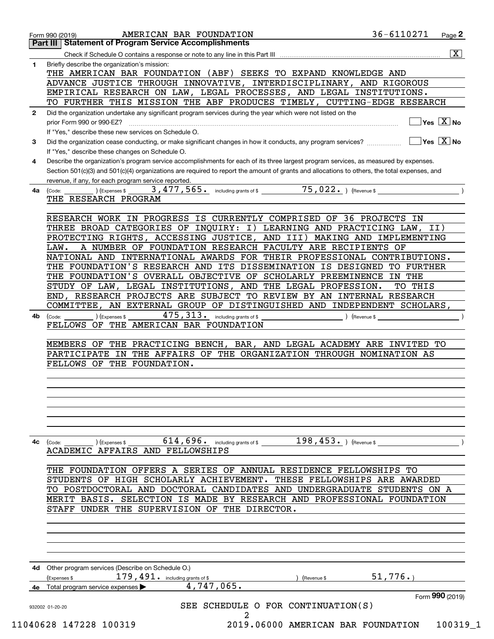|              | 36-6110271<br>AMERICAN BAR FOUNDATION<br>Page 2<br>Form 990 (2019)<br>Part III   Statement of Program Service Accomplishments                                                                                             |
|--------------|---------------------------------------------------------------------------------------------------------------------------------------------------------------------------------------------------------------------------|
|              | $\overline{\mathbf{x}}$                                                                                                                                                                                                   |
| 1            | Briefly describe the organization's mission:<br>THE AMERICAN BAR FOUNDATION (ABF) SEEKS TO EXPAND KNOWLEDGE AND                                                                                                           |
|              | ADVANCE JUSTICE THROUGH INNOVATIVE, INTERDISCIPLINARY, AND RIGOROUS                                                                                                                                                       |
|              | EMPIRICAL RESEARCH ON LAW, LEGAL PROCESSES, AND LEGAL INSTITUTIONS.                                                                                                                                                       |
|              | TO FURTHER THIS MISSION THE ABF PRODUCES TIMELY, CUTTING-EDGE RESEARCH                                                                                                                                                    |
| $\mathbf{2}$ | Did the organization undertake any significant program services during the year which were not listed on the<br>$Yes \ \boxed{X}$ No<br>prior Form 990 or 990-EZ?                                                         |
|              | If "Yes," describe these new services on Schedule O.                                                                                                                                                                      |
| 3            | $\overline{\mathsf{Yes} \mathrel{\;\; X} \mathsf{No}}$<br>Did the organization cease conducting, or make significant changes in how it conducts, any program services?<br>If "Yes," describe these changes on Schedule O. |
| 4            | Describe the organization's program service accomplishments for each of its three largest program services, as measured by expenses.                                                                                      |
|              | Section 501(c)(3) and 501(c)(4) organizations are required to report the amount of grants and allocations to others, the total expenses, and<br>revenue, if any, for each program service reported.                       |
| 4a           | $\overline{75,022.})$ (Revenue \$<br>3,477,565. including grants of \$<br>) (Expenses \$<br>(Code:                                                                                                                        |
|              | THE RESEARCH PROGRAM                                                                                                                                                                                                      |
|              |                                                                                                                                                                                                                           |
|              | RESEARCH WORK IN PROGRESS IS CURRENTLY COMPRISED OF 36 PROJECTS IN                                                                                                                                                        |
|              | THREE BROAD CATEGORIES OF INQUIRY: I) LEARNING AND PRACTICING LAW, II)                                                                                                                                                    |
|              | PROTECTING RIGHTS, ACCESSING JUSTICE, AND III) MAKING AND IMPLEMENTING                                                                                                                                                    |
|              | A NUMBER OF FOUNDATION RESEARCH FACULTY ARE RECIPIENTS OF<br>LAW.                                                                                                                                                         |
|              | NATIONAL AND INTERNATIONAL AWARDS FOR THEIR PROFESSIONAL CONTRIBUTIONS.                                                                                                                                                   |
|              | THE FOUNDATION'S RESEARCH AND ITS DISSEMINATION IS DESIGNED TO FURTHER                                                                                                                                                    |
|              | THE FOUNDATION'S OVERALL OBJECTIVE OF SCHOLARLY PREEMINENCE IN THE                                                                                                                                                        |
|              | STUDY OF LAW, LEGAL INSTITUTIONS, AND THE LEGAL PROFESSION.<br>TO THIS                                                                                                                                                    |
|              | END, RESEARCH PROJECTS ARE SUBJECT TO REVIEW BY AN INTERNAL RESEARCH                                                                                                                                                      |
|              | COMMITTEE, AN EXTERNAL GROUP OF DISTINGUISHED AND INDEPENDENT SCHOLARS,                                                                                                                                                   |
|              | $475, 313$ . including grants of \$                                                                                                                                                                                       |
| 4b.          | ) (Expenses \$<br>(Code:<br>Revenue \$<br>FELLOWS OF THE AMERICAN BAR FOUNDATION                                                                                                                                          |
|              | MEMBERS OF THE PRACTICING BENCH, BAR, AND LEGAL ACADEMY ARE INVITED TO<br>PARTICIPATE IN THE AFFAIRS OF THE ORGANIZATION THROUGH NOMINATION AS<br>FELLOWS OF THE FOUNDATION.                                              |
|              |                                                                                                                                                                                                                           |
| 4с           | $614, 696$ . including grants of \$ 198, 453. (Revenue \$<br>(Expenses \$<br>(Code:<br>ACADEMIC AFFAIRS AND FELLOWSHIPS                                                                                                   |
|              | THE FOUNDATION OFFERS A SERIES OF ANNUAL RESIDENCE FELLOWSHIPS TO                                                                                                                                                         |
|              |                                                                                                                                                                                                                           |
|              | STUDENTS OF HIGH SCHOLARLY ACHIEVEMENT. THESE FELLOWSHIPS ARE AWARDED                                                                                                                                                     |
|              | TO POSTDOCTORAL AND DOCTORAL CANDIDATES AND UNDERGRADUATE STUDENTS ON A                                                                                                                                                   |
|              | MERIT BASIS. SELECTION IS MADE BY RESEARCH AND PROFESSIONAL FOUNDATION<br>STAFF UNDER THE SUPERVISION OF THE DIRECTOR.                                                                                                    |
|              |                                                                                                                                                                                                                           |
|              | Other program services (Describe on Schedule O.)<br>51,776.<br>$179$ , $491$ . including grants of \$<br>(Expenses \$<br>(Revenue \$                                                                                      |
|              | 4,747,065.<br>Total program service expenses                                                                                                                                                                              |
|              | Form 990 (2019)<br>SEE SCHEDULE O FOR CONTINUATION(S)<br>932002 01-20-20                                                                                                                                                  |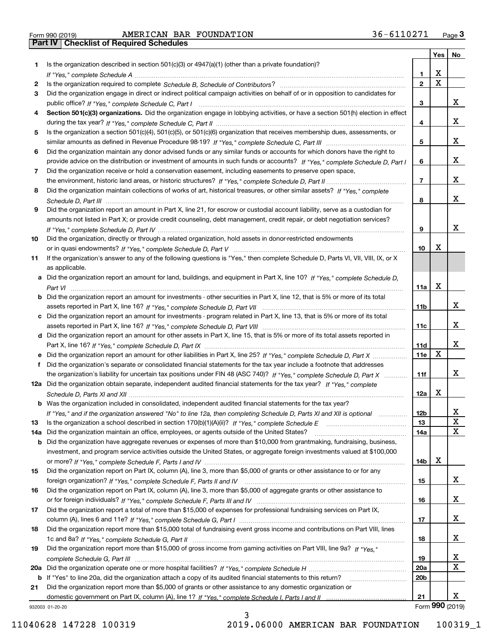| Form 990 (2019) |  |  |
|-----------------|--|--|

|     |                                                                                                                                       |                 | Yes                     | No              |
|-----|---------------------------------------------------------------------------------------------------------------------------------------|-----------------|-------------------------|-----------------|
| 1.  | Is the organization described in section $501(c)(3)$ or $4947(a)(1)$ (other than a private foundation)?                               |                 |                         |                 |
|     |                                                                                                                                       | 1               | X                       |                 |
| 2   |                                                                                                                                       | $\overline{2}$  | $\overline{\mathbf{x}}$ |                 |
| 3   | Did the organization engage in direct or indirect political campaign activities on behalf of or in opposition to candidates for       |                 |                         |                 |
|     |                                                                                                                                       | 3               |                         | x               |
| 4   | Section 501(c)(3) organizations. Did the organization engage in lobbying activities, or have a section 501(h) election in effect      |                 |                         |                 |
|     |                                                                                                                                       | 4               |                         | x               |
| 5   | Is the organization a section 501(c)(4), 501(c)(5), or 501(c)(6) organization that receives membership dues, assessments, or          |                 |                         |                 |
|     |                                                                                                                                       | 5               |                         | x               |
| 6   | Did the organization maintain any donor advised funds or any similar funds or accounts for which donors have the right to             |                 |                         |                 |
|     | provide advice on the distribution or investment of amounts in such funds or accounts? If "Yes," complete Schedule D, Part I          | 6               |                         | х               |
| 7   | Did the organization receive or hold a conservation easement, including easements to preserve open space,                             |                 |                         |                 |
|     |                                                                                                                                       | $\overline{7}$  |                         | х               |
| 8   | Did the organization maintain collections of works of art, historical treasures, or other similar assets? If "Yes," complete          |                 |                         |                 |
|     |                                                                                                                                       | 8               |                         | X               |
| 9   | Did the organization report an amount in Part X, line 21, for escrow or custodial account liability, serve as a custodian for         |                 |                         |                 |
|     | amounts not listed in Part X; or provide credit counseling, debt management, credit repair, or debt negotiation services?             |                 |                         |                 |
|     |                                                                                                                                       | 9               |                         | х               |
| 10  | Did the organization, directly or through a related organization, hold assets in donor-restricted endowments                          |                 |                         |                 |
|     |                                                                                                                                       | 10              | x                       |                 |
| 11  | If the organization's answer to any of the following questions is "Yes," then complete Schedule D, Parts VI, VII, VIII, IX, or X      |                 |                         |                 |
|     | as applicable.                                                                                                                        |                 |                         |                 |
|     | a Did the organization report an amount for land, buildings, and equipment in Part X, line 10? If "Yes." complete Schedule D.         |                 | X                       |                 |
|     |                                                                                                                                       | 11a             |                         |                 |
|     | <b>b</b> Did the organization report an amount for investments - other securities in Part X, line 12, that is 5% or more of its total | 11 <sub>b</sub> |                         | х               |
|     | Did the organization report an amount for investments - program related in Part X, line 13, that is 5% or more of its total           |                 |                         |                 |
|     |                                                                                                                                       | 11c             |                         | х               |
|     | d Did the organization report an amount for other assets in Part X, line 15, that is 5% or more of its total assets reported in       |                 |                         |                 |
|     |                                                                                                                                       | 11d             |                         | х               |
|     | e Did the organization report an amount for other liabilities in Part X, line 25? If "Yes," complete Schedule D, Part X               | 11e             | X                       |                 |
| f   | Did the organization's separate or consolidated financial statements for the tax year include a footnote that addresses               |                 |                         |                 |
|     | the organization's liability for uncertain tax positions under FIN 48 (ASC 740)? If "Yes," complete Schedule D, Part X<br>.           | 11f             |                         | х               |
|     | 12a Did the organization obtain separate, independent audited financial statements for the tax year? If "Yes," complete               |                 |                         |                 |
|     |                                                                                                                                       | 12a             | х                       |                 |
|     | <b>b</b> Was the organization included in consolidated, independent audited financial statements for the tax year?                    |                 |                         |                 |
|     | If "Yes," and if the organization answered "No" to line 12a, then completing Schedule D, Parts XI and XII is optional                 | 12b             |                         | ▵               |
| 13  |                                                                                                                                       | 13              |                         | $\mathbf X$     |
| 14a | Did the organization maintain an office, employees, or agents outside of the United States?                                           | 14a             |                         | $\mathbf X$     |
|     | <b>b</b> Did the organization have aggregate revenues or expenses of more than \$10,000 from grantmaking, fundraising, business,      |                 |                         |                 |
|     | investment, and program service activities outside the United States, or aggregate foreign investments valued at \$100,000            |                 |                         |                 |
|     |                                                                                                                                       | 14b             | х                       |                 |
| 15  | Did the organization report on Part IX, column (A), line 3, more than \$5,000 of grants or other assistance to or for any             |                 |                         |                 |
|     |                                                                                                                                       | 15              |                         | x               |
| 16  | Did the organization report on Part IX, column (A), line 3, more than \$5,000 of aggregate grants or other assistance to              |                 |                         |                 |
|     |                                                                                                                                       | 16              |                         | х               |
| 17  | Did the organization report a total of more than \$15,000 of expenses for professional fundraising services on Part IX,               |                 |                         |                 |
|     |                                                                                                                                       | 17              |                         | x               |
| 18  | Did the organization report more than \$15,000 total of fundraising event gross income and contributions on Part VIII, lines          |                 |                         |                 |
|     |                                                                                                                                       | 18              |                         | x               |
| 19  | Did the organization report more than \$15,000 of gross income from gaming activities on Part VIII, line 9a? If "Yes."                |                 |                         |                 |
|     |                                                                                                                                       | 19              |                         | х               |
|     |                                                                                                                                       | <b>20a</b>      |                         | $\mathbf X$     |
|     | b If "Yes" to line 20a, did the organization attach a copy of its audited financial statements to this return?                        | 20 <sub>b</sub> |                         |                 |
| 21  | Did the organization report more than \$5,000 of grants or other assistance to any domestic organization or                           |                 |                         |                 |
|     |                                                                                                                                       | 21              |                         | х               |
|     | 932003 01-20-20                                                                                                                       |                 |                         | Form 990 (2019) |

932003 01-20-20

3 11040628 147228 100319 2019.06000 AMERICAN BAR FOUNDATION 100319\_1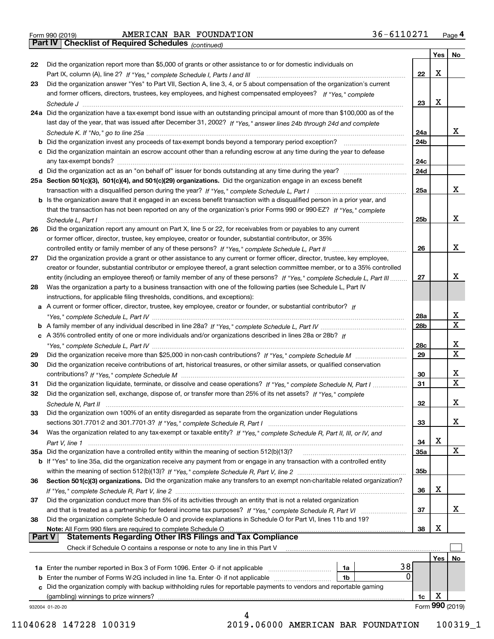| Form 990 (2019) |  |  |
|-----------------|--|--|

*(continued)*

|               |                                                                                                                              |                 | Yes | No.              |
|---------------|------------------------------------------------------------------------------------------------------------------------------|-----------------|-----|------------------|
| 22            | Did the organization report more than \$5,000 of grants or other assistance to or for domestic individuals on                |                 |     |                  |
|               |                                                                                                                              | 22              | Х   |                  |
| 23            | Did the organization answer "Yes" to Part VII, Section A, line 3, 4, or 5 about compensation of the organization's current   |                 |     |                  |
|               | and former officers, directors, trustees, key employees, and highest compensated employees? If "Yes," complete               |                 |     |                  |
|               |                                                                                                                              | 23              | Х   |                  |
|               | 24a Did the organization have a tax-exempt bond issue with an outstanding principal amount of more than \$100,000 as of the  |                 |     |                  |
|               | last day of the year, that was issued after December 31, 2002? If "Yes," answer lines 24b through 24d and complete           |                 |     |                  |
|               |                                                                                                                              | 24a             |     | x                |
|               | b Did the organization invest any proceeds of tax-exempt bonds beyond a temporary period exception?                          | 24b             |     |                  |
|               | c Did the organization maintain an escrow account other than a refunding escrow at any time during the year to defease       |                 |     |                  |
|               |                                                                                                                              | 24c             |     |                  |
|               |                                                                                                                              | 24d             |     |                  |
|               | 25a Section 501(c)(3), 501(c)(4), and 501(c)(29) organizations. Did the organization engage in an excess benefit             |                 |     |                  |
|               |                                                                                                                              | 25a             |     | х                |
|               | b Is the organization aware that it engaged in an excess benefit transaction with a disqualified person in a prior year, and |                 |     |                  |
|               | that the transaction has not been reported on any of the organization's prior Forms 990 or 990-EZ? If "Yes," complete        |                 |     |                  |
|               | Schedule L, Part I                                                                                                           | 25 <sub>b</sub> |     | х                |
| 26            | Did the organization report any amount on Part X, line 5 or 22, for receivables from or payables to any current              |                 |     |                  |
|               | or former officer, director, trustee, key employee, creator or founder, substantial contributor, or 35%                      |                 |     |                  |
|               |                                                                                                                              | 26              |     | х                |
| 27            | Did the organization provide a grant or other assistance to any current or former officer, director, trustee, key employee,  |                 |     |                  |
|               |                                                                                                                              |                 |     |                  |
|               | creator or founder, substantial contributor or employee thereof, a grant selection committee member, or to a 35% controlled  | 27              |     | х                |
|               | entity (including an employee thereof) or family member of any of these persons? If "Yes," complete Schedule L, Part III     |                 |     |                  |
| 28            | Was the organization a party to a business transaction with one of the following parties (see Schedule L, Part IV            |                 |     |                  |
|               | instructions, for applicable filing thresholds, conditions, and exceptions):                                                 |                 |     |                  |
|               | a A current or former officer, director, trustee, key employee, creator or founder, or substantial contributor? If           |                 |     |                  |
|               |                                                                                                                              | 28a             |     | x<br>$\mathbf X$ |
|               |                                                                                                                              | 28b             |     |                  |
|               | c A 35% controlled entity of one or more individuals and/or organizations described in lines 28a or 28b? If                  |                 |     |                  |
|               |                                                                                                                              | 28c             |     | x                |
| 29            |                                                                                                                              | 29              |     | $\mathbf X$      |
| 30            | Did the organization receive contributions of art, historical treasures, or other similar assets, or qualified conservation  |                 |     |                  |
|               |                                                                                                                              | 30              |     | x                |
| 31            | Did the organization liquidate, terminate, or dissolve and cease operations? If "Yes," complete Schedule N, Part I           | 31              |     | $\mathbf x$      |
| 32            | Did the organization sell, exchange, dispose of, or transfer more than 25% of its net assets? If "Yes," complete             |                 |     |                  |
|               | Schedule N, Part II                                                                                                          | 32              |     | x                |
| 33            | Did the organization own 100% of an entity disregarded as separate from the organization under Regulations                   |                 |     |                  |
|               |                                                                                                                              | 33              |     | х                |
| 34            | Was the organization related to any tax-exempt or taxable entity? If "Yes," complete Schedule R, Part II, III, or IV, and    |                 |     |                  |
|               |                                                                                                                              | 34              | х   |                  |
|               | 35a Did the organization have a controlled entity within the meaning of section 512(b)(13)?                                  | <b>35a</b>      |     | X                |
|               | b If "Yes" to line 35a, did the organization receive any payment from or engage in any transaction with a controlled entity  |                 |     |                  |
|               |                                                                                                                              | 35 <sub>b</sub> |     |                  |
| 36            | Section 501(c)(3) organizations. Did the organization make any transfers to an exempt non-charitable related organization?   |                 |     |                  |
|               |                                                                                                                              | 36              | х   |                  |
| 37            | Did the organization conduct more than 5% of its activities through an entity that is not a related organization             |                 |     |                  |
|               | and that is treated as a partnership for federal income tax purposes? If "Yes," complete Schedule R, Part VI                 | 37              |     | x                |
| 38            | Did the organization complete Schedule O and provide explanations in Schedule O for Part VI, lines 11b and 19?               |                 |     |                  |
|               | Note: All Form 990 filers are required to complete Schedule O                                                                | 38              | х   |                  |
| <b>Part V</b> | <b>Statements Regarding Other IRS Filings and Tax Compliance</b>                                                             |                 |     |                  |
|               | Check if Schedule O contains a response or note to any line in this Part V                                                   |                 |     |                  |
|               |                                                                                                                              |                 | Yes | No               |
|               | 38<br><b>1a</b> Enter the number reported in Box 3 of Form 1096. Enter -0- if not applicable <i>manumumumum</i><br>1a        |                 |     |                  |
|               | 0<br>1b                                                                                                                      |                 |     |                  |
|               | c Did the organization comply with backup withholding rules for reportable payments to vendors and reportable gaming         |                 |     |                  |
|               | (gambling) winnings to prize winners?                                                                                        | 1c              | х   |                  |
|               | 932004 01-20-20                                                                                                              |                 |     | Form 990 (2019)  |
|               | 4                                                                                                                            |                 |     |                  |

 <sup>11040628 147228 100319 2019.06000</sup> AMERICAN BAR FOUNDATION 100319\_1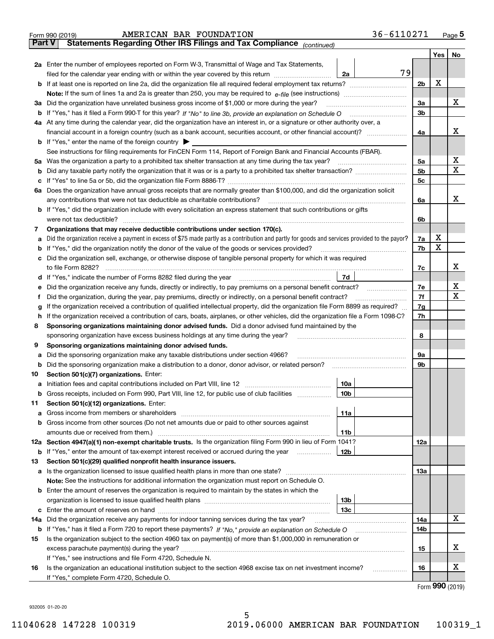|               | 36-6110271<br>AMERICAN BAR FOUNDATION<br>Form 990 (2019)                                                                                                                                  |                |         | $Page$ <sup>5</sup> |
|---------------|-------------------------------------------------------------------------------------------------------------------------------------------------------------------------------------------|----------------|---------|---------------------|
| <b>Part V</b> | Statements Regarding Other IRS Filings and Tax Compliance (continued)                                                                                                                     |                |         |                     |
|               |                                                                                                                                                                                           |                | Yes $ $ | No                  |
|               | 2a Enter the number of employees reported on Form W-3, Transmittal of Wage and Tax Statements,                                                                                            |                |         |                     |
|               | 79<br>filed for the calendar year ending with or within the year covered by this return [11] [11] filed for the calendar year ending with or within the year covered by this return<br>2a |                |         |                     |
|               |                                                                                                                                                                                           | 2 <sub>b</sub> | х       |                     |
|               |                                                                                                                                                                                           |                |         |                     |
|               | 3a Did the organization have unrelated business gross income of \$1,000 or more during the year?                                                                                          | За             |         | x                   |
|               |                                                                                                                                                                                           | 3 <sub>b</sub> |         |                     |
|               | 4a At any time during the calendar year, did the organization have an interest in, or a signature or other authority over, a                                                              |                |         |                     |
|               |                                                                                                                                                                                           | 4a             |         | х                   |
|               | <b>b</b> If "Yes," enter the name of the foreign country $\blacktriangleright$                                                                                                            |                |         |                     |
|               | See instructions for filing requirements for FinCEN Form 114, Report of Foreign Bank and Financial Accounts (FBAR).                                                                       |                |         |                     |
|               | 5a Was the organization a party to a prohibited tax shelter transaction at any time during the tax year?                                                                                  | 5a             |         | x                   |
|               |                                                                                                                                                                                           | 5 <sub>b</sub> |         | X                   |
|               |                                                                                                                                                                                           | 5c             |         |                     |
|               | 6a Does the organization have annual gross receipts that are normally greater than \$100,000, and did the organization solicit                                                            |                |         |                     |
|               | any contributions that were not tax deductible as charitable contributions?                                                                                                               | 6a             |         | х                   |
|               | <b>b</b> If "Yes," did the organization include with every solicitation an express statement that such contributions or gifts                                                             |                |         |                     |
|               | were not tax deductible?                                                                                                                                                                  | 6b             |         |                     |
| 7             | Organizations that may receive deductible contributions under section 170(c).                                                                                                             |                |         |                     |
| а             | Did the organization receive a payment in excess of \$75 made partly as a contribution and partly for goods and services provided to the payor?                                           | 7a             | х       |                     |
|               | <b>b</b> If "Yes," did the organization notify the donor of the value of the goods or services provided?                                                                                  | 7b             | Х       |                     |
|               | c Did the organization sell, exchange, or otherwise dispose of tangible personal property for which it was required                                                                       |                |         |                     |
|               |                                                                                                                                                                                           | 7c             |         | х                   |
|               | 7d                                                                                                                                                                                        |                |         |                     |
|               | e Did the organization receive any funds, directly or indirectly, to pay premiums on a personal benefit contract?                                                                         | 7e             |         | х                   |
| Ť.            | Did the organization, during the year, pay premiums, directly or indirectly, on a personal benefit contract?                                                                              | 7f             |         | $\mathbf X$         |
| g             | If the organization received a contribution of qualified intellectual property, did the organization file Form 8899 as required?                                                          | 7g             |         |                     |
|               | h If the organization received a contribution of cars, boats, airplanes, or other vehicles, did the organization file a Form 1098-C?                                                      | 7h             |         |                     |
| 8             | Sponsoring organizations maintaining donor advised funds. Did a donor advised fund maintained by the                                                                                      |                |         |                     |
|               | sponsoring organization have excess business holdings at any time during the year?                                                                                                        | 8              |         |                     |
| 9             | Sponsoring organizations maintaining donor advised funds.                                                                                                                                 |                |         |                     |
| а             | Did the sponsoring organization make any taxable distributions under section 4966?                                                                                                        | 9а             |         |                     |
|               | <b>b</b> Did the sponsoring organization make a distribution to a donor, donor advisor, or related person?                                                                                | 9b             |         |                     |
| 10            | Section 501(c)(7) organizations. Enter:                                                                                                                                                   |                |         |                     |
|               | 10a                                                                                                                                                                                       |                |         |                     |
| b             | Gross receipts, included on Form 990, Part VIII, line 12, for public use of club facilities<br>10b                                                                                        |                |         |                     |
| 11            | Section 501(c)(12) organizations. Enter:                                                                                                                                                  |                |         |                     |
|               | 11a                                                                                                                                                                                       |                |         |                     |
|               | b Gross income from other sources (Do not net amounts due or paid to other sources against                                                                                                |                |         |                     |
|               | amounts due or received from them.)<br>11b                                                                                                                                                |                |         |                     |
|               | 12a Section 4947(a)(1) non-exempt charitable trusts. Is the organization filing Form 990 in lieu of Form 1041?                                                                            | 12a            |         |                     |
|               | <b>b</b> If "Yes," enter the amount of tax-exempt interest received or accrued during the year<br>12b                                                                                     |                |         |                     |
| 13            | Section 501(c)(29) qualified nonprofit health insurance issuers.                                                                                                                          |                |         |                     |
|               |                                                                                                                                                                                           | 1За            |         |                     |
|               | Note: See the instructions for additional information the organization must report on Schedule O.                                                                                         |                |         |                     |
|               | <b>b</b> Enter the amount of reserves the organization is required to maintain by the states in which the                                                                                 |                |         |                     |
|               | 13 <sub>b</sub>                                                                                                                                                                           |                |         |                     |
|               | 13с                                                                                                                                                                                       |                |         |                     |
| 14a           | Did the organization receive any payments for indoor tanning services during the tax year?                                                                                                | 14a            |         | х                   |
|               |                                                                                                                                                                                           | 14b            |         |                     |
| 15            | Is the organization subject to the section 4960 tax on payment(s) of more than \$1,000,000 in remuneration or                                                                             |                |         |                     |
|               |                                                                                                                                                                                           | 15             |         | х                   |
|               | If "Yes," see instructions and file Form 4720, Schedule N.                                                                                                                                |                |         |                     |
| 16            | Is the organization an educational institution subject to the section 4968 excise tax on net investment income?<br>.                                                                      | 16             |         | х                   |
|               | If "Yes," complete Form 4720, Schedule O.                                                                                                                                                 |                |         |                     |
|               |                                                                                                                                                                                           |                |         | $000 \text{ hours}$ |

Form (2019) **990**

932005 01-20-20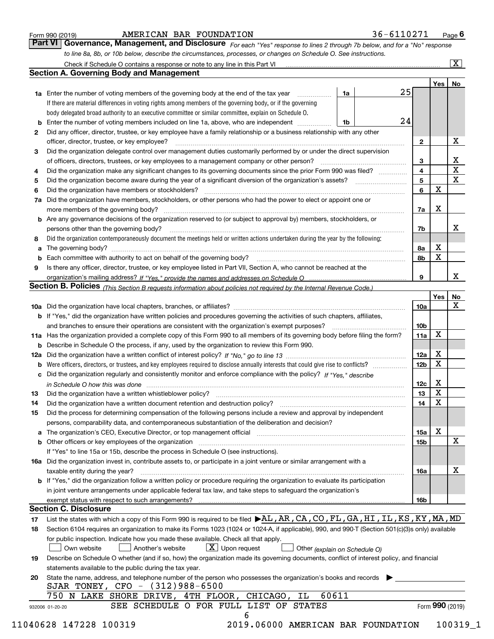|  | Form 990 (2019) |  |
|--|-----------------|--|
|  |                 |  |

#### AMERICAN BAR FOUNDATION 36-6110271

*For each "Yes" response to lines 2 through 7b below, and for a "No" response to line 8a, 8b, or 10b below, describe the circumstances, processes, or changes on Schedule O. See instructions.* Form 990 (2019) **COMBAT AMERICAN BAR FOUNDATION** 36 – 6110271 Page 6<br>**Part VI Governance, Management, and Disclosure** For each "Yes" response to lines 2 through 7b below, and for a "No" response

|              |                                                                                                                                                                               |    |                     | Yes∣ | No                      |
|--------------|-------------------------------------------------------------------------------------------------------------------------------------------------------------------------------|----|---------------------|------|-------------------------|
|              | <b>1a</b> Enter the number of voting members of the governing body at the end of the tax year                                                                                 | 1a | 25                  |      |                         |
|              | If there are material differences in voting rights among members of the governing body, or if the governing                                                                   |    |                     |      |                         |
|              | body delegated broad authority to an executive committee or similar committee, explain on Schedule O.                                                                         |    |                     |      |                         |
|              |                                                                                                                                                                               | 1b | 24                  |      |                         |
| $\mathbf{2}$ | Did any officer, director, trustee, or key employee have a family relationship or a business relationship with any other<br>officer, director, trustee, or key employee?      |    | $\mathbf{2}$        |      | X                       |
| 3            | Did the organization delegate control over management duties customarily performed by or under the direct supervision                                                         |    |                     |      |                         |
|              |                                                                                                                                                                               |    |                     |      | х                       |
|              | Did the organization make any significant changes to its governing documents since the prior Form 990 was filed?                                                              |    | 3<br>$\overline{4}$ |      | $\overline{\mathbf{x}}$ |
| 4            |                                                                                                                                                                               |    | 5                   |      | X                       |
| 5            | Did the organization have members or stockholders?                                                                                                                            |    | 6                   | X    |                         |
| 6            |                                                                                                                                                                               |    |                     |      |                         |
|              | 7a Did the organization have members, stockholders, or other persons who had the power to elect or appoint one or                                                             |    |                     | х    |                         |
|              |                                                                                                                                                                               |    | 7a                  |      |                         |
|              | <b>b</b> Are any governance decisions of the organization reserved to (or subject to approval by) members, stockholders, or                                                   |    |                     |      |                         |
|              | persons other than the governing body?                                                                                                                                        |    | 7b                  |      | х                       |
| 8            | Did the organization contemporaneously document the meetings held or written actions undertaken during the year by the following:                                             |    |                     |      |                         |
| a            |                                                                                                                                                                               |    | 8a                  | X    |                         |
|              |                                                                                                                                                                               |    | 8b                  | X    |                         |
| 9            | Is there any officer, director, trustee, or key employee listed in Part VII, Section A, who cannot be reached at the                                                          |    |                     |      |                         |
|              |                                                                                                                                                                               |    | 9                   |      | х                       |
|              | Section B. Policies (This Section B requests information about policies not required by the Internal Revenue Code.)                                                           |    |                     |      |                         |
|              |                                                                                                                                                                               |    |                     | Yes  | No                      |
|              |                                                                                                                                                                               |    | 10a                 |      | X                       |
|              | <b>b</b> If "Yes," did the organization have written policies and procedures governing the activities of such chapters, affiliates,                                           |    |                     |      |                         |
|              |                                                                                                                                                                               |    | 10 <sub>b</sub>     |      |                         |
|              | 11a Has the organization provided a complete copy of this Form 990 to all members of its governing body before filing the form?                                               |    | 11a                 | X    |                         |
|              | <b>b</b> Describe in Schedule O the process, if any, used by the organization to review this Form 990.                                                                        |    |                     |      |                         |
|              |                                                                                                                                                                               |    | 12a                 | X    |                         |
| b            |                                                                                                                                                                               |    | 12b                 | X    |                         |
|              | c Did the organization regularly and consistently monitor and enforce compliance with the policy? If "Yes," describe                                                          |    |                     |      |                         |
|              | in Schedule O how this was done manufactured and continuum control of the Schedule O how this was done manufactured and continuum control of the Schedule O how this was done |    | 12c                 | х    |                         |
| 13           |                                                                                                                                                                               |    | 13                  | X    |                         |
| 14           | Did the organization have a written document retention and destruction policy? manufactured and the organization have a written document retention and destruction policy?    |    | 14                  | X    |                         |
| 15           | Did the process for determining compensation of the following persons include a review and approval by independent                                                            |    |                     |      |                         |
|              | persons, comparability data, and contemporaneous substantiation of the deliberation and decision?                                                                             |    |                     |      |                         |
|              |                                                                                                                                                                               |    | <b>15a</b>          | X    |                         |
|              |                                                                                                                                                                               |    | 15 <sub>b</sub>     |      | X                       |
|              | If "Yes" to line 15a or 15b, describe the process in Schedule O (see instructions).                                                                                           |    |                     |      |                         |
|              | 16a Did the organization invest in, contribute assets to, or participate in a joint venture or similar arrangement with a                                                     |    |                     |      |                         |
|              | taxable entity during the year?                                                                                                                                               |    | 16a                 |      | X                       |
|              | b If "Yes," did the organization follow a written policy or procedure requiring the organization to evaluate its participation                                                |    |                     |      |                         |
|              | in joint venture arrangements under applicable federal tax law, and take steps to safeguard the organization's                                                                |    |                     |      |                         |
|              | exempt status with respect to such arrangements?                                                                                                                              |    | 16b                 |      |                         |
|              | <b>Section C. Disclosure</b>                                                                                                                                                  |    |                     |      |                         |
| 17           | List the states with which a copy of this Form 990 is required to be filed $\blacktriangleright$ AL, AR, CA, CO, FL, GA, HI, IL, KS, KY, MA, MD                               |    |                     |      |                         |
| 18           | Section 6104 requires an organization to make its Forms 1023 (1024 or 1024-A, if applicable), 990, and 990-T (Section 501(c)(3)s only) available                              |    |                     |      |                         |
|              | for public inspection. Indicate how you made these available. Check all that apply.                                                                                           |    |                     |      |                         |
|              | $X$ Upon request<br>Own website<br>Another's website<br>Other (explain on Schedule O)                                                                                         |    |                     |      |                         |
| 19           | Describe on Schedule O whether (and if so, how) the organization made its governing documents, conflict of interest policy, and financial                                     |    |                     |      |                         |
|              | statements available to the public during the tax year.                                                                                                                       |    |                     |      |                         |
| 20           | State the name, address, and telephone number of the person who possesses the organization's books and records                                                                |    |                     |      |                         |
|              | SJAR TONEY, CFO - (312)988-6500                                                                                                                                               |    |                     |      |                         |
|              | 60611<br>750 N LAKE SHORE DRIVE, 4TH FLOOR, CHICAGO,<br>ΙL                                                                                                                    |    |                     |      |                         |
|              |                                                                                                                                                                               |    |                     |      | Form 990 (2019)         |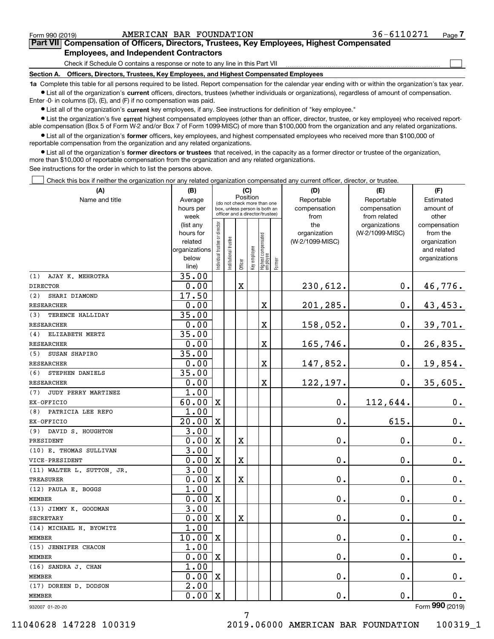$\mathcal{L}^{\text{max}}$ 

| Form 990 (2019) | AMERICAN BAR FOUNDATION                                                                    | 36-6110271 | Page 7 |
|-----------------|--------------------------------------------------------------------------------------------|------------|--------|
|                 | Part VII Compensation of Officers, Directors, Trustees, Key Employees, Highest Compensated |            |        |
|                 | <b>Employees, and Independent Contractors</b>                                              |            |        |

Check if Schedule O contains a response or note to any line in this Part VII

**Section A. Officers, Directors, Trustees, Key Employees, and Highest Compensated Employees**

**1a**  Complete this table for all persons required to be listed. Report compensation for the calendar year ending with or within the organization's tax year. **•** List all of the organization's current officers, directors, trustees (whether individuals or organizations), regardless of amount of compensation.

Enter -0- in columns (D), (E), and (F) if no compensation was paid.

 $\bullet$  List all of the organization's  $\,$ current key employees, if any. See instructions for definition of "key employee."

**•** List the organization's five current highest compensated employees (other than an officer, director, trustee, or key employee) who received reportable compensation (Box 5 of Form W-2 and/or Box 7 of Form 1099-MISC) of more than \$100,000 from the organization and any related organizations.

**•** List all of the organization's former officers, key employees, and highest compensated employees who received more than \$100,000 of reportable compensation from the organization and any related organizations.

**former directors or trustees**  ¥ List all of the organization's that received, in the capacity as a former director or trustee of the organization, more than \$10,000 of reportable compensation from the organization and any related organizations.

See instructions for the order in which to list the persons above.

Check this box if neither the organization nor any related organization compensated any current officer, director, or trustee.  $\mathcal{L}^{\text{max}}$ 

| (A)                        | (B)                    | (C)                                                              |                      |             |              |                                  | (D)          | (F)                             |                                  |                          |  |  |
|----------------------------|------------------------|------------------------------------------------------------------|----------------------|-------------|--------------|----------------------------------|--------------|---------------------------------|----------------------------------|--------------------------|--|--|
| Name and title             | Average                | Position<br>(do not check more than one                          |                      |             |              |                                  |              | Reportable                      | Reportable                       | Estimated                |  |  |
|                            | hours per              | box, unless person is both an<br>officer and a director/trustee) |                      |             |              |                                  | compensation | compensation                    | amount of                        |                          |  |  |
|                            | week                   |                                                                  |                      |             |              |                                  |              | from                            | from related                     | other                    |  |  |
|                            | (list any<br>hours for |                                                                  |                      |             |              |                                  |              | the                             | organizations<br>(W-2/1099-MISC) | compensation<br>from the |  |  |
|                            | related                |                                                                  |                      |             |              |                                  |              | organization<br>(W-2/1099-MISC) |                                  | organization             |  |  |
|                            | organizations          |                                                                  |                      |             |              |                                  |              |                                 |                                  | and related              |  |  |
|                            | below                  |                                                                  |                      |             |              |                                  |              |                                 |                                  | organizations            |  |  |
|                            | line)                  | ndividual trustee or director                                    | nstitutional trustee | Officer     | key employee | Highest compensated<br> employee | Former       |                                 |                                  |                          |  |  |
| AJAY K. MEHROTRA<br>(1)    | 35.00                  |                                                                  |                      |             |              |                                  |              |                                 |                                  |                          |  |  |
| <b>DIRECTOR</b>            | 0.00                   |                                                                  |                      | $\mathbf X$ |              |                                  |              | 230,612.                        | 0.                               | 46,776.                  |  |  |
| SHARI DIAMOND<br>(2)       | 17.50                  |                                                                  |                      |             |              |                                  |              |                                 |                                  |                          |  |  |
| <b>RESEARCHER</b>          | 0.00                   |                                                                  |                      |             |              | $\overline{\mathbf{X}}$          |              | 201,285.                        | $0$ .                            | 43,453.                  |  |  |
| TERENCE HALLIDAY<br>(3)    | 35.00                  |                                                                  |                      |             |              |                                  |              |                                 |                                  |                          |  |  |
| <b>RESEARCHER</b>          | 0.00                   |                                                                  |                      |             |              | X                                |              | 158,052.                        | $0$ .                            | 39,701.                  |  |  |
| ELIZABETH MERTZ<br>(4)     | 35.00                  |                                                                  |                      |             |              |                                  |              |                                 |                                  |                          |  |  |
| <b>RESEARCHER</b>          | 0.00                   |                                                                  |                      |             |              | $\overline{\mathbf{X}}$          |              | 165,746.                        | $0$ .                            | 26,835.                  |  |  |
| SUSAN SHAPIRO<br>(5)       | 35.00                  |                                                                  |                      |             |              |                                  |              |                                 |                                  |                          |  |  |
| <b>RESEARCHER</b>          | 0.00                   |                                                                  |                      |             |              | X                                |              | 147,852.                        | $0$ .                            | 19,854.                  |  |  |
| STEPHEN DANIELS<br>(6)     | 35.00                  |                                                                  |                      |             |              |                                  |              |                                 |                                  |                          |  |  |
| <b>RESEARCHER</b>          | 0.00                   |                                                                  |                      |             |              | $\overline{\mathbf{X}}$          |              | 122,197.                        | $0$ .                            | 35,605.                  |  |  |
| (7)<br>JUDY PERRY MARTINEZ | 1.00                   |                                                                  |                      |             |              |                                  |              |                                 |                                  |                          |  |  |
| EX-OFFICIO                 | 60.00                  | $\mathbf{X}$                                                     |                      |             |              |                                  |              | 0.                              | 112,644.                         | 0.                       |  |  |
| PATRICIA LEE REFO<br>(8)   | 1.00                   |                                                                  |                      |             |              |                                  |              |                                 |                                  |                          |  |  |
| EX-OFFICIO                 | 20.00                  | X                                                                |                      |             |              |                                  |              | 0.                              | 615.                             | $0_{.}$                  |  |  |
| (9) DAVID S. HOUGHTON      | 3.00                   |                                                                  |                      |             |              |                                  |              |                                 |                                  |                          |  |  |
| PRESIDENT                  | 0.00                   | $\mathbf{X}$                                                     |                      | X           |              |                                  |              | 0.                              | $\mathbf 0$ .                    | $0_{.}$                  |  |  |
| (10) E. THOMAS SULLIVAN    | 3.00                   |                                                                  |                      |             |              |                                  |              |                                 |                                  |                          |  |  |
| VICE-PRESIDENT             | 0.00                   | X                                                                |                      | X           |              |                                  |              | 0.                              | $\mathbf 0$ .                    | $0_{.}$                  |  |  |
| (11) WALTER L. SUTTON, JR. | 3.00                   |                                                                  |                      |             |              |                                  |              |                                 |                                  |                          |  |  |
| <b>TREASURER</b>           | 0.00                   | $\mathbf{X}$                                                     |                      | X           |              |                                  |              | $0$ .                           | 0.                               | $0_{.}$                  |  |  |
| (12) PAULA E. BOGGS        | 1.00                   |                                                                  |                      |             |              |                                  |              |                                 |                                  |                          |  |  |
| <b>MEMBER</b>              | 0.00                   | X                                                                |                      |             |              |                                  |              | 0.                              | $\mathbf 0$ .                    | 0.                       |  |  |
| (13) JIMMY K. GOODMAN      | 3.00                   |                                                                  |                      |             |              |                                  |              |                                 |                                  |                          |  |  |
| <b>SECRETARY</b>           | 0.00                   | $\mathbf X$                                                      |                      | X           |              |                                  |              | 0.                              | $\mathbf 0$ .                    | 0.                       |  |  |
| (14) MICHAEL H. BYOWITZ    | 1.00                   |                                                                  |                      |             |              |                                  |              |                                 |                                  |                          |  |  |
| <b>MEMBER</b>              | 10.00                  | Ιx                                                               |                      |             |              |                                  |              | 0.                              | $\mathbf 0$ .                    | $0_{.}$                  |  |  |
| (15) JENNIFER CHACON       | 1.00                   |                                                                  |                      |             |              |                                  |              |                                 |                                  |                          |  |  |
| <b>MEMBER</b>              | 0.00                   | $\mathbf X$                                                      |                      |             |              |                                  |              | 0.                              | $\mathbf 0$ .                    | 0.                       |  |  |
| (16) SANDRA J. CHAN        | 1.00                   |                                                                  |                      |             |              |                                  |              |                                 |                                  |                          |  |  |
| <b>MEMBER</b>              | 0.00                   | X                                                                |                      |             |              |                                  |              | 0.                              | $\mathbf 0$ .                    | 0.                       |  |  |
| (17) DOREEN D. DODSON      | 2.00                   |                                                                  |                      |             |              |                                  |              |                                 |                                  |                          |  |  |
| <b>MEMBER</b>              | 0.00                   | Ιx                                                               |                      |             |              |                                  |              | 0.                              | 0.                               | $0_{.}$                  |  |  |

7

932007 01-20-20

Form (2019) **990**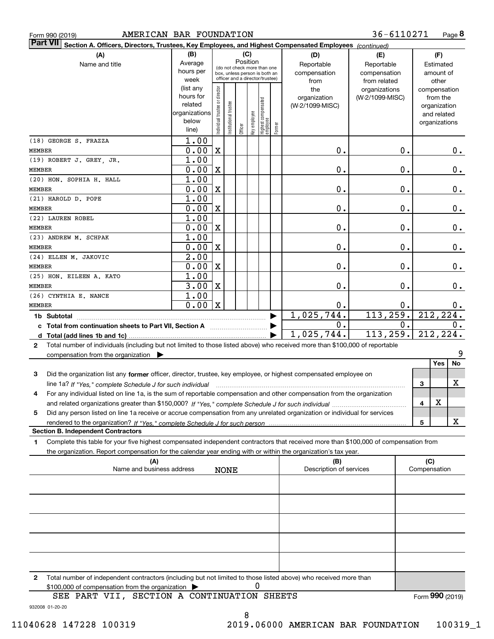|  | Form 990 (2019) |
|--|-----------------|

| Part VII Section A. Officers, Directors, Trustees, Key Employees, and Highest Compensated Employees (continued)                                |                      |                               |                                                              |         |              |                                   |        |                         |                 |   |                             |       |
|------------------------------------------------------------------------------------------------------------------------------------------------|----------------------|-------------------------------|--------------------------------------------------------------|---------|--------------|-----------------------------------|--------|-------------------------|-----------------|---|-----------------------------|-------|
| (A)                                                                                                                                            | (B)                  |                               |                                                              | (C)     |              |                                   |        | (D)                     | (E)             |   | (F)                         |       |
| Name and title                                                                                                                                 | Average              |                               |                                                              |         | Position     |                                   |        | Reportable              | Reportable      |   | Estimated                   |       |
|                                                                                                                                                | hours per            |                               | (do not check more than one<br>box, unless person is both an |         |              |                                   |        | compensation            | compensation    |   | amount of                   |       |
|                                                                                                                                                | week                 |                               | officer and a director/trustee)                              |         |              |                                   |        | from                    | from related    |   | other                       |       |
|                                                                                                                                                | (list any            |                               |                                                              |         |              |                                   |        | the                     | organizations   |   | compensation                |       |
|                                                                                                                                                | hours for<br>related |                               |                                                              |         |              |                                   |        | organization            | (W-2/1099-MISC) |   | from the                    |       |
|                                                                                                                                                | organizations        |                               |                                                              |         |              |                                   |        | (W-2/1099-MISC)         |                 |   | organization<br>and related |       |
|                                                                                                                                                | below                | ndividual trustee or director | Institutional trustee                                        |         | key employee |                                   |        |                         |                 |   | organizations               |       |
|                                                                                                                                                | line)                |                               |                                                              | Officer |              | Highest compensated<br>  employee | Former |                         |                 |   |                             |       |
| (18) GEORGE S. FRAZZA                                                                                                                          | 1.00                 |                               |                                                              |         |              |                                   |        |                         |                 |   |                             |       |
| MEMBER                                                                                                                                         | 0.00                 | X                             |                                                              |         |              |                                   |        | 0.                      | 0.              |   |                             | 0.    |
| (19) ROBERT J. GREY, JR.                                                                                                                       | 1.00                 |                               |                                                              |         |              |                                   |        |                         |                 |   |                             |       |
| MEMBER                                                                                                                                         | 0.00                 | X                             |                                                              |         |              |                                   |        | 0.                      | 0.              |   |                             | $0$ . |
| (20) HON. SOPHIA H. HALL                                                                                                                       | 1.00                 |                               |                                                              |         |              |                                   |        |                         |                 |   |                             |       |
| MEMBER                                                                                                                                         | 0.00                 | X                             |                                                              |         |              |                                   |        | 0.                      | 0.              |   |                             | $0$ . |
| (21) HAROLD D. POPE                                                                                                                            | 1.00                 |                               |                                                              |         |              |                                   |        |                         |                 |   |                             |       |
| <b>MEMBER</b>                                                                                                                                  | 0.00                 | X                             |                                                              |         |              |                                   |        | 0.                      | 0.              |   |                             | 0.    |
| (22) LAUREN ROBEL                                                                                                                              | 1.00                 |                               |                                                              |         |              |                                   |        |                         |                 |   |                             |       |
| MEMBER                                                                                                                                         | 0.00                 | X                             |                                                              |         |              |                                   |        | 0.                      | 0.              |   |                             | 0.    |
| (23) ANDREW M. SCHPAK                                                                                                                          | 1.00                 |                               |                                                              |         |              |                                   |        |                         |                 |   |                             |       |
| MEMBER                                                                                                                                         | 0.00                 | X                             |                                                              |         |              |                                   |        | 0.                      | 0.              |   |                             | $0$ . |
| (24) ELLEN M. JAKOVIC                                                                                                                          | 2.00                 |                               |                                                              |         |              |                                   |        |                         |                 |   |                             |       |
| MEMBER                                                                                                                                         | 0.00                 | x                             |                                                              |         |              |                                   |        | 0.                      | 0.              |   |                             | $0$ . |
| (25) HON. EILEEN A. KATO                                                                                                                       | 1.00                 |                               |                                                              |         |              |                                   |        |                         |                 |   |                             |       |
| MEMBER                                                                                                                                         | 3.00                 | $\mathbf{x}$                  |                                                              |         |              |                                   |        | 0.                      | 0.              |   |                             | 0.    |
| (26) CYNTHIA E. NANCE                                                                                                                          | 1.00                 |                               |                                                              |         |              |                                   |        |                         |                 |   |                             |       |
| MEMBER                                                                                                                                         | 0.00                 | $\mathbf{X}$                  |                                                              |         |              |                                   |        | 0.                      | 0.              |   |                             | 0.    |
| 1b Subtotal                                                                                                                                    |                      |                               |                                                              |         |              |                                   |        | 1,025,744.              | 113, 259.       |   | 212,224.                    |       |
| c Total from continuation sheets to Part VII, Section A                                                                                        |                      |                               |                                                              |         |              |                                   |        | 0.                      | $0$ .           |   |                             | 0.    |
|                                                                                                                                                |                      |                               |                                                              |         |              |                                   |        | 1,025,744.              | 113, 259.       |   | 212,224.                    |       |
| Total number of individuals (including but not limited to those listed above) who received more than \$100,000 of reportable<br>$\mathbf{2}$   |                      |                               |                                                              |         |              |                                   |        |                         |                 |   |                             |       |
| compensation from the organization $\blacktriangleright$                                                                                       |                      |                               |                                                              |         |              |                                   |        |                         |                 |   |                             | 9     |
|                                                                                                                                                |                      |                               |                                                              |         |              |                                   |        |                         |                 |   | Yes                         | No    |
| Did the organization list any former officer, director, trustee, key employee, or highest compensated employee on<br>3                         |                      |                               |                                                              |         |              |                                   |        |                         |                 |   |                             |       |
| line 1a? If "Yes," complete Schedule J for such individual manufactured contains and the 1a? If "Yes," complete Schedule J for such individual |                      |                               |                                                              |         |              |                                   |        |                         |                 | 3 |                             | x     |
| For any individual listed on line 1a, is the sum of reportable compensation and other compensation from the organization                       |                      |                               |                                                              |         |              |                                   |        |                         |                 |   |                             |       |
|                                                                                                                                                |                      |                               |                                                              |         |              |                                   |        |                         |                 | 4 | X                           |       |
| Did any person listed on line 1a receive or accrue compensation from any unrelated organization or individual for services<br>5                |                      |                               |                                                              |         |              |                                   |        |                         |                 |   |                             |       |
|                                                                                                                                                |                      |                               |                                                              |         |              |                                   |        |                         |                 | 5 |                             | x     |
| <b>Section B. Independent Contractors</b>                                                                                                      |                      |                               |                                                              |         |              |                                   |        |                         |                 |   |                             |       |
| Complete this table for your five highest compensated independent contractors that received more than \$100,000 of compensation from<br>1      |                      |                               |                                                              |         |              |                                   |        |                         |                 |   |                             |       |
| the organization. Report compensation for the calendar year ending with or within the organization's tax year.                                 |                      |                               |                                                              |         |              |                                   |        |                         |                 |   |                             |       |
| (A)                                                                                                                                            |                      |                               |                                                              |         |              |                                   |        | (B)                     |                 |   | (C)                         |       |
| Name and business address                                                                                                                      |                      |                               | <b>NONE</b>                                                  |         |              |                                   |        | Description of services |                 |   | Compensation                |       |
|                                                                                                                                                |                      |                               |                                                              |         |              |                                   |        |                         |                 |   |                             |       |
|                                                                                                                                                |                      |                               |                                                              |         |              |                                   |        |                         |                 |   |                             |       |
|                                                                                                                                                |                      |                               |                                                              |         |              |                                   |        |                         |                 |   |                             |       |
|                                                                                                                                                |                      |                               |                                                              |         |              |                                   |        |                         |                 |   |                             |       |
|                                                                                                                                                |                      |                               |                                                              |         |              |                                   |        |                         |                 |   |                             |       |
|                                                                                                                                                |                      |                               |                                                              |         |              |                                   |        |                         |                 |   |                             |       |
|                                                                                                                                                |                      |                               |                                                              |         |              |                                   |        |                         |                 |   |                             |       |
|                                                                                                                                                |                      |                               |                                                              |         |              |                                   |        |                         |                 |   |                             |       |
|                                                                                                                                                |                      |                               |                                                              |         |              |                                   |        |                         |                 |   |                             |       |

**2**Total number of independent contractors (including but not limited to those listed above) who received more than \$100,000 of compensation from the organization 0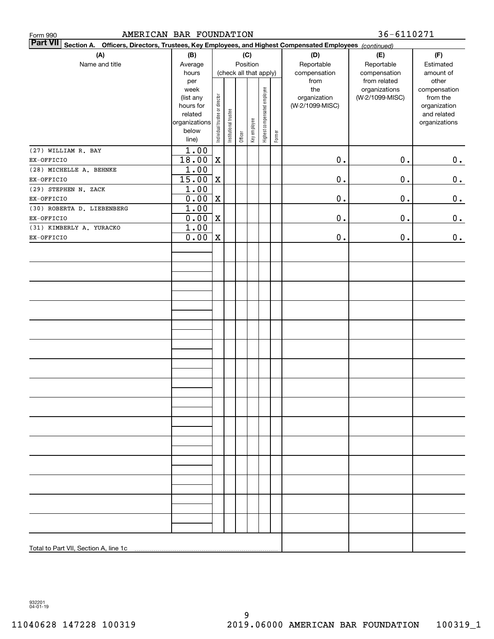| Form 990                                                                                                                     | 36-6110271<br>AMERICAN BAR FOUNDATION |                                |                       |         |              |                              |        |                 |                               |                       |
|------------------------------------------------------------------------------------------------------------------------------|---------------------------------------|--------------------------------|-----------------------|---------|--------------|------------------------------|--------|-----------------|-------------------------------|-----------------------|
| <b>Part VII</b><br>Officers, Directors, Trustees, Key Employees, and Highest Compensated Employees (continued)<br>Section A. |                                       |                                |                       |         |              |                              |        |                 |                               |                       |
| (A)                                                                                                                          | (B)                                   | (C)                            |                       |         |              |                              |        | (D)             | (E)                           | (F)                   |
| Name and title                                                                                                               | Average                               |                                |                       |         | Position     |                              |        | Reportable      | Reportable                    | Estimated             |
|                                                                                                                              | hours                                 |                                |                       |         |              | (check all that apply)       |        | compensation    | compensation                  | amount of             |
|                                                                                                                              | per<br>week                           |                                |                       |         |              |                              |        | from<br>the     | from related<br>organizations | other<br>compensation |
|                                                                                                                              | (list any                             |                                |                       |         |              |                              |        | organization    | (W-2/1099-MISC)               | from the              |
|                                                                                                                              | hours for                             |                                |                       |         |              |                              |        | (W-2/1099-MISC) |                               | organization          |
|                                                                                                                              | related                               |                                |                       |         |              |                              |        |                 |                               | and related           |
|                                                                                                                              | organizations<br>below                |                                |                       |         |              |                              |        |                 |                               | organizations         |
|                                                                                                                              | line)                                 | Individual trustee or director | Institutional trustee | Officer | Key employee | Highest compensated employee | Former |                 |                               |                       |
| (27) WILLIAM R. BAY                                                                                                          | 1.00                                  |                                |                       |         |              |                              |        |                 |                               |                       |
| EX-OFFICIO                                                                                                                   | 18.00                                 | X                              |                       |         |              |                              |        | $\mathbf 0$ .   | $\mathbf 0$ .                 | $0_{\bullet}$         |
| (28) MICHELLE A. BEHNKE                                                                                                      | 1.00                                  |                                |                       |         |              |                              |        |                 |                               |                       |
| EX-OFFICIO                                                                                                                   | 15.00                                 | $\mathbf X$                    |                       |         |              |                              |        | $\mathbf 0$ .   | 0.                            | $\mathbf 0$ .         |
| (29) STEPHEN N. ZACK                                                                                                         | 1.00                                  |                                |                       |         |              |                              |        |                 |                               |                       |
| EX-OFFICIO                                                                                                                   | 0.00                                  | $\mathbf X$                    |                       |         |              |                              |        | 0.              | 0.                            | $\mathbf 0$ .         |
| (30) ROBERTA D. LIEBENBERG                                                                                                   | 1.00                                  |                                |                       |         |              |                              |        |                 |                               |                       |
| EX-OFFICIO                                                                                                                   | 0.00                                  | $\mathbf X$                    |                       |         |              |                              |        | 0.              | 0.                            | $0_{.}$               |
| (31) KIMBERLY A. YURACKO                                                                                                     | 1.00                                  |                                |                       |         |              |                              |        |                 |                               |                       |
| EX-OFFICIO                                                                                                                   | 0.00                                  | $\mathbf X$                    |                       |         |              |                              |        | 0.              | 0.                            | 0.                    |
|                                                                                                                              |                                       |                                |                       |         |              |                              |        |                 |                               |                       |
|                                                                                                                              |                                       |                                |                       |         |              |                              |        |                 |                               |                       |
|                                                                                                                              |                                       |                                |                       |         |              |                              |        |                 |                               |                       |
|                                                                                                                              |                                       |                                |                       |         |              |                              |        |                 |                               |                       |
|                                                                                                                              |                                       |                                |                       |         |              |                              |        |                 |                               |                       |
|                                                                                                                              |                                       |                                |                       |         |              |                              |        |                 |                               |                       |
|                                                                                                                              |                                       |                                |                       |         |              |                              |        |                 |                               |                       |
|                                                                                                                              |                                       |                                |                       |         |              |                              |        |                 |                               |                       |
|                                                                                                                              |                                       |                                |                       |         |              |                              |        |                 |                               |                       |
|                                                                                                                              |                                       |                                |                       |         |              |                              |        |                 |                               |                       |
|                                                                                                                              |                                       |                                |                       |         |              |                              |        |                 |                               |                       |
|                                                                                                                              |                                       |                                |                       |         |              |                              |        |                 |                               |                       |
|                                                                                                                              |                                       |                                |                       |         |              |                              |        |                 |                               |                       |
|                                                                                                                              |                                       |                                |                       |         |              |                              |        |                 |                               |                       |
|                                                                                                                              |                                       |                                |                       |         |              |                              |        |                 |                               |                       |
|                                                                                                                              |                                       |                                |                       |         |              |                              |        |                 |                               |                       |
|                                                                                                                              |                                       |                                |                       |         |              |                              |        |                 |                               |                       |
|                                                                                                                              |                                       |                                |                       |         |              |                              |        |                 |                               |                       |
|                                                                                                                              |                                       |                                |                       |         |              |                              |        |                 |                               |                       |
|                                                                                                                              |                                       |                                |                       |         |              |                              |        |                 |                               |                       |
|                                                                                                                              |                                       |                                |                       |         |              |                              |        |                 |                               |                       |
|                                                                                                                              |                                       |                                |                       |         |              |                              |        |                 |                               |                       |
|                                                                                                                              |                                       |                                |                       |         |              |                              |        |                 |                               |                       |
|                                                                                                                              |                                       |                                |                       |         |              |                              |        |                 |                               |                       |
|                                                                                                                              |                                       |                                |                       |         |              |                              |        |                 |                               |                       |
|                                                                                                                              |                                       |                                |                       |         |              |                              |        |                 |                               |                       |
|                                                                                                                              |                                       |                                |                       |         |              |                              |        |                 |                               |                       |
|                                                                                                                              |                                       |                                |                       |         |              |                              |        |                 |                               |                       |
|                                                                                                                              |                                       |                                |                       |         |              |                              |        |                 |                               |                       |
|                                                                                                                              |                                       |                                |                       |         |              |                              |        |                 |                               |                       |

932201 04-01-19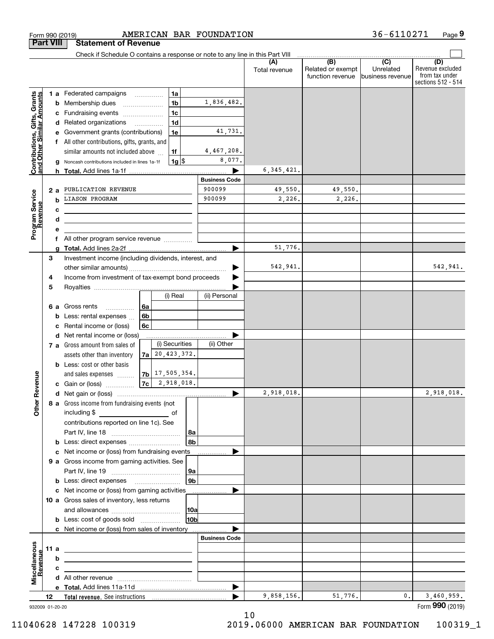|                                                           |      |   | Check if Schedule O contains a response or note to any line in this Part VIII                                        |    |                      |                |                      |                      |                                              |                                                 |                                                                 |
|-----------------------------------------------------------|------|---|----------------------------------------------------------------------------------------------------------------------|----|----------------------|----------------|----------------------|----------------------|----------------------------------------------|-------------------------------------------------|-----------------------------------------------------------------|
|                                                           |      |   |                                                                                                                      |    |                      |                |                      | (A)<br>Total revenue | (B)<br>Related or exempt<br>function revenue | $\overline{C}$<br>Unrelated<br>business revenue | (D)<br>Revenue excluded<br>from tax under<br>sections 512 - 514 |
|                                                           |      |   | 1 a Federated campaigns                                                                                              |    | 1a                   |                |                      |                      |                                              |                                                 |                                                                 |
|                                                           |      |   | <b>b</b> Membership dues                                                                                             |    | 1 <sub>b</sub>       |                | 1,836,482.           |                      |                                              |                                                 |                                                                 |
|                                                           |      |   | c Fundraising events                                                                                                 |    | 1 <sub>c</sub>       |                |                      |                      |                                              |                                                 |                                                                 |
| Contributions, Gifts, Grants<br>and Other Similar Amounts |      |   | d Related organizations                                                                                              |    | 1 <sub>d</sub>       |                |                      |                      |                                              |                                                 |                                                                 |
|                                                           |      |   | e Government grants (contributions)                                                                                  |    | 1e                   |                | 41,731.              |                      |                                              |                                                 |                                                                 |
|                                                           |      |   | f All other contributions, gifts, grants, and                                                                        |    |                      |                |                      |                      |                                              |                                                 |                                                                 |
|                                                           |      |   | similar amounts not included above                                                                                   |    | 1f                   |                | 4,467,208.           |                      |                                              |                                                 |                                                                 |
|                                                           |      |   | g Noncash contributions included in lines 1a-1f                                                                      |    | $1g$ $\frac{1}{3}$   |                | 8,077.               |                      |                                              |                                                 |                                                                 |
|                                                           |      |   |                                                                                                                      |    |                      |                |                      | 6, 345, 421.         |                                              |                                                 |                                                                 |
|                                                           |      |   |                                                                                                                      |    |                      |                | <b>Business Code</b> |                      |                                              |                                                 |                                                                 |
|                                                           |      |   | 2 a PUBLICATION REVENUE                                                                                              |    |                      |                | 900099               | 49,550.              | 49,550.                                      |                                                 |                                                                 |
|                                                           |      | b | <b>LIASON PROGRAM</b>                                                                                                |    |                      |                | 900099               | 2,226.               | 2,226.                                       |                                                 |                                                                 |
|                                                           |      | c |                                                                                                                      |    |                      |                |                      |                      |                                              |                                                 |                                                                 |
| Program Service<br>Revenue                                |      | d | <u> 1989 - Johann Stein, marwolaethau a bhann an t-Amhair an t-Amhair an t-Amhair an t-Amhair an t-Amhair an t-A</u> |    |                      |                |                      |                      |                                              |                                                 |                                                                 |
|                                                           |      | е |                                                                                                                      |    |                      |                |                      |                      |                                              |                                                 |                                                                 |
|                                                           |      |   | f All other program service revenue                                                                                  |    |                      |                |                      |                      |                                              |                                                 |                                                                 |
|                                                           |      | a |                                                                                                                      |    |                      |                |                      | 51,776.              |                                              |                                                 |                                                                 |
|                                                           | 3    |   | Investment income (including dividends, interest, and                                                                |    |                      |                |                      |                      |                                              |                                                 |                                                                 |
|                                                           |      |   |                                                                                                                      |    |                      |                |                      | 542,941.             |                                              |                                                 | 542,941.                                                        |
|                                                           | 4    |   | Income from investment of tax-exempt bond proceeds                                                                   |    |                      |                |                      |                      |                                              |                                                 |                                                                 |
|                                                           | 5    |   |                                                                                                                      |    |                      |                |                      |                      |                                              |                                                 |                                                                 |
|                                                           |      |   |                                                                                                                      |    | (i) Real             |                | (ii) Personal        |                      |                                              |                                                 |                                                                 |
|                                                           |      |   | 6 a Gross rents<br>.                                                                                                 | 6a |                      |                |                      |                      |                                              |                                                 |                                                                 |
|                                                           |      | b | Less: rental expenses                                                                                                | 6b |                      |                |                      |                      |                                              |                                                 |                                                                 |
|                                                           |      | c | Rental income or (loss)                                                                                              | 6c |                      |                |                      |                      |                                              |                                                 |                                                                 |
|                                                           |      |   | d Net rental income or (loss)                                                                                        |    |                      |                |                      |                      |                                              |                                                 |                                                                 |
|                                                           |      |   | 7 a Gross amount from sales of                                                                                       |    | (i) Securities       |                | (ii) Other           |                      |                                              |                                                 |                                                                 |
|                                                           |      |   | assets other than inventory                                                                                          |    | $7a$ 20, 423, 372.   |                |                      |                      |                                              |                                                 |                                                                 |
|                                                           |      |   | <b>b</b> Less: cost or other basis                                                                                   |    |                      |                |                      |                      |                                              |                                                 |                                                                 |
|                                                           |      |   | and sales expenses                                                                                                   |    | $ 7b $ 17, 505, 354. |                |                      |                      |                                              |                                                 |                                                                 |
|                                                           |      |   | <b>c</b> Gain or (loss) $\ldots$                                                                                     |    | $ 7c $ 2, 918, 018.  |                |                      |                      |                                              |                                                 |                                                                 |
|                                                           |      |   |                                                                                                                      |    |                      |                |                      | 2,918,018.           |                                              |                                                 | 2,918,018.                                                      |
|                                                           |      |   | 8 a Gross income from fundraising events (not                                                                        |    |                      |                |                      |                      |                                              |                                                 |                                                                 |
|                                                           |      |   | including \$                                                                                                         |    |                      |                |                      |                      |                                              |                                                 |                                                                 |
|                                                           |      |   | contributions reported on line 1c). See                                                                              |    |                      |                |                      |                      |                                              |                                                 |                                                                 |
|                                                           |      |   |                                                                                                                      |    |                      | 8a             |                      |                      |                                              |                                                 |                                                                 |
|                                                           |      |   | <b>b</b> Less: direct expenses                                                                                       |    |                      | 8b             |                      |                      |                                              |                                                 |                                                                 |
|                                                           |      |   | c Net income or (loss) from fundraising events                                                                       |    |                      |                |                      |                      |                                              |                                                 |                                                                 |
|                                                           |      |   | 9 a Gross income from gaming activities. See                                                                         |    |                      |                |                      |                      |                                              |                                                 |                                                                 |
|                                                           |      |   |                                                                                                                      |    |                      | 9a             |                      |                      |                                              |                                                 |                                                                 |
|                                                           |      |   | <b>b</b> Less: direct expenses <b>manually</b>                                                                       |    |                      | 9 <sub>b</sub> |                      |                      |                                              |                                                 |                                                                 |
|                                                           |      |   | c Net income or (loss) from gaming activities                                                                        |    |                      |                | .                    |                      |                                              |                                                 |                                                                 |
|                                                           |      |   | 10 a Gross sales of inventory, less returns                                                                          |    |                      |                |                      |                      |                                              |                                                 |                                                                 |
|                                                           |      |   |                                                                                                                      |    |                      | 10a            |                      |                      |                                              |                                                 |                                                                 |
|                                                           |      |   | <b>b</b> Less: cost of goods sold                                                                                    |    |                      | 10ь            |                      |                      |                                              |                                                 |                                                                 |
|                                                           |      |   | c Net income or (loss) from sales of inventory                                                                       |    |                      |                |                      |                      |                                              |                                                 |                                                                 |
|                                                           |      |   |                                                                                                                      |    |                      |                | <b>Business Code</b> |                      |                                              |                                                 |                                                                 |
|                                                           | 11 a |   | <u> 1989 - Johann Barn, amerikansk politiker (d. 1989)</u>                                                           |    |                      |                |                      |                      |                                              |                                                 |                                                                 |
|                                                           |      | b |                                                                                                                      |    |                      |                |                      |                      |                                              |                                                 |                                                                 |
| Revenue                                                   |      | с | the control of the control of the control of the control of the control of                                           |    |                      |                |                      |                      |                                              |                                                 |                                                                 |
|                                                           |      |   |                                                                                                                      |    |                      |                |                      |                      |                                              |                                                 |                                                                 |
|                                                           |      |   |                                                                                                                      |    |                      |                | ▶                    | 9,858,156.           | 51,776.                                      | 0.                                              | 3,460,959.                                                      |
|                                                           | 12   |   |                                                                                                                      |    |                      |                |                      |                      |                                              |                                                 |                                                                 |

Form 990 (2019) AMERICAN BAR FOUNDATION 36-6]IU27I Page

AMERICAN BAR FOUNDATION

**9**

36-6110271

<sup>932009 01-20-20</sup>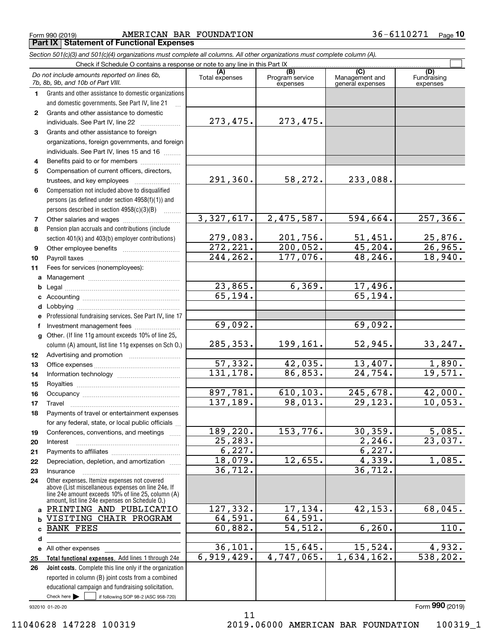Form 990 (2019) Page **Part IX Statement of Functional Expenses** AMERICAN BAR FOUNDATION 36-6110271

*Section 501(c)(3) and 501(c)(4) organizations must complete all columns. All other organizations must complete column (A).*

|              | Do not include amounts reported on lines 6b,<br>7b, 8b, 9b, and 10b of Part VIII.                                                                                                                          | (A)<br>Total expenses | (B)<br>Program service<br>expenses | (C)<br>Management and<br>general expenses | (D)<br>Fundraising<br>expenses |
|--------------|------------------------------------------------------------------------------------------------------------------------------------------------------------------------------------------------------------|-----------------------|------------------------------------|-------------------------------------------|--------------------------------|
| 1.           | Grants and other assistance to domestic organizations                                                                                                                                                      |                       |                                    |                                           |                                |
|              | and domestic governments. See Part IV, line 21                                                                                                                                                             |                       |                                    |                                           |                                |
| $\mathbf{2}$ | Grants and other assistance to domestic                                                                                                                                                                    |                       |                                    |                                           |                                |
|              | individuals. See Part IV, line 22                                                                                                                                                                          | 273,475.              | 273,475.                           |                                           |                                |
| 3            | Grants and other assistance to foreign                                                                                                                                                                     |                       |                                    |                                           |                                |
|              | organizations, foreign governments, and foreign                                                                                                                                                            |                       |                                    |                                           |                                |
|              | individuals. See Part IV, lines 15 and 16                                                                                                                                                                  |                       |                                    |                                           |                                |
| 4            | Benefits paid to or for members                                                                                                                                                                            |                       |                                    |                                           |                                |
| 5            | Compensation of current officers, directors,                                                                                                                                                               |                       |                                    |                                           |                                |
|              | trustees, and key employees                                                                                                                                                                                | 291,360.              | 58,272.                            | 233,088.                                  |                                |
| 6            | Compensation not included above to disqualified                                                                                                                                                            |                       |                                    |                                           |                                |
|              | persons (as defined under section 4958(f)(1)) and                                                                                                                                                          |                       |                                    |                                           |                                |
|              | persons described in section 4958(c)(3)(B)                                                                                                                                                                 |                       |                                    |                                           |                                |
| 7            | Other salaries and wages                                                                                                                                                                                   | 3,327,617.            | 2,475,587.                         | 594,664.                                  | 257,366.                       |
| 8            | Pension plan accruals and contributions (include                                                                                                                                                           |                       |                                    |                                           |                                |
|              | section 401(k) and 403(b) employer contributions)                                                                                                                                                          | 279,083.              | 201,756.                           | 51,451.                                   | 25,876.                        |
| 9            |                                                                                                                                                                                                            | 272, 221.             | 200,052.                           | 45, 204.                                  | 26,965.                        |
| 10           |                                                                                                                                                                                                            | 244,262.              | 177,076.                           | 48,246.                                   | 18,940.                        |
| 11           | Fees for services (nonemployees):                                                                                                                                                                          |                       |                                    |                                           |                                |
| a            |                                                                                                                                                                                                            |                       |                                    |                                           |                                |
| b            |                                                                                                                                                                                                            | 23,865.               | 6, 369.                            | 17,496.                                   |                                |
| c            |                                                                                                                                                                                                            | 65,194.               |                                    | 65, 194.                                  |                                |
| d            |                                                                                                                                                                                                            |                       |                                    |                                           |                                |
| е            | Professional fundraising services. See Part IV, line 17                                                                                                                                                    |                       |                                    |                                           |                                |
| f            | Investment management fees                                                                                                                                                                                 | 69,092.               |                                    | 69,092.                                   |                                |
| g            | Other. (If line 11g amount exceeds 10% of line 25,                                                                                                                                                         |                       |                                    |                                           |                                |
|              | column (A) amount, list line 11g expenses on Sch O.)                                                                                                                                                       | 285,353.              | 199,161.                           | 52,945.                                   | 33,247.                        |
| 12           |                                                                                                                                                                                                            |                       |                                    |                                           |                                |
| 13           |                                                                                                                                                                                                            | 57,332.               | 42,035.                            | 13,407.                                   | 1,890.                         |
| 14           |                                                                                                                                                                                                            | 131, 178.             | 86,853.                            | 24,754.                                   | 19,571.                        |
| 15           |                                                                                                                                                                                                            |                       |                                    |                                           |                                |
| 16           |                                                                                                                                                                                                            | 897,781.              | 610, 103.                          | 245,678.                                  | 42,000.                        |
| 17           | Travel                                                                                                                                                                                                     | 137, 189.             | 98,013.                            | 29, 123.                                  | 10,053.                        |
| 18           | Payments of travel or entertainment expenses                                                                                                                                                               |                       |                                    |                                           |                                |
|              | for any federal, state, or local public officials                                                                                                                                                          |                       |                                    |                                           |                                |
| 19           | Conferences, conventions, and meetings                                                                                                                                                                     | 189, 220.             | 153,776.                           | 30, 359.                                  | 5,085.                         |
| 20           | Interest                                                                                                                                                                                                   | 25,283.               |                                    | 2,246.                                    | 23,037.                        |
| 21           |                                                                                                                                                                                                            | 6,227.<br>18,079.     | 12,655.                            | 6,227.<br>4,339.                          | 1,085.                         |
| 22           | Depreciation, depletion, and amortization                                                                                                                                                                  | 36, 712.              |                                    | 36,712.                                   |                                |
| 23           | Insurance                                                                                                                                                                                                  |                       |                                    |                                           |                                |
| 24           | Other expenses. Itemize expenses not covered<br>above (List miscellaneous expenses on line 24e. If<br>line 24e amount exceeds 10% of line 25, column (A)<br>amount, list line 24e expenses on Schedule O.) |                       |                                    |                                           |                                |
|              | a PRINTING AND PUBLICATIO                                                                                                                                                                                  | 127,332.              | 17, 134.                           | 42, 153.                                  | 68,045.                        |
| b            | VISITING CHAIR PROGRAM                                                                                                                                                                                     | 64,591.               | 64,591.                            |                                           |                                |
| c            | <b>BANK FEES</b>                                                                                                                                                                                           | 60,882.               | 54, 512.                           | 6, 260.                                   | 110.                           |
| d            |                                                                                                                                                                                                            |                       |                                    |                                           |                                |
|              | e All other expenses                                                                                                                                                                                       | 36,101.               | 15,645.                            | 15,524.                                   | 4,932.                         |
| 25           | Total functional expenses. Add lines 1 through 24e                                                                                                                                                         | 6,919,429.            | 4,747,065.                         | $\overline{1,634}, 162.$                  | 538, 202.                      |
| 26           | Joint costs. Complete this line only if the organization                                                                                                                                                   |                       |                                    |                                           |                                |
|              | reported in column (B) joint costs from a combined                                                                                                                                                         |                       |                                    |                                           |                                |
|              | educational campaign and fundraising solicitation.                                                                                                                                                         |                       |                                    |                                           |                                |
|              | Check here $\blacktriangleright$<br>if following SOP 98-2 (ASC 958-720)                                                                                                                                    |                       |                                    |                                           |                                |

932010 01-20-20

Form (2019) **990**

11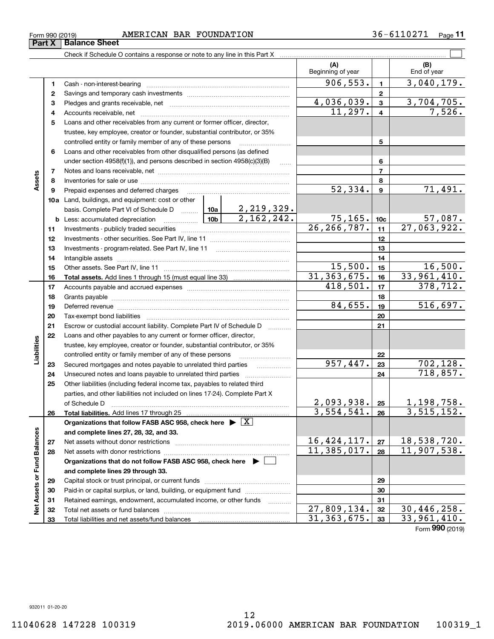|                             | 7  |                                                                                       |                 |                                 |                              | $\overline{7}$  |                             |
|-----------------------------|----|---------------------------------------------------------------------------------------|-----------------|---------------------------------|------------------------------|-----------------|-----------------------------|
| Assets                      | 8  |                                                                                       |                 |                                 |                              | 8               |                             |
|                             | 9  | Prepaid expenses and deferred charges                                                 |                 |                                 | 52,334.                      | 9               | 71,491.                     |
|                             |    | 10a Land, buildings, and equipment: cost or other                                     |                 |                                 |                              |                 |                             |
|                             |    | basis. Complete Part VI of Schedule D  10a                                            |                 | $\frac{2,219,329.}{2,162,242.}$ |                              |                 |                             |
|                             |    | <b>b</b> Less: accumulated depreciation<br>.                                          | 10 <sub>b</sub> |                                 | $\frac{75,165}{26,266,787.}$ | 10 <sub>c</sub> | $\frac{57,087}{27,063,922}$ |
|                             | 11 |                                                                                       |                 |                                 |                              | 11              |                             |
|                             | 12 |                                                                                       |                 | 12                              |                              |                 |                             |
|                             | 13 |                                                                                       |                 | 13                              |                              |                 |                             |
|                             | 14 |                                                                                       |                 | 14                              |                              |                 |                             |
|                             | 15 |                                                                                       |                 |                                 | 15,500.                      | 15              | 16,500.                     |
|                             | 16 |                                                                                       |                 | 31, 363, 675.                   | 16                           | 33,961,410.     |                             |
|                             | 17 |                                                                                       |                 |                                 | 418,501.                     | 17              | 378, 712.                   |
|                             | 18 |                                                                                       |                 |                                 |                              | 18              |                             |
|                             | 19 |                                                                                       |                 |                                 | 84,655.                      | 19              | 516,697.                    |
|                             | 20 |                                                                                       |                 |                                 | 20                           |                 |                             |
|                             | 21 | Escrow or custodial account liability. Complete Part IV of Schedule D                 |                 |                                 |                              | 21              |                             |
|                             | 22 | Loans and other payables to any current or former officer, director,                  |                 |                                 |                              |                 |                             |
| Liabilities                 |    | trustee, key employee, creator or founder, substantial contributor, or 35%            |                 |                                 |                              |                 |                             |
|                             |    | controlled entity or family member of any of these persons                            |                 |                                 |                              | 22              |                             |
|                             | 23 | Secured mortgages and notes payable to unrelated third parties                        |                 |                                 | 957,447.                     | 23              | 702, 128.                   |
|                             | 24 | Unsecured notes and loans payable to unrelated third parties                          |                 |                                 |                              | 24              | 718,857.                    |
|                             | 25 | Other liabilities (including federal income tax, payables to related third            |                 |                                 |                              |                 |                             |
|                             |    | parties, and other liabilities not included on lines 17-24). Complete Part X          |                 |                                 |                              |                 |                             |
|                             |    | of Schedule D                                                                         |                 |                                 | 2,093,938.                   | 25              | 1,198,758.                  |
|                             | 26 | Total liabilities. Add lines 17 through 25                                            |                 |                                 | $\overline{3,554}$ , 541.    | 26              | 3,515,152.                  |
|                             |    | Organizations that follow FASB ASC 958, check here $\triangleright \lfloor X \rfloor$ |                 |                                 |                              |                 |                             |
|                             |    | and complete lines 27, 28, 32, and 33.                                                |                 |                                 |                              |                 |                             |
|                             | 27 |                                                                                       |                 |                                 | 16,424,117.                  | 27              | 18,538,720.                 |
|                             | 28 | Net assets with donor restrictions                                                    |                 |                                 | 11,385,017.                  | 28              | 11,907,538.                 |
|                             |    | Organizations that do not follow FASB ASC 958, check here $\blacktriangleright$       |                 |                                 |                              |                 |                             |
|                             |    | and complete lines 29 through 33.                                                     |                 |                                 |                              |                 |                             |
|                             | 29 |                                                                                       |                 |                                 | 29                           |                 |                             |
| Net Assets or Fund Balances | 30 | Paid-in or capital surplus, or land, building, or equipment fund                      |                 |                                 | 30                           |                 |                             |
|                             | 31 | Retained earnings, endowment, accumulated income, or other funds                      |                 |                                 | 31                           |                 |                             |
|                             | 32 | Total net assets or fund balances                                                     |                 |                                 | 27,809,134.                  | 32              | 30,446,258.                 |
|                             | 33 | Total liabilities and net assets/fund balances                                        |                 |                                 | 31, 363, 675.                | 33              | 33,961,410.                 |
|                             |    |                                                                                       |                 |                                 |                              |                 | Form 990 (2019)             |

#### Form 990 (2019) AMERICAN BAR <code>FOUNDATION</code> 3 6-6110271 Page **Part X** | Balance Sheet

Cash - non-interest-bearing ~~~~~~~~~~~~~~~~~~~~~~~~~ Savings and temporary cash investments ~~~~~~~~~~~~~~~~~~ Pledges and grants receivable, net  $\ldots$  **multimes contained and grants receivable**, net **multimes contained and grants receivable**, net **multimes contained and grants receivable** Accounts receivable, net ~~~~~~~~~~~~~~~~~~~~~~~~~~ Loans and other receivables from any current or former officer, director,

trustee, key employee, creator or founder, substantial contributor, or 35% controlled entity or family member of any of these persons ~~~~~~~~~

under section 4958(f)(1)), and persons described in section 4958(c)(3)(B)  $\ldots$ 

Check if Schedule O contains a response or note to any line in this Part X

**6**Loans and other receivables from other disqualified persons (as defined

**11**

 $\mathcal{L}^{\text{max}}$ 

**(A) (B)**

Beginning of year | | End of year

 $906,553.$  1 3,040,179.

 $11,297.$  4 7,526. 4,036,039. 3,704,705.

**5**

**6**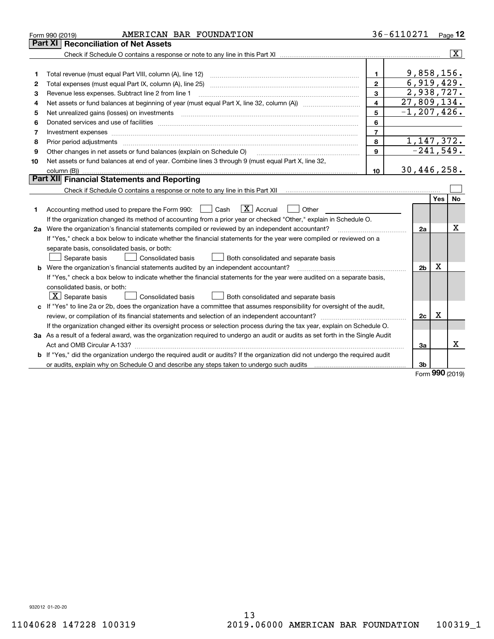|    | AMERICAN BAR FOUNDATION<br>Form 990 (2019)                                                                                      |                         | 36-6110271               |                |     | Page 12                 |
|----|---------------------------------------------------------------------------------------------------------------------------------|-------------------------|--------------------------|----------------|-----|-------------------------|
|    | Part XI<br><b>Reconciliation of Net Assets</b>                                                                                  |                         |                          |                |     |                         |
|    |                                                                                                                                 |                         |                          |                |     | $\overline{\mathbf{X}}$ |
|    |                                                                                                                                 |                         |                          |                |     |                         |
| 1  |                                                                                                                                 | $\mathbf{1}$            |                          | 9,858,156.     |     |                         |
| 2  |                                                                                                                                 | $\overline{2}$          |                          | 6,919,429.     |     |                         |
| 3  | Revenue less expenses. Subtract line 2 from line 1                                                                              | 3                       |                          | 2,938,727.     |     |                         |
| 4  |                                                                                                                                 | $\overline{\mathbf{4}}$ | $\overline{27,809,134.}$ |                |     |                         |
| 5  |                                                                                                                                 | 5                       | $-1, 207, 426.$          |                |     |                         |
| 6  |                                                                                                                                 | 6                       |                          |                |     |                         |
| 7  | Investment expenses www.communication.com/www.communication.com/www.communication.com/www.communication.com                     | $\overline{7}$          |                          |                |     |                         |
| 8  |                                                                                                                                 | 8                       |                          | 1, 147, 372.   |     |                         |
| 9  | Other changes in net assets or fund balances (explain on Schedule O)                                                            | 9                       |                          | $-241,549.$    |     |                         |
| 10 | Net assets or fund balances at end of year. Combine lines 3 through 9 (must equal Part X, line 32,                              |                         |                          |                |     |                         |
|    | column (B))                                                                                                                     | 10                      | 30,446,258.              |                |     |                         |
|    | Part XII Financial Statements and Reporting                                                                                     |                         |                          |                |     |                         |
|    |                                                                                                                                 |                         |                          |                |     |                         |
|    |                                                                                                                                 |                         |                          |                | Yes | <b>No</b>               |
| 1  | $\mathbf{X}$ Accrual<br>Accounting method used to prepare the Form 990: <u>June</u> Cash<br>Other                               |                         |                          |                |     |                         |
|    | If the organization changed its method of accounting from a prior year or checked "Other," explain in Schedule O.               |                         |                          |                |     |                         |
|    | 2a Were the organization's financial statements compiled or reviewed by an independent accountant?                              |                         |                          | 2a             |     | X                       |
|    | If "Yes," check a box below to indicate whether the financial statements for the year were compiled or reviewed on a            |                         |                          |                |     |                         |
|    | separate basis, consolidated basis, or both:                                                                                    |                         |                          |                |     |                         |
|    | Separate basis<br>Consolidated basis<br>Both consolidated and separate basis                                                    |                         |                          |                |     |                         |
|    | b Were the organization's financial statements audited by an independent accountant?                                            |                         |                          | 2 <sub>b</sub> | х   |                         |
|    | If "Yes," check a box below to indicate whether the financial statements for the year were audited on a separate basis,         |                         |                          |                |     |                         |
|    | consolidated basis, or both:                                                                                                    |                         |                          |                |     |                         |
|    | $\mid$ $\rm X\mid$ Separate basis<br>Consolidated basis<br>Both consolidated and separate basis                                 |                         |                          |                |     |                         |
|    | c If "Yes" to line 2a or 2b, does the organization have a committee that assumes responsibility for oversight of the audit,     |                         |                          |                |     |                         |
|    |                                                                                                                                 |                         |                          | 2c             | х   |                         |
|    | If the organization changed either its oversight process or selection process during the tax year, explain on Schedule O.       |                         |                          |                |     |                         |
|    | 3a As a result of a federal award, was the organization required to undergo an audit or audits as set forth in the Single Audit |                         |                          |                |     |                         |
|    |                                                                                                                                 |                         |                          | За             |     | x                       |
|    | b If "Yes," did the organization undergo the required audit or audits? If the organization did not undergo the required audit   |                         |                          |                |     |                         |
|    |                                                                                                                                 |                         |                          | 3b             |     |                         |

Form (2019) **990**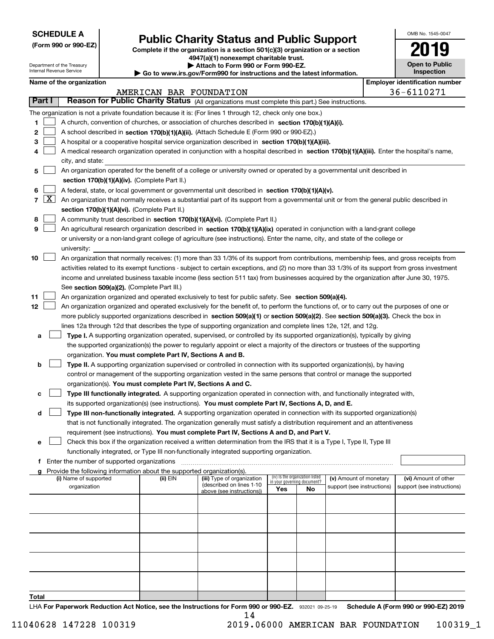| <b>SCHEDULE A</b> |
|-------------------|
|-------------------|

Department of the Treasury Internal Revenue Service

**(Form 990 or 990-EZ)**

# **Public Charity Status and Public Support**

**Complete if the organization is a section 501(c)(3) organization or a section 4947(a)(1) nonexempt charitable trust.**

**| Attach to Form 990 or Form 990-EZ.** 

**| Go to www.irs.gov/Form990 for instructions and the latest information.**

| OMB No. 1545-0047     |
|-----------------------|
| 2019                  |
| <b>Open to Public</b> |

| <b>Inspection</b>                          |
|--------------------------------------------|
| بما ممدد مدارسات فالمراس فالقابل مراسات مد |

|  |  | Name of the organization |
|--|--|--------------------------|
|--|--|--------------------------|

|               |            | Name of the organization                                                                                                                      |                         |                                                        |                                                                |    |                            | <b>Employer identification number</b> |  |
|---------------|------------|-----------------------------------------------------------------------------------------------------------------------------------------------|-------------------------|--------------------------------------------------------|----------------------------------------------------------------|----|----------------------------|---------------------------------------|--|
|               |            |                                                                                                                                               | AMERICAN BAR FOUNDATION |                                                        |                                                                |    |                            | 36-6110271                            |  |
|               | Part I     | Reason for Public Charity Status (All organizations must complete this part.) See instructions.                                               |                         |                                                        |                                                                |    |                            |                                       |  |
|               |            | The organization is not a private foundation because it is: (For lines 1 through 12, check only one box.)                                     |                         |                                                        |                                                                |    |                            |                                       |  |
| 1.            |            | A church, convention of churches, or association of churches described in section 170(b)(1)(A)(i).                                            |                         |                                                        |                                                                |    |                            |                                       |  |
| 2             |            | A school described in section 170(b)(1)(A)(ii). (Attach Schedule E (Form 990 or 990-EZ).)                                                     |                         |                                                        |                                                                |    |                            |                                       |  |
| з             |            | A hospital or a cooperative hospital service organization described in section $170(b)(1)(A)(iii)$ .                                          |                         |                                                        |                                                                |    |                            |                                       |  |
| 4             |            | A medical research organization operated in conjunction with a hospital described in section 170(b)(1)(A)(iii). Enter the hospital's name,    |                         |                                                        |                                                                |    |                            |                                       |  |
|               |            | city, and state:                                                                                                                              |                         |                                                        |                                                                |    |                            |                                       |  |
| 5             |            | An organization operated for the benefit of a college or university owned or operated by a governmental unit described in                     |                         |                                                        |                                                                |    |                            |                                       |  |
|               |            | section 170(b)(1)(A)(iv). (Complete Part II.)                                                                                                 |                         |                                                        |                                                                |    |                            |                                       |  |
| 6             |            | A federal, state, or local government or governmental unit described in section 170(b)(1)(A)(v).                                              |                         |                                                        |                                                                |    |                            |                                       |  |
|               | $7 \times$ | An organization that normally receives a substantial part of its support from a governmental unit or from the general public described in     |                         |                                                        |                                                                |    |                            |                                       |  |
|               |            | section 170(b)(1)(A)(vi). (Complete Part II.)                                                                                                 |                         |                                                        |                                                                |    |                            |                                       |  |
| 8             |            | A community trust described in section 170(b)(1)(A)(vi). (Complete Part II.)                                                                  |                         |                                                        |                                                                |    |                            |                                       |  |
| 9             |            | An agricultural research organization described in section 170(b)(1)(A)(ix) operated in conjunction with a land-grant college                 |                         |                                                        |                                                                |    |                            |                                       |  |
|               |            | or university or a non-land-grant college of agriculture (see instructions). Enter the name, city, and state of the college or                |                         |                                                        |                                                                |    |                            |                                       |  |
|               |            | university:                                                                                                                                   |                         |                                                        |                                                                |    |                            |                                       |  |
| 10            |            | An organization that normally receives: (1) more than 33 1/3% of its support from contributions, membership fees, and gross receipts from     |                         |                                                        |                                                                |    |                            |                                       |  |
|               |            |                                                                                                                                               |                         |                                                        |                                                                |    |                            |                                       |  |
|               |            | activities related to its exempt functions - subject to certain exceptions, and (2) no more than 33 1/3% of its support from gross investment |                         |                                                        |                                                                |    |                            |                                       |  |
|               |            | income and unrelated business taxable income (less section 511 tax) from businesses acquired by the organization after June 30, 1975.         |                         |                                                        |                                                                |    |                            |                                       |  |
|               |            | See section 509(a)(2). (Complete Part III.)                                                                                                   |                         |                                                        |                                                                |    |                            |                                       |  |
| 11            |            | An organization organized and operated exclusively to test for public safety. See section 509(a)(4).                                          |                         |                                                        |                                                                |    |                            |                                       |  |
| 12            |            | An organization organized and operated exclusively for the benefit of, to perform the functions of, or to carry out the purposes of one or    |                         |                                                        |                                                                |    |                            |                                       |  |
|               |            | more publicly supported organizations described in section 509(a)(1) or section 509(a)(2). See section 509(a)(3). Check the box in            |                         |                                                        |                                                                |    |                            |                                       |  |
|               |            | lines 12a through 12d that describes the type of supporting organization and complete lines 12e, 12f, and 12g.                                |                         |                                                        |                                                                |    |                            |                                       |  |
| а             |            | <b>Type I.</b> A supporting organization operated, supervised, or controlled by its supported organization(s), typically by giving            |                         |                                                        |                                                                |    |                            |                                       |  |
|               |            | the supported organization(s) the power to regularly appoint or elect a majority of the directors or trustees of the supporting               |                         |                                                        |                                                                |    |                            |                                       |  |
|               |            | organization. You must complete Part IV, Sections A and B.                                                                                    |                         |                                                        |                                                                |    |                            |                                       |  |
| b             |            | Type II. A supporting organization supervised or controlled in connection with its supported organization(s), by having                       |                         |                                                        |                                                                |    |                            |                                       |  |
|               |            | control or management of the supporting organization vested in the same persons that control or manage the supported                          |                         |                                                        |                                                                |    |                            |                                       |  |
|               |            | organization(s). You must complete Part IV, Sections A and C.                                                                                 |                         |                                                        |                                                                |    |                            |                                       |  |
| с             |            | Type III functionally integrated. A supporting organization operated in connection with, and functionally integrated with,                    |                         |                                                        |                                                                |    |                            |                                       |  |
|               |            | its supported organization(s) (see instructions). You must complete Part IV, Sections A, D, and E.                                            |                         |                                                        |                                                                |    |                            |                                       |  |
| d             |            | Type III non-functionally integrated. A supporting organization operated in connection with its supported organization(s)                     |                         |                                                        |                                                                |    |                            |                                       |  |
|               |            | that is not functionally integrated. The organization generally must satisfy a distribution requirement and an attentiveness                  |                         |                                                        |                                                                |    |                            |                                       |  |
|               |            | requirement (see instructions). You must complete Part IV, Sections A and D, and Part V.                                                      |                         |                                                        |                                                                |    |                            |                                       |  |
|               |            | Check this box if the organization received a written determination from the IRS that it is a Type I, Type II, Type III                       |                         |                                                        |                                                                |    |                            |                                       |  |
|               |            | functionally integrated, or Type III non-functionally integrated supporting organization.                                                     |                         |                                                        |                                                                |    |                            |                                       |  |
|               |            | f Enter the number of supported organizations                                                                                                 |                         |                                                        |                                                                |    |                            |                                       |  |
|               |            | g Provide the following information about the supported organization(s).                                                                      |                         |                                                        |                                                                |    |                            |                                       |  |
|               |            | (i) Name of supported                                                                                                                         | (ii) EIN                | (iii) Type of organization<br>(described on lines 1-10 | (iv) Is the organization listed<br>in your governing document? |    | (v) Amount of monetary     | (vi) Amount of other                  |  |
|               |            | organization                                                                                                                                  |                         | above (see instructions))                              | Yes                                                            | No | support (see instructions) | support (see instructions)            |  |
|               |            |                                                                                                                                               |                         |                                                        |                                                                |    |                            |                                       |  |
|               |            |                                                                                                                                               |                         |                                                        |                                                                |    |                            |                                       |  |
|               |            |                                                                                                                                               |                         |                                                        |                                                                |    |                            |                                       |  |
|               |            |                                                                                                                                               |                         |                                                        |                                                                |    |                            |                                       |  |
|               |            |                                                                                                                                               |                         |                                                        |                                                                |    |                            |                                       |  |
|               |            |                                                                                                                                               |                         |                                                        |                                                                |    |                            |                                       |  |
|               |            |                                                                                                                                               |                         |                                                        |                                                                |    |                            |                                       |  |
|               |            |                                                                                                                                               |                         |                                                        |                                                                |    |                            |                                       |  |
|               |            |                                                                                                                                               |                         |                                                        |                                                                |    |                            |                                       |  |
|               |            |                                                                                                                                               |                         |                                                        |                                                                |    |                            |                                       |  |
| To <u>tal</u> |            |                                                                                                                                               |                         |                                                        |                                                                |    |                            |                                       |  |
|               |            |                                                                                                                                               |                         |                                                        |                                                                |    |                            |                                       |  |

LHA For Paperwork Reduction Act Notice, see the Instructions for Form 990 or 990-EZ. 932021 09-25-19 Schedule A (Form 990 or 990-EZ) 2019 14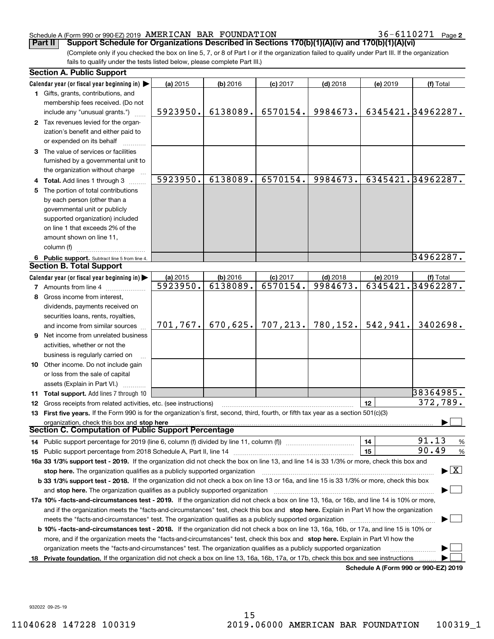**2**

(Complete only if you checked the box on line 5, 7, or 8 of Part I or if the organization failed to qualify under Part III. If the organization fails to qualify under the tests listed below, please complete Part III.) **Part II Support Schedule for Organizations Described in Sections 170(b)(1)(A)(iv) and 170(b)(1)(A)(vi)**

|    | <b>Section A. Public Support</b>                                                                                                               |           |          |            |            |          |                                      |
|----|------------------------------------------------------------------------------------------------------------------------------------------------|-----------|----------|------------|------------|----------|--------------------------------------|
|    | Calendar year (or fiscal year beginning in)                                                                                                    | (a) 2015  | (b) 2016 | $(c)$ 2017 | $(d)$ 2018 | (e) 2019 | (f) Total                            |
|    | 1 Gifts, grants, contributions, and                                                                                                            |           |          |            |            |          |                                      |
|    | membership fees received. (Do not                                                                                                              |           |          |            |            |          |                                      |
|    | include any "unusual grants.")                                                                                                                 | 5923950.  | 6138089. | 6570154.   | 9984673.   |          | 6345421.34962287.                    |
|    | 2 Tax revenues levied for the organ-                                                                                                           |           |          |            |            |          |                                      |
|    | ization's benefit and either paid to                                                                                                           |           |          |            |            |          |                                      |
|    | or expended on its behalf                                                                                                                      |           |          |            |            |          |                                      |
|    | 3 The value of services or facilities                                                                                                          |           |          |            |            |          |                                      |
|    | furnished by a governmental unit to                                                                                                            |           |          |            |            |          |                                      |
|    | the organization without charge                                                                                                                |           |          |            |            |          |                                      |
|    | Total. Add lines 1 through 3                                                                                                                   | 5923950.  | 6138089. | 6570154.   | 9984673.   |          | 6345421.34962287.                    |
| 5  | The portion of total contributions                                                                                                             |           |          |            |            |          |                                      |
|    | by each person (other than a                                                                                                                   |           |          |            |            |          |                                      |
|    | governmental unit or publicly                                                                                                                  |           |          |            |            |          |                                      |
|    | supported organization) included                                                                                                               |           |          |            |            |          |                                      |
|    | on line 1 that exceeds 2% of the                                                                                                               |           |          |            |            |          |                                      |
|    | amount shown on line 11.                                                                                                                       |           |          |            |            |          |                                      |
|    | column (f)                                                                                                                                     |           |          |            |            |          |                                      |
|    | 6 Public support. Subtract line 5 from line 4.                                                                                                 |           |          |            |            |          | 34962287.                            |
|    | <b>Section B. Total Support</b>                                                                                                                |           |          |            |            |          |                                      |
|    | Calendar year (or fiscal year beginning in)                                                                                                    | (a) 2015  | (b) 2016 | $(c)$ 2017 | $(d)$ 2018 | (e) 2019 | (f) Total                            |
|    | <b>7</b> Amounts from line 4                                                                                                                   | 5923950.  | 6138089. | 6570154.   | 9984673.   |          | 6345421.34962287.                    |
| 8  | Gross income from interest,                                                                                                                    |           |          |            |            |          |                                      |
|    | dividends, payments received on                                                                                                                |           |          |            |            |          |                                      |
|    | securities loans, rents, royalties,                                                                                                            |           |          |            |            |          |                                      |
|    | and income from similar sources                                                                                                                | 701, 767. | 670,625. | 707, 213.  | 780, 152.  | 542,941. | 3402698.                             |
| 9  | Net income from unrelated business                                                                                                             |           |          |            |            |          |                                      |
|    | activities, whether or not the                                                                                                                 |           |          |            |            |          |                                      |
|    | business is regularly carried on                                                                                                               |           |          |            |            |          |                                      |
|    | 10 Other income. Do not include gain                                                                                                           |           |          |            |            |          |                                      |
|    | or loss from the sale of capital                                                                                                               |           |          |            |            |          |                                      |
|    | assets (Explain in Part VI.)                                                                                                                   |           |          |            |            |          |                                      |
|    | 11 Total support. Add lines 7 through 10                                                                                                       |           |          |            |            |          | 38364985.                            |
|    | 12 Gross receipts from related activities, etc. (see instructions)                                                                             |           |          |            |            | 12       | 372,789.                             |
|    | 13 First five years. If the Form 990 is for the organization's first, second, third, fourth, or fifth tax year as a section 501(c)(3)          |           |          |            |            |          |                                      |
|    | organization, check this box and stop here                                                                                                     |           |          |            |            |          |                                      |
|    | <b>Section C. Computation of Public Support Percentage</b>                                                                                     |           |          |            |            |          |                                      |
|    | 14 Public support percentage for 2019 (line 6, column (f) divided by line 11, column (f) <i>mummention</i>                                     |           |          |            |            | 14       | 91.13<br>%                           |
|    |                                                                                                                                                |           |          |            |            | 15       | 90.49<br>%                           |
|    | 16a 33 1/3% support test - 2019. If the organization did not check the box on line 13, and line 14 is 33 1/3% or more, check this box and      |           |          |            |            |          |                                      |
|    | stop here. The organization qualifies as a publicly supported organization                                                                     |           |          |            |            |          | $\blacktriangleright$ $\mid$ X       |
|    | b 33 1/3% support test - 2018. If the organization did not check a box on line 13 or 16a, and line 15 is 33 1/3% or more, check this box       |           |          |            |            |          |                                      |
|    | and stop here. The organization qualifies as a publicly supported organization                                                                 |           |          |            |            |          |                                      |
|    | 17a 10% -facts-and-circumstances test - 2019. If the organization did not check a box on line 13, 16a, or 16b, and line 14 is 10% or more,     |           |          |            |            |          |                                      |
|    | and if the organization meets the "facts-and-circumstances" test, check this box and stop here. Explain in Part VI how the organization        |           |          |            |            |          |                                      |
|    | meets the "facts-and-circumstances" test. The organization qualifies as a publicly supported organization                                      |           |          |            |            |          |                                      |
|    | <b>b 10% -facts-and-circumstances test - 2018.</b> If the organization did not check a box on line 13, 16a, 16b, or 17a, and line 15 is 10% or |           |          |            |            |          |                                      |
|    | more, and if the organization meets the "facts-and-circumstances" test, check this box and stop here. Explain in Part VI how the               |           |          |            |            |          |                                      |
|    | organization meets the "facts-and-circumstances" test. The organization qualifies as a publicly supported organization                         |           |          |            |            |          |                                      |
| 18 | Private foundation. If the organization did not check a box on line 13, 16a, 16b, 17a, or 17b, check this box and see instructions             |           |          |            |            |          |                                      |
|    |                                                                                                                                                |           |          |            |            |          | Schedule A (Form 990 or 990-F7) 2019 |

**Schedule A (Form 990 or 990-EZ) 2019**

932022 09-25-19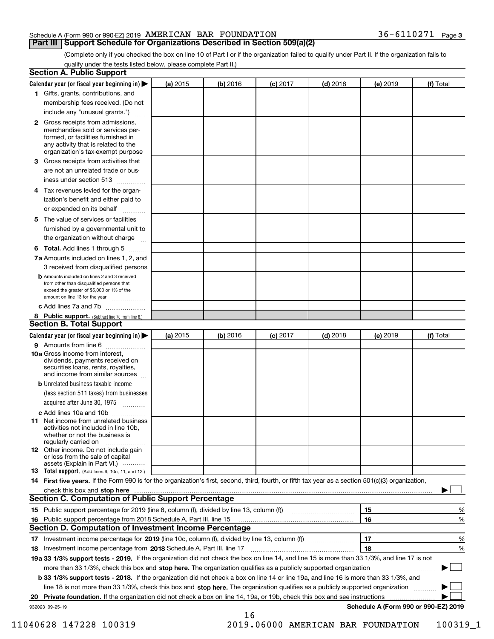#### **Part III Support Schedule for Organizations Described in Section 509(a)(2)**

(Complete only if you checked the box on line 10 of Part I or if the organization failed to qualify under Part II. If the organization fails to qualify under the tests listed below, please complete Part II.)

|    | <b>Section A. Public Support</b>                                                                                                                                                         |            |          |            |            |          |                                      |
|----|------------------------------------------------------------------------------------------------------------------------------------------------------------------------------------------|------------|----------|------------|------------|----------|--------------------------------------|
|    | Calendar year (or fiscal year beginning in) $\blacktriangleright$                                                                                                                        | (a) 2015   | (b) 2016 | $(c)$ 2017 | $(d)$ 2018 | (e) 2019 | (f) Total                            |
|    | 1 Gifts, grants, contributions, and                                                                                                                                                      |            |          |            |            |          |                                      |
|    | membership fees received. (Do not                                                                                                                                                        |            |          |            |            |          |                                      |
|    | include any "unusual grants.")                                                                                                                                                           |            |          |            |            |          |                                      |
|    | 2 Gross receipts from admissions,<br>merchandise sold or services per-<br>formed, or facilities furnished in<br>any activity that is related to the<br>organization's tax-exempt purpose |            |          |            |            |          |                                      |
|    | 3 Gross receipts from activities that                                                                                                                                                    |            |          |            |            |          |                                      |
|    | are not an unrelated trade or bus-                                                                                                                                                       |            |          |            |            |          |                                      |
|    | iness under section 513                                                                                                                                                                  |            |          |            |            |          |                                      |
|    | 4 Tax revenues levied for the organ-<br>ization's benefit and either paid to                                                                                                             |            |          |            |            |          |                                      |
|    | or expended on its behalf<br>المتمددات                                                                                                                                                   |            |          |            |            |          |                                      |
|    | 5 The value of services or facilities                                                                                                                                                    |            |          |            |            |          |                                      |
|    | furnished by a governmental unit to                                                                                                                                                      |            |          |            |            |          |                                      |
|    | the organization without charge                                                                                                                                                          |            |          |            |            |          |                                      |
|    | <b>6 Total.</b> Add lines 1 through 5                                                                                                                                                    |            |          |            |            |          |                                      |
|    | 7a Amounts included on lines 1, 2, and                                                                                                                                                   |            |          |            |            |          |                                      |
|    | 3 received from disqualified persons                                                                                                                                                     |            |          |            |            |          |                                      |
|    | <b>b</b> Amounts included on lines 2 and 3 received<br>from other than disqualified persons that<br>exceed the greater of \$5,000 or 1% of the<br>amount on line 13 for the year         |            |          |            |            |          |                                      |
|    | c Add lines 7a and 7b                                                                                                                                                                    |            |          |            |            |          |                                      |
|    | 8 Public support. (Subtract line 7c from line 6.)<br>Section B. Total Support                                                                                                            |            |          |            |            |          |                                      |
|    | Calendar year (or fiscal year beginning in) >                                                                                                                                            | (a) $2015$ | (b) 2016 | $(c)$ 2017 | $(d)$ 2018 | (e) 2019 | (f) Total                            |
|    | 9 Amounts from line 6                                                                                                                                                                    |            |          |            |            |          |                                      |
|    | <b>10a</b> Gross income from interest,<br>dividends, payments received on<br>securities loans, rents, royalties,<br>and income from similar sources                                      |            |          |            |            |          |                                      |
|    | <b>b</b> Unrelated business taxable income                                                                                                                                               |            |          |            |            |          |                                      |
|    | (less section 511 taxes) from businesses                                                                                                                                                 |            |          |            |            |          |                                      |
|    | acquired after June 30, 1975                                                                                                                                                             |            |          |            |            |          |                                      |
|    | c Add lines 10a and 10b                                                                                                                                                                  |            |          |            |            |          |                                      |
|    | <b>11</b> Net income from unrelated business<br>activities not included in line 10b.<br>whether or not the business is<br>regularly carried on                                           |            |          |            |            |          |                                      |
|    | <b>12</b> Other income. Do not include gain<br>or loss from the sale of capital<br>assets (Explain in Part VI.)                                                                          |            |          |            |            |          |                                      |
|    | <b>13</b> Total support. (Add lines 9, 10c, 11, and 12.)                                                                                                                                 |            |          |            |            |          |                                      |
|    | 14 First five years. If the Form 990 is for the organization's first, second, third, fourth, or fifth tax year as a section 501(c)(3) organization,                                      |            |          |            |            |          |                                      |
|    | check this box and stop here with an intermediate control to the control of the control of the control of the c<br><b>Section C. Computation of Public Support Percentage</b>            |            |          |            |            |          |                                      |
|    | 15 Public support percentage for 2019 (line 8, column (f), divided by line 13, column (f))                                                                                               |            |          |            |            | 15       | %                                    |
|    | 16 Public support percentage from 2018 Schedule A, Part III, line 15<br><b>Section D. Computation of Investment Income Percentage</b>                                                    |            |          |            |            | 16       | %                                    |
|    | 17 Investment income percentage for 2019 (line 10c, column (f), divided by line 13, column (f))                                                                                          |            |          |            |            | 17       | %                                    |
|    | 18 Investment income percentage from 2018 Schedule A, Part III, line 17                                                                                                                  |            |          |            |            | 18       | %                                    |
|    | 19a 33 1/3% support tests - 2019. If the organization did not check the box on line 14, and line 15 is more than 33 1/3%, and line 17 is not                                             |            |          |            |            |          |                                      |
|    | more than 33 1/3%, check this box and stop here. The organization qualifies as a publicly supported organization                                                                         |            |          |            |            |          | ▶                                    |
|    | b 33 1/3% support tests - 2018. If the organization did not check a box on line 14 or line 19a, and line 16 is more than 33 1/3%, and                                                    |            |          |            |            |          |                                      |
|    | line 18 is not more than 33 1/3%, check this box and stop here. The organization qualifies as a publicly supported organization                                                          |            |          |            |            |          |                                      |
| 20 | Private foundation. If the organization did not check a box on line 14, 19a, or 19b, check this box and see instructions                                                                 |            |          |            |            |          | .                                    |
|    | 932023 09-25-19                                                                                                                                                                          |            |          |            |            |          | Schedule A (Form 990 or 990-EZ) 2019 |
|    |                                                                                                                                                                                          |            | 16       |            |            |          |                                      |

11040628 147228 100319 2019.06000 AMERICAN BAR FOUNDATION 100319\_1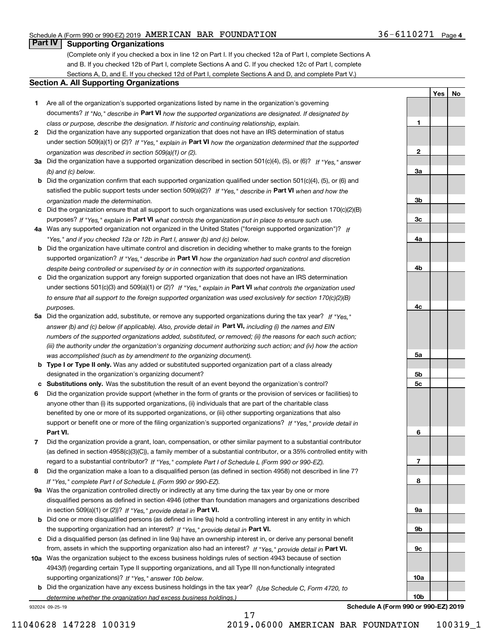### **Part IV Supporting Organizations**

(Complete only if you checked a box in line 12 on Part I. If you checked 12a of Part I, complete Sections A and B. If you checked 12b of Part I, complete Sections A and C. If you checked 12c of Part I, complete Sections A, D, and E. If you checked 12d of Part I, complete Sections A and D, and complete Part V.)

#### **Section A. All Supporting Organizations**

- **1** Are all of the organization's supported organizations listed by name in the organization's governing documents? If "No," describe in **Part VI** how the supported organizations are designated. If designated by *class or purpose, describe the designation. If historic and continuing relationship, explain.*
- **2** Did the organization have any supported organization that does not have an IRS determination of status under section 509(a)(1) or (2)? If "Yes," explain in Part VI how the organization determined that the supported *organization was described in section 509(a)(1) or (2).*
- **3a** Did the organization have a supported organization described in section 501(c)(4), (5), or (6)? If "Yes," answer *(b) and (c) below.*
- **b** Did the organization confirm that each supported organization qualified under section 501(c)(4), (5), or (6) and satisfied the public support tests under section 509(a)(2)? If "Yes," describe in **Part VI** when and how the *organization made the determination.*
- **c**Did the organization ensure that all support to such organizations was used exclusively for section 170(c)(2)(B) purposes? If "Yes," explain in **Part VI** what controls the organization put in place to ensure such use.
- **4a***If* Was any supported organization not organized in the United States ("foreign supported organization")? *"Yes," and if you checked 12a or 12b in Part I, answer (b) and (c) below.*
- **b** Did the organization have ultimate control and discretion in deciding whether to make grants to the foreign supported organization? If "Yes," describe in **Part VI** how the organization had such control and discretion *despite being controlled or supervised by or in connection with its supported organizations.*
- **c** Did the organization support any foreign supported organization that does not have an IRS determination under sections 501(c)(3) and 509(a)(1) or (2)? If "Yes," explain in **Part VI** what controls the organization used *to ensure that all support to the foreign supported organization was used exclusively for section 170(c)(2)(B) purposes.*
- **5a***If "Yes,"* Did the organization add, substitute, or remove any supported organizations during the tax year? answer (b) and (c) below (if applicable). Also, provide detail in **Part VI,** including (i) the names and EIN *numbers of the supported organizations added, substituted, or removed; (ii) the reasons for each such action; (iii) the authority under the organization's organizing document authorizing such action; and (iv) how the action was accomplished (such as by amendment to the organizing document).*
- **b** Type I or Type II only. Was any added or substituted supported organization part of a class already designated in the organization's organizing document?
- **cSubstitutions only.**  Was the substitution the result of an event beyond the organization's control?
- **6** Did the organization provide support (whether in the form of grants or the provision of services or facilities) to **Part VI.** *If "Yes," provide detail in* support or benefit one or more of the filing organization's supported organizations? anyone other than (i) its supported organizations, (ii) individuals that are part of the charitable class benefited by one or more of its supported organizations, or (iii) other supporting organizations that also
- **7**Did the organization provide a grant, loan, compensation, or other similar payment to a substantial contributor *If "Yes," complete Part I of Schedule L (Form 990 or 990-EZ).* regard to a substantial contributor? (as defined in section 4958(c)(3)(C)), a family member of a substantial contributor, or a 35% controlled entity with
- **8** Did the organization make a loan to a disqualified person (as defined in section 4958) not described in line 7? *If "Yes," complete Part I of Schedule L (Form 990 or 990-EZ).*
- **9a** Was the organization controlled directly or indirectly at any time during the tax year by one or more in section 509(a)(1) or (2))? If "Yes," *provide detail in* <code>Part VI.</code> disqualified persons as defined in section 4946 (other than foundation managers and organizations described
- **b**the supporting organization had an interest? If "Yes," provide detail in P**art VI**. Did one or more disqualified persons (as defined in line 9a) hold a controlling interest in any entity in which
- **c**Did a disqualified person (as defined in line 9a) have an ownership interest in, or derive any personal benefit from, assets in which the supporting organization also had an interest? If "Yes," provide detail in P**art VI.**
- **10a** Was the organization subject to the excess business holdings rules of section 4943 because of section supporting organizations)? If "Yes," answer 10b below. 4943(f) (regarding certain Type II supporting organizations, and all Type III non-functionally integrated
- **b** Did the organization have any excess business holdings in the tax year? (Use Schedule C, Form 4720, to *determine whether the organization had excess business holdings.)*

17

932024 09-25-19

| 1              |  |  |
|----------------|--|--|
|                |  |  |
| $\overline{2}$ |  |  |
|                |  |  |
| <u>3a</u>      |  |  |
|                |  |  |
| $\frac{3b}{2}$ |  |  |
|                |  |  |
| $\frac{3c}{2}$ |  |  |
|                |  |  |
| <u>4a</u>      |  |  |
|                |  |  |
| 4 <sub>b</sub> |  |  |
|                |  |  |
| $rac{4c}{2}$   |  |  |
|                |  |  |
|                |  |  |
| <u>5a</u>      |  |  |
|                |  |  |
| 5b             |  |  |
| $\frac{5c}{2}$ |  |  |
|                |  |  |
| 6              |  |  |
|                |  |  |
| $\overline{1}$ |  |  |
|                |  |  |
| 8              |  |  |
|                |  |  |
| <u>9a</u>      |  |  |
| <u>9b</u>      |  |  |
|                |  |  |
| $\frac{9c}{2}$ |  |  |
|                |  |  |
| 10a            |  |  |

**Yes**

**No**

**Schedule A (Form 990 or 990-EZ) 2019**

**10b**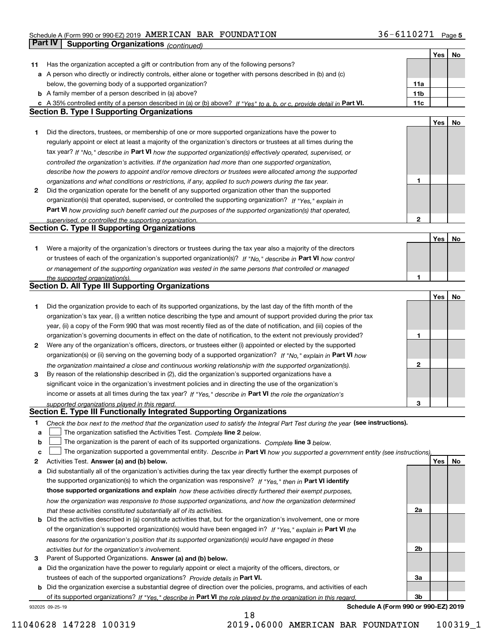|    | Part IV<br><b>Supporting Organizations (continued)</b>                                                                            |                 |     |    |
|----|-----------------------------------------------------------------------------------------------------------------------------------|-----------------|-----|----|
|    |                                                                                                                                   |                 | Yes | No |
| 11 | Has the organization accepted a gift or contribution from any of the following persons?                                           |                 |     |    |
|    | a A person who directly or indirectly controls, either alone or together with persons described in (b) and (c)                    |                 |     |    |
|    | below, the governing body of a supported organization?                                                                            | 11a             |     |    |
|    | <b>b</b> A family member of a person described in (a) above?                                                                      | 11 <sub>b</sub> |     |    |
|    | c A 35% controlled entity of a person described in (a) or (b) above? If "Yes" to a, b, or c, provide detail in Part VI.           | 11c             |     |    |
|    | <b>Section B. Type I Supporting Organizations</b>                                                                                 |                 |     |    |
|    |                                                                                                                                   |                 | Yes | No |
| 1  | Did the directors, trustees, or membership of one or more supported organizations have the power to                               |                 |     |    |
|    | regularly appoint or elect at least a majority of the organization's directors or trustees at all times during the                |                 |     |    |
|    | tax year? If "No," describe in Part VI how the supported organization(s) effectively operated, supervised, or                     |                 |     |    |
|    | controlled the organization's activities. If the organization had more than one supported organization,                           |                 |     |    |
|    | describe how the powers to appoint and/or remove directors or trustees were allocated among the supported                         |                 |     |    |
|    | organizations and what conditions or restrictions, if any, applied to such powers during the tax year.                            | 1               |     |    |
| 2  | Did the organization operate for the benefit of any supported organization other than the supported                               |                 |     |    |
|    | organization(s) that operated, supervised, or controlled the supporting organization? If "Yes," explain in                        |                 |     |    |
|    | Part VI how providing such benefit carried out the purposes of the supported organization(s) that operated,                       |                 |     |    |
|    | supervised, or controlled the supporting organization.                                                                            | $\mathbf{2}$    |     |    |
|    | <b>Section C. Type II Supporting Organizations</b>                                                                                |                 |     |    |
|    |                                                                                                                                   |                 | Yes | No |
| 1  | Were a majority of the organization's directors or trustees during the tax year also a majority of the directors                  |                 |     |    |
|    | or trustees of each of the organization's supported organization(s)? If "No." describe in Part VI how control                     |                 |     |    |
|    | or management of the supporting organization was vested in the same persons that controlled or managed                            |                 |     |    |
|    | the supported organization(s).                                                                                                    | 1               |     |    |
|    | <b>Section D. All Type III Supporting Organizations</b>                                                                           |                 |     |    |
|    |                                                                                                                                   |                 | Yes | No |
| 1  | Did the organization provide to each of its supported organizations, by the last day of the fifth month of the                    |                 |     |    |
|    | organization's tax year, (i) a written notice describing the type and amount of support provided during the prior tax             |                 |     |    |
|    | year, (ii) a copy of the Form 990 that was most recently filed as of the date of notification, and (iii) copies of the            |                 |     |    |
|    | organization's governing documents in effect on the date of notification, to the extent not previously provided?                  | 1               |     |    |
| 2  | Were any of the organization's officers, directors, or trustees either (i) appointed or elected by the supported                  |                 |     |    |
|    | organization(s) or (ii) serving on the governing body of a supported organization? If "No," explain in Part VI how                |                 |     |    |
|    | the organization maintained a close and continuous working relationship with the supported organization(s).                       | $\mathbf{2}$    |     |    |
| 3  | By reason of the relationship described in (2), did the organization's supported organizations have a                             |                 |     |    |
|    | significant voice in the organization's investment policies and in directing the use of the organization's                        |                 |     |    |
|    | income or assets at all times during the tax year? If "Yes," describe in Part VI the role the organization's                      |                 |     |    |
|    | supported organizations played in this regard.                                                                                    | 3               |     |    |
|    | Section E. Type III Functionally Integrated Supporting Organizations                                                              |                 |     |    |
| 1  | Check the box next to the method that the organization used to satisfy the Integral Part Test during the year (see instructions). |                 |     |    |
| а  | The organization satisfied the Activities Test. Complete line 2 below.                                                            |                 |     |    |
| b  | The organization is the parent of each of its supported organizations. Complete line 3 below.                                     |                 |     |    |
| c  | The organization supported a governmental entity. Describe in Part VI how you supported a government entity (see instructions),   |                 |     |    |
| 2  | Activities Test. Answer (a) and (b) below.                                                                                        |                 | Yes | No |
| а  | Did substantially all of the organization's activities during the tax year directly further the exempt purposes of                |                 |     |    |
|    | the supported organization(s) to which the organization was responsive? If "Yes," then in Part VI identify                        |                 |     |    |
|    | those supported organizations and explain how these activities directly furthered their exempt purposes,                          |                 |     |    |
|    | how the organization was responsive to those supported organizations, and how the organization determined                         |                 |     |    |
|    | that these activities constituted substantially all of its activities.                                                            | 2a              |     |    |
|    | <b>b</b> Did the activities described in (a) constitute activities that, but for the organization's involvement, one or more      |                 |     |    |
|    | of the organization's supported organization(s) would have been engaged in? If "Yes," explain in Part VI the                      |                 |     |    |
|    | reasons for the organization's position that its supported organization(s) would have engaged in these                            |                 |     |    |
|    | activities but for the organization's involvement.                                                                                | 2 <sub>b</sub>  |     |    |
| з  | Parent of Supported Organizations. Answer (a) and (b) below.                                                                      |                 |     |    |
|    | a Did the organization have the power to regularly appoint or elect a majority of the officers, directors, or                     |                 |     |    |
|    | trustees of each of the supported organizations? Provide details in Part VI.                                                      | За              |     |    |
|    | <b>b</b> Did the organization exercise a substantial degree of direction over the policies, programs, and activities of each      |                 |     |    |
|    | of its supported organizations? If "Yes." describe in Part VI the role played by the organization in this regard.                 | 3b              |     |    |

18

932025 09-25-19

**Schedule A (Form 990 or 990-EZ) 2019**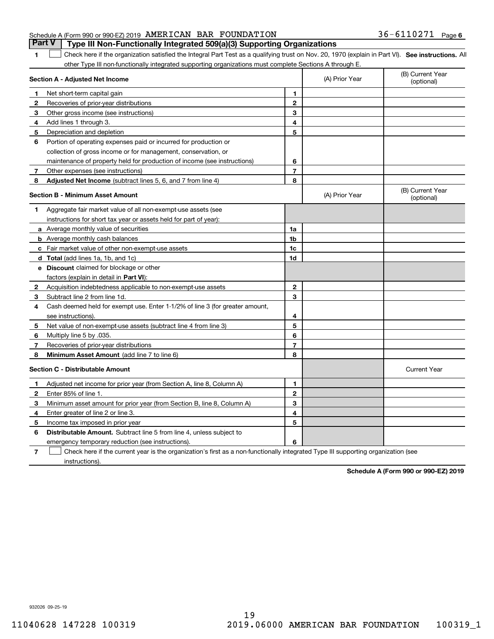|                                                              |  | <b>Part V</b> Type III Non-Functionally Integrated 509(a)(3) Supporting Organizations |                       |  |
|--------------------------------------------------------------|--|---------------------------------------------------------------------------------------|-----------------------|--|
| Schedule A (Form 990 or 990-EZ) 2019 AMERICAN BAR FOUNDATION |  |                                                                                       | $36 - 6110271$ Page 6 |  |

**1**

1 Check here if the organization satisfied the Integral Part Test as a qualifying trust on Nov. 20, 1970 (explain in Part VI). See instructions. All other Type III non-functionally integrated supporting organizations must complete Sections A through E.

|   | Section A - Adjusted Net Income                                              |                | (A) Prior Year | (B) Current Year<br>(optional) |
|---|------------------------------------------------------------------------------|----------------|----------------|--------------------------------|
| 1 | Net short-term capital gain                                                  | 1              |                |                                |
| 2 | Recoveries of prior-year distributions                                       | $\mathbf{2}$   |                |                                |
| З | Other gross income (see instructions)                                        | 3              |                |                                |
| 4 | Add lines 1 through 3.                                                       | 4              |                |                                |
| 5 | Depreciation and depletion                                                   | 5              |                |                                |
| 6 | Portion of operating expenses paid or incurred for production or             |                |                |                                |
|   | collection of gross income or for management, conservation, or               |                |                |                                |
|   | maintenance of property held for production of income (see instructions)     | 6              |                |                                |
| 7 | Other expenses (see instructions)                                            | $\overline{7}$ |                |                                |
| 8 | Adjusted Net Income (subtract lines 5, 6, and 7 from line 4)                 | 8              |                |                                |
|   | <b>Section B - Minimum Asset Amount</b>                                      |                | (A) Prior Year | (B) Current Year<br>(optional) |
| 1 | Aggregate fair market value of all non-exempt-use assets (see                |                |                |                                |
|   | instructions for short tax year or assets held for part of year):            |                |                |                                |
|   | a Average monthly value of securities                                        | 1a             |                |                                |
|   | <b>b</b> Average monthly cash balances                                       | 1b             |                |                                |
|   | c Fair market value of other non-exempt-use assets                           | 1c             |                |                                |
|   | d Total (add lines 1a, 1b, and 1c)                                           | 1d             |                |                                |
|   | e Discount claimed for blockage or other                                     |                |                |                                |
|   | factors (explain in detail in Part VI):                                      |                |                |                                |
| 2 | Acquisition indebtedness applicable to non-exempt-use assets                 | $\mathbf{2}$   |                |                                |
| з | Subtract line 2 from line 1d.                                                | 3              |                |                                |
| 4 | Cash deemed held for exempt use. Enter 1-1/2% of line 3 (for greater amount, |                |                |                                |
|   | see instructions).                                                           | 4              |                |                                |
| 5 | Net value of non-exempt-use assets (subtract line 4 from line 3)             | 5              |                |                                |
| 6 | Multiply line 5 by .035.                                                     | 6              |                |                                |
| 7 | Recoveries of prior-year distributions                                       | 7              |                |                                |
| 8 | Minimum Asset Amount (add line 7 to line 6)                                  | 8              |                |                                |
|   | <b>Section C - Distributable Amount</b>                                      |                |                | <b>Current Year</b>            |
| 1 | Adjusted net income for prior year (from Section A, line 8, Column A)        | $\mathbf{1}$   |                |                                |
| 2 | Enter 85% of line 1                                                          | $\overline{2}$ |                |                                |
| 3 | Minimum asset amount for prior year (from Section B, line 8, Column A)       | 3              |                |                                |
| 4 | Enter greater of line 2 or line 3.                                           | 4              |                |                                |
| 5 | Income tax imposed in prior year                                             | 5              |                |                                |
| 6 | <b>Distributable Amount.</b> Subtract line 5 from line 4, unless subject to  |                |                |                                |
|   | emergency temporary reduction (see instructions).                            | 6              |                |                                |
|   |                                                                              |                |                |                                |

**7**Check here if the current year is the organization's first as a non-functionally integrated Type III supporting organization (see instructions).

**Schedule A (Form 990 or 990-EZ) 2019**

932026 09-25-19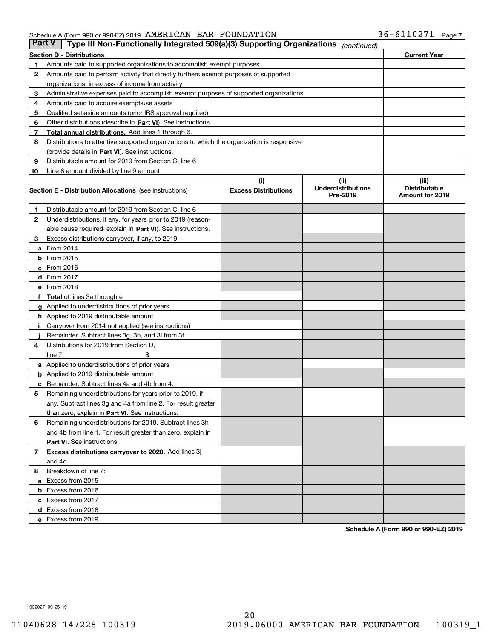| Part V | Type III Non-Functionally Integrated 509(a)(3) Supporting Organizations                    |                             | (continued)                           |                                         |
|--------|--------------------------------------------------------------------------------------------|-----------------------------|---------------------------------------|-----------------------------------------|
|        | <b>Section D - Distributions</b>                                                           |                             |                                       | <b>Current Year</b>                     |
| 1      | Amounts paid to supported organizations to accomplish exempt purposes                      |                             |                                       |                                         |
| 2      | Amounts paid to perform activity that directly furthers exempt purposes of supported       |                             |                                       |                                         |
|        | organizations, in excess of income from activity                                           |                             |                                       |                                         |
| з      | Administrative expenses paid to accomplish exempt purposes of supported organizations      |                             |                                       |                                         |
| 4      | Amounts paid to acquire exempt-use assets                                                  |                             |                                       |                                         |
| 5      | Qualified set-aside amounts (prior IRS approval required)                                  |                             |                                       |                                         |
| 6      | Other distributions (describe in Part VI). See instructions.                               |                             |                                       |                                         |
| 7      | <b>Total annual distributions.</b> Add lines 1 through 6.                                  |                             |                                       |                                         |
| 8      | Distributions to attentive supported organizations to which the organization is responsive |                             |                                       |                                         |
|        | (provide details in Part VI). See instructions.                                            |                             |                                       |                                         |
| 9      | Distributable amount for 2019 from Section C, line 6                                       |                             |                                       |                                         |
| 10     | Line 8 amount divided by line 9 amount                                                     |                             |                                       |                                         |
|        |                                                                                            | (i)                         | (iii)                                 | (iii)                                   |
|        | <b>Section E - Distribution Allocations</b> (see instructions)                             | <b>Excess Distributions</b> | <b>Underdistributions</b><br>Pre-2019 | <b>Distributable</b><br>Amount for 2019 |
| 1      | Distributable amount for 2019 from Section C, line 6                                       |                             |                                       |                                         |
| 2      | Underdistributions, if any, for years prior to 2019 (reason-                               |                             |                                       |                                         |
|        | able cause required- explain in Part VI). See instructions.                                |                             |                                       |                                         |
| з      | Excess distributions carryover, if any, to 2019                                            |                             |                                       |                                         |
|        | <b>a</b> From 2014                                                                         |                             |                                       |                                         |
|        | <b>b</b> From 2015                                                                         |                             |                                       |                                         |
|        | $c$ From 2016                                                                              |                             |                                       |                                         |
|        | d From 2017                                                                                |                             |                                       |                                         |
|        | e From 2018                                                                                |                             |                                       |                                         |
|        | Total of lines 3a through e                                                                |                             |                                       |                                         |
|        | <b>g</b> Applied to underdistributions of prior years                                      |                             |                                       |                                         |
|        | <b>h</b> Applied to 2019 distributable amount                                              |                             |                                       |                                         |
|        | Carryover from 2014 not applied (see instructions)                                         |                             |                                       |                                         |
|        | Remainder. Subtract lines 3g, 3h, and 3i from 3f.                                          |                             |                                       |                                         |
| 4      | Distributions for 2019 from Section D,                                                     |                             |                                       |                                         |
|        | line $7:$                                                                                  |                             |                                       |                                         |
|        | <b>a</b> Applied to underdistributions of prior years                                      |                             |                                       |                                         |
|        | <b>b</b> Applied to 2019 distributable amount                                              |                             |                                       |                                         |
| с      | Remainder. Subtract lines 4a and 4b from 4.                                                |                             |                                       |                                         |
| 5      | Remaining underdistributions for years prior to 2019, if                                   |                             |                                       |                                         |
|        | any. Subtract lines 3g and 4a from line 2. For result greater                              |                             |                                       |                                         |
|        | than zero, explain in Part VI. See instructions.                                           |                             |                                       |                                         |
| 6      | Remaining underdistributions for 2019. Subtract lines 3h                                   |                             |                                       |                                         |
|        | and 4b from line 1. For result greater than zero, explain in                               |                             |                                       |                                         |
|        | Part VI. See instructions.                                                                 |                             |                                       |                                         |
| 7      | Excess distributions carryover to 2020. Add lines 3j                                       |                             |                                       |                                         |
|        | and 4c.                                                                                    |                             |                                       |                                         |
| 8      | Breakdown of line 7:                                                                       |                             |                                       |                                         |
|        | a Excess from 2015                                                                         |                             |                                       |                                         |
|        | <b>b</b> Excess from 2016                                                                  |                             |                                       |                                         |
|        | c Excess from 2017                                                                         |                             |                                       |                                         |
|        | d Excess from 2018                                                                         |                             |                                       |                                         |
|        | e Excess from 2019                                                                         |                             |                                       |                                         |

**Schedule A (Form 990 or 990-EZ) 2019**

932027 09-25-19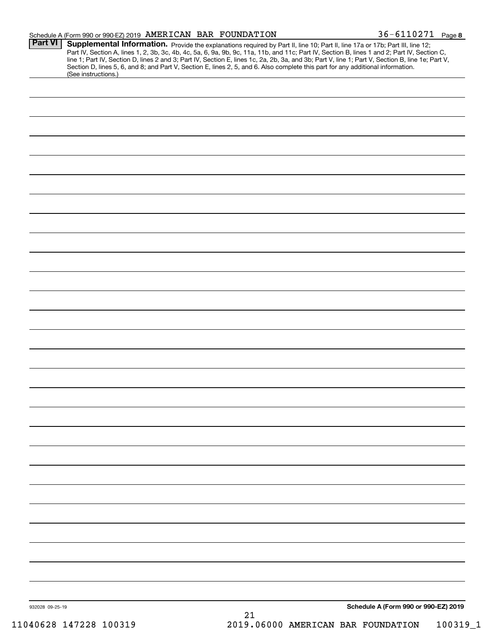|                 | Schedule A (Form 990 or 990-EZ) 2019 AMERICAN BAR FOUNDATION                                                                                                                                                                                                                                                                                                                                                                                                                                                                                                                                | 36-6110271 Page 8                    |  |
|-----------------|---------------------------------------------------------------------------------------------------------------------------------------------------------------------------------------------------------------------------------------------------------------------------------------------------------------------------------------------------------------------------------------------------------------------------------------------------------------------------------------------------------------------------------------------------------------------------------------------|--------------------------------------|--|
| <b>Part VI</b>  | Supplemental Information. Provide the explanations required by Part II, line 10; Part II, line 17a or 17b; Part III, line 12;<br>Part IV, Section A, lines 1, 2, 3b, 3c, 4b, 4c, 5a, 6, 9a, 9b, 9c, 11a, 11b, and 11c; Part IV, Section B, lines 1 and 2; Part IV, Section C,<br>line 1; Part IV, Section D, lines 2 and 3; Part IV, Section E, lines 1c, 2a, 2b, 3a, and 3b; Part V, line 1; Part V, Section B, line 1e; Part V,<br>Section D, lines 5, 6, and 8; and Part V, Section E, lines 2, 5, and 6. Also complete this part for any additional information.<br>(See instructions.) |                                      |  |
|                 |                                                                                                                                                                                                                                                                                                                                                                                                                                                                                                                                                                                             |                                      |  |
|                 |                                                                                                                                                                                                                                                                                                                                                                                                                                                                                                                                                                                             |                                      |  |
|                 |                                                                                                                                                                                                                                                                                                                                                                                                                                                                                                                                                                                             |                                      |  |
|                 |                                                                                                                                                                                                                                                                                                                                                                                                                                                                                                                                                                                             |                                      |  |
|                 |                                                                                                                                                                                                                                                                                                                                                                                                                                                                                                                                                                                             |                                      |  |
|                 |                                                                                                                                                                                                                                                                                                                                                                                                                                                                                                                                                                                             |                                      |  |
|                 |                                                                                                                                                                                                                                                                                                                                                                                                                                                                                                                                                                                             |                                      |  |
|                 |                                                                                                                                                                                                                                                                                                                                                                                                                                                                                                                                                                                             |                                      |  |
|                 |                                                                                                                                                                                                                                                                                                                                                                                                                                                                                                                                                                                             |                                      |  |
|                 |                                                                                                                                                                                                                                                                                                                                                                                                                                                                                                                                                                                             |                                      |  |
|                 |                                                                                                                                                                                                                                                                                                                                                                                                                                                                                                                                                                                             |                                      |  |
|                 |                                                                                                                                                                                                                                                                                                                                                                                                                                                                                                                                                                                             |                                      |  |
|                 |                                                                                                                                                                                                                                                                                                                                                                                                                                                                                                                                                                                             |                                      |  |
|                 |                                                                                                                                                                                                                                                                                                                                                                                                                                                                                                                                                                                             |                                      |  |
|                 |                                                                                                                                                                                                                                                                                                                                                                                                                                                                                                                                                                                             |                                      |  |
|                 |                                                                                                                                                                                                                                                                                                                                                                                                                                                                                                                                                                                             |                                      |  |
|                 |                                                                                                                                                                                                                                                                                                                                                                                                                                                                                                                                                                                             |                                      |  |
|                 |                                                                                                                                                                                                                                                                                                                                                                                                                                                                                                                                                                                             |                                      |  |
|                 |                                                                                                                                                                                                                                                                                                                                                                                                                                                                                                                                                                                             |                                      |  |
|                 |                                                                                                                                                                                                                                                                                                                                                                                                                                                                                                                                                                                             |                                      |  |
|                 |                                                                                                                                                                                                                                                                                                                                                                                                                                                                                                                                                                                             |                                      |  |
|                 |                                                                                                                                                                                                                                                                                                                                                                                                                                                                                                                                                                                             |                                      |  |
|                 |                                                                                                                                                                                                                                                                                                                                                                                                                                                                                                                                                                                             |                                      |  |
|                 |                                                                                                                                                                                                                                                                                                                                                                                                                                                                                                                                                                                             |                                      |  |
|                 |                                                                                                                                                                                                                                                                                                                                                                                                                                                                                                                                                                                             |                                      |  |
|                 |                                                                                                                                                                                                                                                                                                                                                                                                                                                                                                                                                                                             |                                      |  |
|                 |                                                                                                                                                                                                                                                                                                                                                                                                                                                                                                                                                                                             |                                      |  |
|                 |                                                                                                                                                                                                                                                                                                                                                                                                                                                                                                                                                                                             |                                      |  |
|                 |                                                                                                                                                                                                                                                                                                                                                                                                                                                                                                                                                                                             |                                      |  |
| 932028 09-25-19 | 21                                                                                                                                                                                                                                                                                                                                                                                                                                                                                                                                                                                          | Schedule A (Form 990 or 990-EZ) 2019 |  |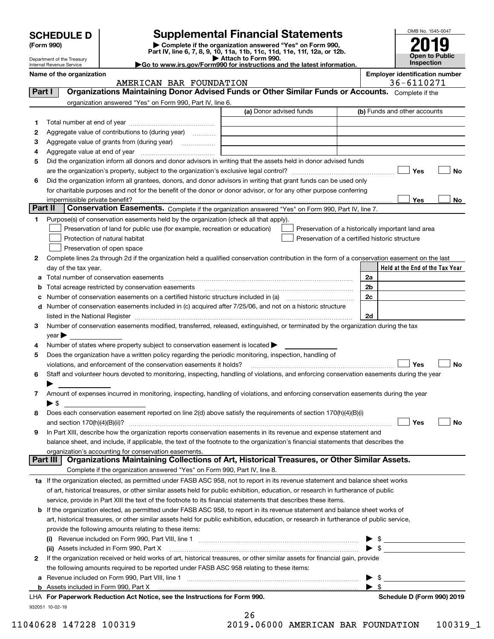| <b>Supplemental Financial Statements</b><br><b>SCHEDULE D</b><br>Complete if the organization answered "Yes" on Form 990,<br>(Form 990)<br>Part IV, line 6, 7, 8, 9, 10, 11a, 11b, 11c, 11d, 11e, 11f, 12a, or 12b.<br>Attach to Form 990.<br>Department of the Treasury<br>Go to www.irs.gov/Form990 for instructions and the latest information.<br>Internal Revenue Service |                                                                                                                                                |                         |  |  | OMB No. 1545-0047<br>2019<br><b>Open to Public</b><br>Inspection |
|--------------------------------------------------------------------------------------------------------------------------------------------------------------------------------------------------------------------------------------------------------------------------------------------------------------------------------------------------------------------------------|------------------------------------------------------------------------------------------------------------------------------------------------|-------------------------|--|--|------------------------------------------------------------------|
| Name of the organization                                                                                                                                                                                                                                                                                                                                                       | AMERICAN BAR FOUNDATION                                                                                                                        |                         |  |  | <b>Employer identification number</b><br>36-6110271              |
| Part I                                                                                                                                                                                                                                                                                                                                                                         | Organizations Maintaining Donor Advised Funds or Other Similar Funds or Accounts.<br>organization answered "Yes" on Form 990, Part IV, line 6. |                         |  |  | Complete if the                                                  |
|                                                                                                                                                                                                                                                                                                                                                                                |                                                                                                                                                | (a) Donor advised funds |  |  | (b) Funds and other accounts                                     |
|                                                                                                                                                                                                                                                                                                                                                                                | Total number at end of year                                                                                                                    |                         |  |  |                                                                  |
| 2                                                                                                                                                                                                                                                                                                                                                                              | Aggregate value of contributions to (during year)<br>.                                                                                         |                         |  |  |                                                                  |
| 3                                                                                                                                                                                                                                                                                                                                                                              | Aggregate value of grants from (during year)<br>.                                                                                              |                         |  |  |                                                                  |

| з            | Aggregate value of grants from (during year)                                                                                                   |                |                                                    |    |
|--------------|------------------------------------------------------------------------------------------------------------------------------------------------|----------------|----------------------------------------------------|----|
| 4            |                                                                                                                                                |                |                                                    |    |
| 5            | Did the organization inform all donors and donor advisors in writing that the assets held in donor advised funds                               |                | Yes                                                | No |
|              |                                                                                                                                                |                |                                                    |    |
| 6            | Did the organization inform all grantees, donors, and donor advisors in writing that grant funds can be used only                              |                |                                                    |    |
|              | for charitable purposes and not for the benefit of the donor or donor advisor, or for any other purpose conferring                             |                |                                                    |    |
|              | impermissible private benefit?                                                                                                                 |                | Yes                                                | No |
|              | Part II<br>Conservation Easements. Complete if the organization answered "Yes" on Form 990, Part IV, line 7.                                   |                |                                                    |    |
|              | Purpose(s) of conservation easements held by the organization (check all that apply).                                                          |                |                                                    |    |
|              | Preservation of land for public use (for example, recreation or education)                                                                     |                | Preservation of a historically important land area |    |
|              | Protection of natural habitat<br>Preservation of a certified historic structure                                                                |                |                                                    |    |
|              | Preservation of open space                                                                                                                     |                |                                                    |    |
| $\mathbf{2}$ | Complete lines 2a through 2d if the organization held a qualified conservation contribution in the form of a conservation easement on the last |                |                                                    |    |
|              | day of the tax year.                                                                                                                           |                | Held at the End of the Tax Year                    |    |
| a            | Total number of conservation easements                                                                                                         | 2a             |                                                    |    |
| b            | Total acreage restricted by conservation easements                                                                                             | 2 <sub>b</sub> |                                                    |    |
|              | Number of conservation easements on a certified historic structure included in (a) manufacture included in (a)                                 | 2c             |                                                    |    |
| d            | Number of conservation easements included in (c) acquired after 7/25/06, and not on a historic structure                                       |                |                                                    |    |
|              | listed in the National Register                                                                                                                | 2d             |                                                    |    |
| 3            | Number of conservation easements modified, transferred, released, extinguished, or terminated by the organization during the tax               |                |                                                    |    |
|              | year                                                                                                                                           |                |                                                    |    |
| 4            | Number of states where property subject to conservation easement is located >                                                                  |                |                                                    |    |
| 5            | Does the organization have a written policy regarding the periodic monitoring, inspection, handling of                                         |                |                                                    |    |

| ∣ No<br>Yes<br>violations, and enforcement of the conservation easements it holds?                                                          |
|---------------------------------------------------------------------------------------------------------------------------------------------|
| 6 Staff and volunteer hours devoted to monitoring, inspecting, handling of violations, and enforcing conservation easements during the year |
|                                                                                                                                             |
| Amount of expenses incurred in monitoring, inspecting, handling of violations, and enforcing conservation easements during the year         |
| $\blacktriangleright$ S                                                                                                                     |
| 8 Does each conservation easement reported on line $2(d)$ above satisfy the requirements of section $170(h)(4)(B)(i)$                       |

| ∣ No<br>Yes<br>and section $170(h)(4)(B)(ii)$ ?                                                                                   |
|-----------------------------------------------------------------------------------------------------------------------------------|
| 9 In Part XIII, describe how the organization reports conservation easements in its revenue and expense statement and             |
| balance sheet, and include, if applicable, the text of the footnote to the organization's financial statements that describes the |
| organization's accounting for conservation easements.                                                                             |
| Dert III   Organizatione Meinteining Cellections of Art, Historical Tressures, or Other Similar Assets                            |

# Complete if the organization answered "Yes" on Form 990, Part IV, line 8. **Part III Organizations Maintaining Collections of Art, Historical Treasures, or Other Similar Assets.**

| 1a If the organization elected, as permitted under FASB ASC 958, not to report in its revenue statement and balance sheet works   |
|-----------------------------------------------------------------------------------------------------------------------------------|
| of art, historical treasures, or other similar assets held for public exhibition, education, or research in furtherance of public |
| service, provide in Part XIII the text of the footnote to its financial statements that describes these items.                    |

#### **b** If the organization elected, as permitted under FASB ASC 958, to report in its revenue statement and balance sheet works of art, historical treasures, or other similar assets held for public exhibition, education, or research in furtherance of public service, provide the following amounts relating to these items:<br>(i) Povenue included on Form 990, Port VIII, line 1 Revenue included on Form 990, Part VIII, line 1

|   | a Revenue included on Form 990, Part VIII, line 1                                                                            |  |
|---|------------------------------------------------------------------------------------------------------------------------------|--|
|   | the following amounts required to be reported under FASB ASC 958 relating to these items:                                    |  |
| 2 | If the organization received or held works of art, historical treasures, or other similar assets for financial gain, provide |  |
|   | (ii) Assets included in Form 990, Part X [11] Marten and Martin Martin Marten and Martin Martin Marten and Mar               |  |
|   | Revenue included on Form 990, Part VIII, line 1<br>(i)                                                                       |  |

932051 10-02-19 **For Paperwork Reduction Act Notice, see the Instructions for Form 990. Schedule D (Form 990) 2019** LHA  $26$ 

| 11040628 147228 100319 |  | 2019.06000 AMERICAN BAR FOUNDATION | 100319 1 |
|------------------------|--|------------------------------------|----------|

| <b>Inspection</b>             |
|-------------------------------|
| mnlover identification numher |

|            |  | ployer identification numbe |
|------------|--|-----------------------------|
| 36-6110271 |  |                             |

| OMB No. 1545-0047     |
|-----------------------|
|                       |
| 2019                  |
|                       |
| <b>Open to Public</b> |
| Inspection            |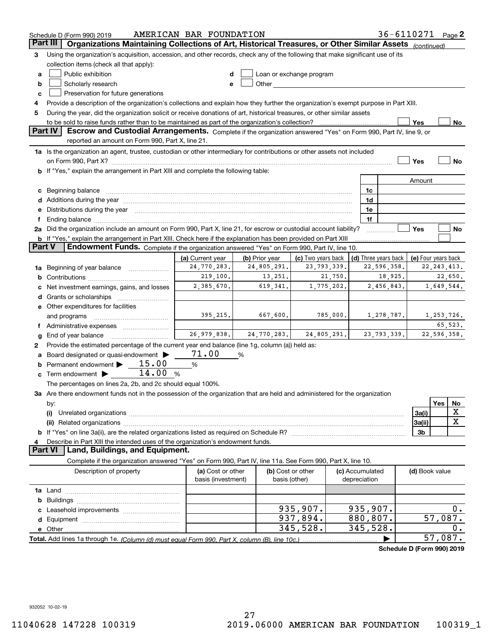|                 | AMERICAN BAR FOUNDATION<br>Schedule D (Form 990) 2019                                                                                                                                                                              |                    |                |                    |             | 36-6110271 Page 2        |                                     |                     |     |               |
|-----------------|------------------------------------------------------------------------------------------------------------------------------------------------------------------------------------------------------------------------------------|--------------------|----------------|--------------------|-------------|--------------------------|-------------------------------------|---------------------|-----|---------------|
| <b>Part III</b> | Organizations Maintaining Collections of Art, Historical Treasures, or Other Similar Assets (continued)                                                                                                                            |                    |                |                    |             |                          |                                     |                     |     |               |
| 3               | Using the organization's acquisition, accession, and other records, check any of the following that make significant use of its                                                                                                    |                    |                |                    |             |                          |                                     |                     |     |               |
|                 | collection items (check all that apply):                                                                                                                                                                                           |                    |                |                    |             |                          |                                     |                     |     |               |
| a               | Public exhibition<br>Loan or exchange program                                                                                                                                                                                      |                    |                |                    |             |                          |                                     |                     |     |               |
| b               | Scholarly research<br>e                                                                                                                                                                                                            |                    |                |                    |             |                          |                                     |                     |     |               |
| c               | Preservation for future generations                                                                                                                                                                                                |                    |                |                    |             |                          |                                     |                     |     |               |
| 4               | Provide a description of the organization's collections and explain how they further the organization's exempt purpose in Part XIII.                                                                                               |                    |                |                    |             |                          |                                     |                     |     |               |
| 5               | During the year, did the organization solicit or receive donations of art, historical treasures, or other similar assets                                                                                                           |                    |                |                    |             |                          |                                     |                     |     |               |
|                 |                                                                                                                                                                                                                                    |                    |                |                    |             |                          |                                     | Yes                 |     | No            |
|                 | Part IV<br>Escrow and Custodial Arrangements. Complete if the organization answered "Yes" on Form 990, Part IV, line 9, or                                                                                                         |                    |                |                    |             |                          |                                     |                     |     |               |
|                 | reported an amount on Form 990, Part X, line 21.                                                                                                                                                                                   |                    |                |                    |             |                          |                                     |                     |     |               |
|                 | 1a Is the organization an agent, trustee, custodian or other intermediary for contributions or other assets not included                                                                                                           |                    |                |                    |             |                          |                                     |                     |     |               |
|                 |                                                                                                                                                                                                                                    |                    |                |                    |             |                          |                                     | Yes                 |     | No            |
|                 | b If "Yes," explain the arrangement in Part XIII and complete the following table:                                                                                                                                                 |                    |                |                    |             |                          |                                     |                     |     |               |
|                 |                                                                                                                                                                                                                                    |                    |                |                    |             |                          |                                     | Amount              |     |               |
| c               |                                                                                                                                                                                                                                    |                    |                |                    |             | 1c                       |                                     |                     |     |               |
| d               | Beginning balance <u>www.marent.com married was contracted</u> and the contracted of the contracted and the contracted of the contracted of the contracted of the contracted of the contracted of the contracted of the contracted |                    |                |                    |             | 1d                       |                                     |                     |     |               |
| е               | Additions during the year manufactured and an account of the state of the state of the state of the state of the state of the state of the state of the state of the state of the state of the state of the state of the state     |                    |                |                    |             | 1e                       |                                     |                     |     |               |
| f               | Distributions during the year manufactured and continuum and contact the year manufactured and contact the year                                                                                                                    |                    |                |                    |             | 1f                       |                                     |                     |     |               |
|                 | 2a Did the organization include an amount on Form 990, Part X, line 21, for escrow or custodial account liability?                                                                                                                 |                    |                |                    |             |                          |                                     | Yes                 |     | No            |
|                 | <b>b</b> If "Yes," explain the arrangement in Part XIII. Check here if the explanation has been provided on Part XIII                                                                                                              |                    |                |                    |             |                          |                                     |                     |     |               |
| <b>Part V</b>   | Endowment Funds. Complete if the organization answered "Yes" on Form 990, Part IV, line 10.                                                                                                                                        |                    |                |                    |             |                          |                                     |                     |     |               |
|                 |                                                                                                                                                                                                                                    | (a) Current year   | (b) Prior year | (c) Two years back |             |                          |                                     |                     |     |               |
|                 |                                                                                                                                                                                                                                    | 24,770,283.        | 24,805,291.    | 23, 793, 339.      |             |                          | (d) Three years back<br>22,596,358. | (e) Four years back |     | 22, 243, 413. |
| 1a              | Beginning of year balance                                                                                                                                                                                                          | 219,100.           | 13,251.        |                    | 21,750.     |                          | 18,925.                             |                     |     | 22,650.       |
| b               |                                                                                                                                                                                                                                    | 2,385,670.         | 619, 341.      |                    | 1,775,202.  | 2,456,843.<br>1,649,544. |                                     |                     |     |               |
|                 | Net investment earnings, gains, and losses                                                                                                                                                                                         |                    |                |                    |             |                          |                                     |                     |     |               |
| d               |                                                                                                                                                                                                                                    |                    |                |                    |             |                          |                                     |                     |     |               |
|                 | e Other expenditures for facilities                                                                                                                                                                                                |                    |                |                    |             |                          |                                     |                     |     |               |
|                 | and programs                                                                                                                                                                                                                       | 395,215.           | 667,600.       |                    | 785,000.    |                          | 1,278,787.                          |                     |     | 1,253,726.    |
|                 | f Administrative expenses <i></i>                                                                                                                                                                                                  |                    |                |                    |             |                          |                                     |                     |     | 65,523.       |
| g               | End of year balance                                                                                                                                                                                                                | 26,979,838.        | 24,770,283.    |                    | 24,805,291. |                          | 23, 793, 339.                       |                     |     | 22,596,358.   |
| 2               | Provide the estimated percentage of the current year end balance (line 1g, column (a)) held as:                                                                                                                                    |                    |                |                    |             |                          |                                     |                     |     |               |
|                 | Board designated or quasi-endowment >                                                                                                                                                                                              | 71.00              | %              |                    |             |                          |                                     |                     |     |               |
|                 | Permanent endowment > 15.00                                                                                                                                                                                                        | $\%$               |                |                    |             |                          |                                     |                     |     |               |
| c               | 14.00<br>Term endowment $\blacktriangleright$                                                                                                                                                                                      | %                  |                |                    |             |                          |                                     |                     |     |               |
|                 | The percentages on lines 2a, 2b, and 2c should equal 100%.                                                                                                                                                                         |                    |                |                    |             |                          |                                     |                     |     |               |
|                 | 3a Are there endowment funds not in the possession of the organization that are held and administered for the organization                                                                                                         |                    |                |                    |             |                          |                                     |                     |     |               |
|                 | by:                                                                                                                                                                                                                                |                    |                |                    |             |                          |                                     |                     | Yes | No            |
|                 | (i)                                                                                                                                                                                                                                |                    |                |                    |             |                          |                                     | 3a(i)               |     | х             |
|                 |                                                                                                                                                                                                                                    |                    |                |                    |             |                          |                                     | 3a(ii)              |     | X             |
|                 |                                                                                                                                                                                                                                    |                    |                |                    |             |                          |                                     | 3 <sub>b</sub>      |     |               |
|                 | Describe in Part XIII the intended uses of the organization's endowment funds.                                                                                                                                                     |                    |                |                    |             |                          |                                     |                     |     |               |
|                 | <b>Part VI</b><br>Land, Buildings, and Equipment.                                                                                                                                                                                  |                    |                |                    |             |                          |                                     |                     |     |               |
|                 | Complete if the organization answered "Yes" on Form 990, Part IV, line 11a. See Form 990, Part X, line 10.                                                                                                                         |                    |                |                    |             |                          |                                     |                     |     |               |
|                 | Description of property                                                                                                                                                                                                            | (a) Cost or other  |                | (b) Cost or other  |             | (c) Accumulated          |                                     | (d) Book value      |     |               |
|                 |                                                                                                                                                                                                                                    | basis (investment) |                | basis (other)      |             | depreciation             |                                     |                     |     |               |
|                 |                                                                                                                                                                                                                                    |                    |                |                    |             |                          |                                     |                     |     |               |
| b               |                                                                                                                                                                                                                                    |                    |                |                    |             |                          |                                     |                     |     |               |
|                 |                                                                                                                                                                                                                                    |                    |                | 935,907.           |             | 935,907.                 |                                     |                     |     | 0.            |
| d               |                                                                                                                                                                                                                                    |                    |                | 937,894.           |             | 880,807.                 |                                     |                     |     | 57,087.       |
|                 |                                                                                                                                                                                                                                    |                    |                | 345,528.           |             | 345, 528.                |                                     |                     |     | 0.            |
|                 | Total. Add lines 1a through 1e. (Column (d) must equal Form 990. Part X. column (B). line 10c.)                                                                                                                                    |                    |                |                    |             |                          |                                     |                     |     | 57,087.       |
|                 |                                                                                                                                                                                                                                    |                    |                |                    |             |                          | Schedule D (Form 990) 2019          |                     |     |               |
|                 |                                                                                                                                                                                                                                    |                    |                |                    |             |                          |                                     |                     |     |               |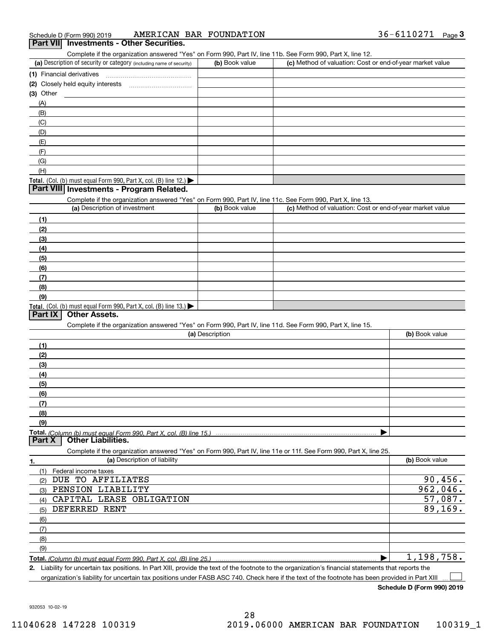| Schedule D (Form 990) 2019                                                                                        | AMERICAN BAR FOUNDATION |                                                           | 36-6110271 Page 3 |  |
|-------------------------------------------------------------------------------------------------------------------|-------------------------|-----------------------------------------------------------|-------------------|--|
| Part VII Investments - Other Securities.                                                                          |                         |                                                           |                   |  |
| Complete if the organization answered "Yes" on Form 990, Part IV, line 11b. See Form 990, Part X, line 12.        |                         |                                                           |                   |  |
| (a) Description of security or category (including name of security)                                              | (b) Book value          | (c) Method of valuation: Cost or end-of-year market value |                   |  |
| (1) Financial derivatives                                                                                         |                         |                                                           |                   |  |
|                                                                                                                   |                         |                                                           |                   |  |
| $(3)$ Other                                                                                                       |                         |                                                           |                   |  |
| (A)                                                                                                               |                         |                                                           |                   |  |
| (B)                                                                                                               |                         |                                                           |                   |  |
| (C)                                                                                                               |                         |                                                           |                   |  |
| (D)                                                                                                               |                         |                                                           |                   |  |
| (E)                                                                                                               |                         |                                                           |                   |  |
| (F)                                                                                                               |                         |                                                           |                   |  |
| (G)                                                                                                               |                         |                                                           |                   |  |
| (H)                                                                                                               |                         |                                                           |                   |  |
| Total. (Col. (b) must equal Form 990, Part X, col. (B) line 12.) $\blacktriangleright$                            |                         |                                                           |                   |  |
| Part VIII Investments - Program Related.                                                                          |                         |                                                           |                   |  |
| Complete if the organization answered "Yes" on Form 990, Part IV, line 11c. See Form 990, Part X, line 13.        |                         |                                                           |                   |  |
| (a) Description of investment                                                                                     | (b) Book value          | (c) Method of valuation: Cost or end-of-year market value |                   |  |
| (1)                                                                                                               |                         |                                                           |                   |  |
| (2)                                                                                                               |                         |                                                           |                   |  |
| (3)                                                                                                               |                         |                                                           |                   |  |
| (4)                                                                                                               |                         |                                                           |                   |  |
| (5)                                                                                                               |                         |                                                           |                   |  |
| (6)                                                                                                               |                         |                                                           |                   |  |
| (7)                                                                                                               |                         |                                                           |                   |  |
| (8)                                                                                                               |                         |                                                           |                   |  |
| (9)                                                                                                               |                         |                                                           |                   |  |
| Total. (Col. (b) must equal Form 990, Part X, col. (B) line 13.) $\blacktriangleright$                            |                         |                                                           |                   |  |
| <b>Other Assets.</b><br>Part $ X $                                                                                |                         |                                                           |                   |  |
| Complete if the organization answered "Yes" on Form 990, Part IV, line 11d. See Form 990, Part X, line 15.        |                         |                                                           |                   |  |
|                                                                                                                   | (a) Description         |                                                           | (b) Book value    |  |
| (1)                                                                                                               |                         |                                                           |                   |  |
| (2)                                                                                                               |                         |                                                           |                   |  |
| (3)                                                                                                               |                         |                                                           |                   |  |
| (4)                                                                                                               |                         |                                                           |                   |  |
| (5)                                                                                                               |                         |                                                           |                   |  |
| <u>(6)</u>                                                                                                        |                         |                                                           |                   |  |
| (7)                                                                                                               |                         |                                                           |                   |  |
| (8)                                                                                                               |                         |                                                           |                   |  |
| (9)                                                                                                               |                         |                                                           |                   |  |
|                                                                                                                   |                         |                                                           |                   |  |
| Part X<br><b>Other Liabilities.</b>                                                                               |                         |                                                           |                   |  |
| Complete if the organization answered "Yes" on Form 990, Part IV, line 11e or 11f. See Form 990, Part X, line 25. |                         |                                                           |                   |  |
| (a) Description of liability<br>1.                                                                                |                         |                                                           | (b) Book value    |  |
| (1)<br>Federal income taxes                                                                                       |                         |                                                           |                   |  |
|                                                                                                                   |                         |                                                           |                   |  |

| Federal income taxes                                               |            |
|--------------------------------------------------------------------|------------|
| DUE TO AFFILIATES<br>(2)                                           | 90,456.    |
| PENSION LIABILITY<br>(3)                                           | 962,046.   |
| CAPITAL LEASE OBLIGATION<br>(4)                                    | 57,087.    |
| DEFERRED RENT<br>(5)                                               | 89, 169.   |
| (6)                                                                |            |
| (7)                                                                |            |
| (8)                                                                |            |
| (9)                                                                |            |
| Total. (Column (b) must equal Form 990, Part X, col. (B) line 25.) | 1,198,758. |

**2.** Liability for uncertain tax positions. In Part XIII, provide the text of the footnote to the organization's financial statements that reports the organization's liability for uncertain tax positions under FASB ASC 740. Check here if the text of the footnote has been provided in Part XIII  $\mathcal{L}^{\text{max}}$ 

**Schedule D (Form 990) 2019**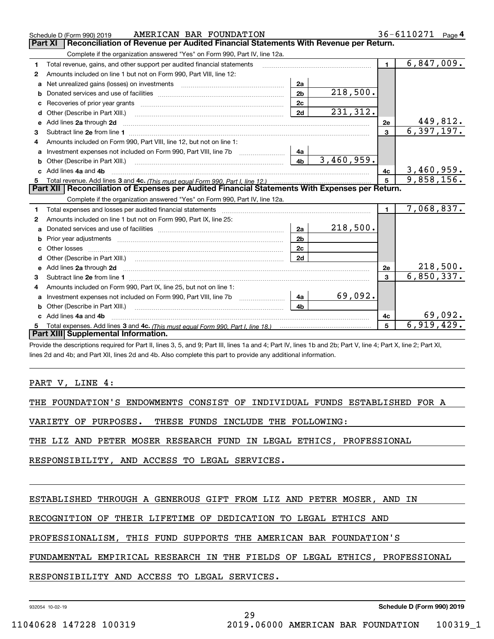|    | AMERICAN BAR FOUNDATION<br>Schedule D (Form 990) 2019                                            |                |            |                         | 36-6110271<br>Page $4$   |  |  |  |  |
|----|--------------------------------------------------------------------------------------------------|----------------|------------|-------------------------|--------------------------|--|--|--|--|
|    | Part XI<br>Reconciliation of Revenue per Audited Financial Statements With Revenue per Return.   |                |            |                         |                          |  |  |  |  |
|    | Complete if the organization answered "Yes" on Form 990, Part IV, line 12a.                      |                |            |                         |                          |  |  |  |  |
| 1  | Total revenue, gains, and other support per audited financial statements                         |                |            | $\blacksquare$          | 6,847,009.               |  |  |  |  |
| 2  | Amounts included on line 1 but not on Form 990, Part VIII, line 12:                              |                |            |                         |                          |  |  |  |  |
| a  |                                                                                                  | 2a             |            |                         |                          |  |  |  |  |
|    |                                                                                                  | 2 <sub>b</sub> | 218,500.   |                         |                          |  |  |  |  |
|    |                                                                                                  | 2c             |            |                         |                          |  |  |  |  |
| d  | Other (Describe in Part XIII.) <b>Construction Contract Construction</b>                         | 2d             | 231,312.   |                         |                          |  |  |  |  |
| е  | Add lines 2a through 2d                                                                          |                |            | 2e                      | 449,812.                 |  |  |  |  |
| 3  |                                                                                                  |                |            | $\overline{\mathbf{3}}$ | $\overline{6,397,197}$ . |  |  |  |  |
| 4  | Amounts included on Form 990. Part VIII, line 12, but not on line 1:                             |                |            |                         |                          |  |  |  |  |
|    | Investment expenses not included on Form 990, Part VIII, line 7b [11, 111, 111, 120]             | 4a             |            |                         |                          |  |  |  |  |
| b  |                                                                                                  | 4 <sub>b</sub> | 3,460,959. |                         |                          |  |  |  |  |
| C. | Add lines 4a and 4b                                                                              |                |            | 4с                      | 3,460,959.               |  |  |  |  |
|    |                                                                                                  |                | 5          | 9,858,156.              |                          |  |  |  |  |
|    | Part XII   Reconciliation of Expenses per Audited Financial Statements With Expenses per Return. |                |            |                         |                          |  |  |  |  |
|    | Complete if the organization answered "Yes" on Form 990, Part IV, line 12a.                      |                |            |                         |                          |  |  |  |  |
| 1. | Total expenses and losses per audited financial statements                                       |                |            | $\mathbf{1}$            | 7,068,837.               |  |  |  |  |
| 2  | Amounts included on line 1 but not on Form 990, Part IX, line 25:                                |                |            |                         |                          |  |  |  |  |
| a  |                                                                                                  | 2a             | 218,500.   |                         |                          |  |  |  |  |
|    |                                                                                                  | 2 <sub>b</sub> |            |                         |                          |  |  |  |  |
| c  |                                                                                                  | 2c             |            |                         |                          |  |  |  |  |
| d  |                                                                                                  | 2d             |            |                         |                          |  |  |  |  |
|    |                                                                                                  |                |            | 2e                      | 218,500.                 |  |  |  |  |
| 3  |                                                                                                  |                |            | $\mathbf{a}$            | 6,850,337.               |  |  |  |  |
| 4  | Amounts included on Form 990, Part IX, line 25, but not on line 1:                               |                |            |                         |                          |  |  |  |  |
| a  |                                                                                                  | 4a             | 69,092.    |                         |                          |  |  |  |  |
|    |                                                                                                  | 4 <sub>b</sub> |            |                         |                          |  |  |  |  |
|    | Add lines 4a and 4b                                                                              |                |            | 4c                      | 69,092.                  |  |  |  |  |
|    |                                                                                                  |                |            | 5                       | 6,919,429.               |  |  |  |  |
|    | Part XIII Supplemental Information.                                                              |                |            |                         |                          |  |  |  |  |

Provide the descriptions required for Part II, lines 3, 5, and 9; Part III, lines 1a and 4; Part IV, lines 1b and 2b; Part V, line 4; Part X, line 2; Part XI, lines 2d and 4b; and Part XII, lines 2d and 4b. Also complete this part to provide any additional information.

PART V, LINE 4:

THE FOUNDATION'S ENDOWMENTS CONSIST OF INDIVIDUAL FUNDS ESTABLISHED FOR A

VARIETY OF PURPOSES. THESE FUNDS INCLUDE THE FOLLOWING:

THE LIZ AND PETER MOSER RESEARCH FUND IN LEGAL ETHICS, PROFESSIONAL

RESPONSIBILITY, AND ACCESS TO LEGAL SERVICES.

ESTABLISHED THROUGH A GENEROUS GIFT FROM LIZ AND PETER MOSER, AND IN

RECOGNITION OF THEIR LIFETIME OF DEDICATION TO LEGAL ETHICS AND

PROFESSIONALISM, THIS FUND SUPPORTS THE AMERICAN BAR FOUNDATION'S

FUNDAMENTAL EMPIRICAL RESEARCH IN THE FIELDS OF LEGAL ETHICS, PROFESSIONAL

29

RESPONSIBILITY AND ACCESS TO LEGAL SERVICES.

932054 10-02-19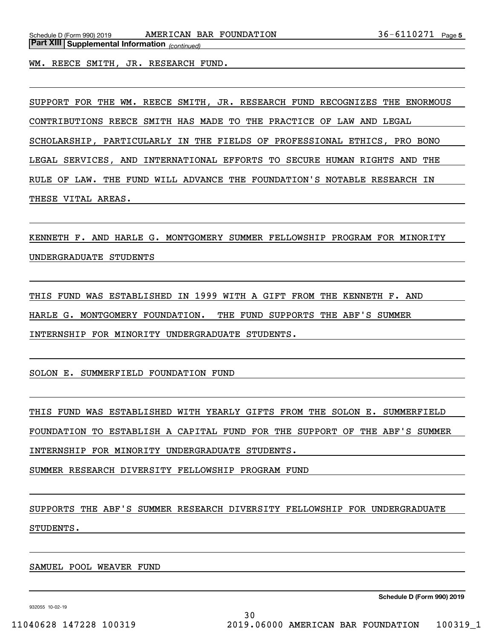WM. REECE SMITH, JR. RESEARCH FUND.

SUPPORT FOR THE WM. REECE SMITH, JR. RESEARCH FUND RECOGNIZES THE ENORMOUS CONTRIBUTIONS REECE SMITH HAS MADE TO THE PRACTICE OF LAW AND LEGAL SCHOLARSHIP, PARTICULARLY IN THE FIELDS OF PROFESSIONAL ETHICS, PRO BONO LEGAL SERVICES, AND INTERNATIONAL EFFORTS TO SECURE HUMAN RIGHTS AND THE RULE OF LAW. THE FUND WILL ADVANCE THE FOUNDATION'S NOTABLE RESEARCH IN THESE VITAL AREAS.

KENNETH F. AND HARLE G. MONTGOMERY SUMMER FELLOWSHIP PROGRAM FOR MINORITY UNDERGRADUATE STUDENTS

THIS FUND WAS ESTABLISHED IN 1999 WITH A GIFT FROM THE KENNETH F. AND HARLE G. MONTGOMERY FOUNDATION. THE FUND SUPPORTS THE ABF'S SUMMER INTERNSHIP FOR MINORITY UNDERGRADUATE STUDENTS.

SOLON E. SUMMERFIELD FOUNDATION FUND

THIS FUND WAS ESTABLISHED WITH YEARLY GIFTS FROM THE SOLON E. SUMMERFIELD FOUNDATION TO ESTABLISH A CAPITAL FUND FOR THE SUPPORT OF THE ABF'S SUMMER

INTERNSHIP FOR MINORITY UNDERGRADUATE STUDENTS.

SUMMER RESEARCH DIVERSITY FELLOWSHIP PROGRAM FUND

SUPPORTS THE ABF'S SUMMER RESEARCH DIVERSITY FELLOWSHIP FOR UNDERGRADUATE STUDENTS.

SAMUEL POOL WEAVER FUND

932055 10-02-19

**Schedule D (Form 990) 2019**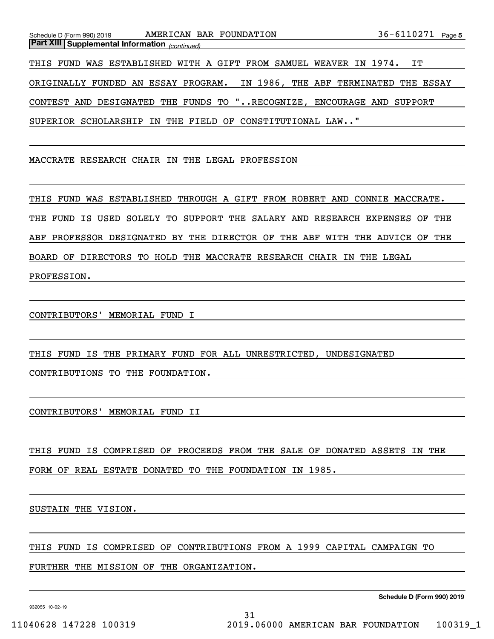|                                                       | Schedule D (Form 990) 2019 AMERICAN BAR FOUNDATION                        | $36 - 6110271$ Page 5 |  |  |  |  |  |  |
|-------------------------------------------------------|---------------------------------------------------------------------------|-----------------------|--|--|--|--|--|--|
| <b>Part XIII Supplemental Information</b> (continued) |                                                                           |                       |  |  |  |  |  |  |
|                                                       | THIS FUND WAS ESTABLISHED WITH A GIFT FROM SAMUEL WEAVER IN 1974.         | IT                    |  |  |  |  |  |  |
|                                                       | ORIGINALLY FUNDED AN ESSAY PROGRAM. IN 1986, THE ABF TERMINATED THE ESSAY |                       |  |  |  |  |  |  |
|                                                       | CONTEST AND DESIGNATED THE FUNDS TO "RECOGNIZE, ENCOURAGE AND SUPPORT     |                       |  |  |  |  |  |  |
|                                                       | SUPERIOR SCHOLARSHIP IN THE FIELD OF CONSTITUTIONAL LAW"                  |                       |  |  |  |  |  |  |

MACCRATE RESEARCH CHAIR IN THE LEGAL PROFESSION

THIS FUND WAS ESTABLISHED THROUGH A GIFT FROM ROBERT AND CONNIE MACCRATE. THE FUND IS USED SOLELY TO SUPPORT THE SALARY AND RESEARCH EXPENSES OF THE ABF PROFESSOR DESIGNATED BY THE DIRECTOR OF THE ABF WITH THE ADVICE OF THE BOARD OF DIRECTORS TO HOLD THE MACCRATE RESEARCH CHAIR IN THE LEGAL PROFESSION.

CONTRIBUTORS' MEMORIAL FUND I

THIS FUND IS THE PRIMARY FUND FOR ALL UNRESTRICTED, UNDESIGNATED CONTRIBUTIONS TO THE FOUNDATION.

CONTRIBUTORS' MEMORIAL FUND II

THIS FUND IS COMPRISED OF PROCEEDS FROM THE SALE OF DONATED ASSETS IN THE FORM OF REAL ESTATE DONATED TO THE FOUNDATION IN 1985.

SUSTAIN THE VISION.

THIS FUND IS COMPRISED OF CONTRIBUTIONS FROM A 1999 CAPITAL CAMPAIGN TO

FURTHER THE MISSION OF THE ORGANIZATION.

932055 10-02-19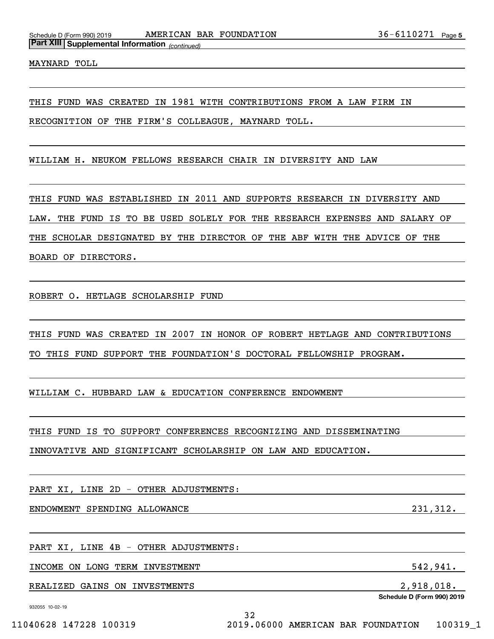MAYNARD TOLL

THIS FUND WAS CREATED IN 1981 WITH CONTRIBUTIONS FROM A LAW FIRM IN

RECOGNITION OF THE FIRM'S COLLEAGUE, MAYNARD TOLL.

WILLIAM H. NEUKOM FELLOWS RESEARCH CHAIR IN DIVERSITY AND LAW

THIS FUND WAS ESTABLISHED IN 2011 AND SUPPORTS RESEARCH IN DIVERSITY AND LAW. THE FUND IS TO BE USED SOLELY FOR THE RESEARCH EXPENSES AND SALARY OF THE SCHOLAR DESIGNATED BY THE DIRECTOR OF THE ABF WITH THE ADVICE OF THE BOARD OF DIRECTORS.

ROBERT O. HETLAGE SCHOLARSHIP FUND

THIS FUND WAS CREATED IN 2007 IN HONOR OF ROBERT HETLAGE AND CONTRIBUTIONS TO THIS FUND SUPPORT THE FOUNDATION'S DOCTORAL FELLOWSHIP PROGRAM.

WILLIAM C. HUBBARD LAW & EDUCATION CONFERENCE ENDOWMENT

THIS FUND IS TO SUPPORT CONFERENCES RECOGNIZING AND DISSEMINATING

INNOVATIVE AND SIGNIFICANT SCHOLARSHIP ON LAW AND EDUCATION.

PART XI, LINE 2D - OTHER ADJUSTMENTS:

ENDOWMENT SPENDING ALLOWANCE 231,312.

PART XI, LINE 4B - OTHER ADJUSTMENTS:

INCOME ON LONG TERM INVESTMENT SALL SERVICES AND SALL STATES AND SALL STATES AND SALL STATES AND SALL STATES AND SALL STATES AND SALL STATES AND SALL STATES AND SALL STATES AND SALL STATES AND SALL STATES AND SALL STATES A

REALIZED GAINS ON INVESTMENTS 2,918,018.

**Schedule D (Form 990) 2019**

932055 10-02-19

32 11040628 147228 100319 2019.06000 AMERICAN BAR FOUNDATION 100319\_1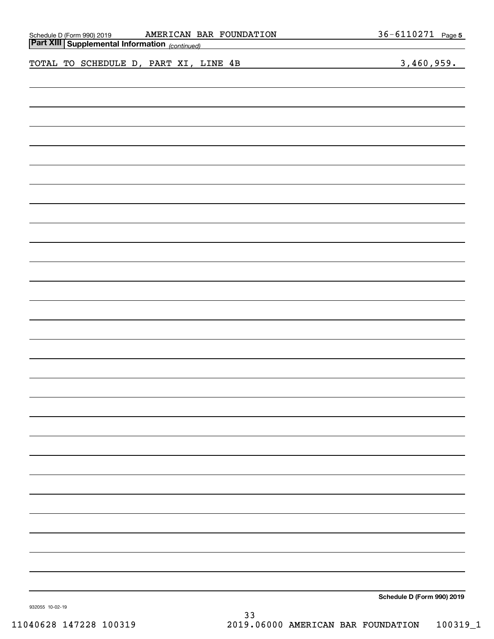| AMERICAN BAR FOUNDATION                                                                                | 36-6110271 Page 5          |
|--------------------------------------------------------------------------------------------------------|----------------------------|
| Schedule D (Form 990) 2019 <b>AMERICAN B.</b><br><b>Part XIII Supplemental Information</b> (continued) |                            |
|                                                                                                        |                            |
| TOTAL TO SCHEDULE D, PART XI, LINE 4B                                                                  | 3,460,959.                 |
|                                                                                                        |                            |
|                                                                                                        |                            |
|                                                                                                        |                            |
|                                                                                                        |                            |
|                                                                                                        |                            |
|                                                                                                        |                            |
|                                                                                                        |                            |
|                                                                                                        |                            |
|                                                                                                        |                            |
|                                                                                                        |                            |
|                                                                                                        |                            |
|                                                                                                        |                            |
|                                                                                                        |                            |
|                                                                                                        |                            |
|                                                                                                        |                            |
|                                                                                                        |                            |
|                                                                                                        |                            |
|                                                                                                        |                            |
|                                                                                                        |                            |
|                                                                                                        |                            |
|                                                                                                        |                            |
|                                                                                                        |                            |
|                                                                                                        |                            |
|                                                                                                        |                            |
|                                                                                                        |                            |
|                                                                                                        |                            |
|                                                                                                        |                            |
|                                                                                                        |                            |
|                                                                                                        |                            |
|                                                                                                        |                            |
|                                                                                                        |                            |
|                                                                                                        |                            |
|                                                                                                        |                            |
|                                                                                                        |                            |
|                                                                                                        |                            |
|                                                                                                        |                            |
|                                                                                                        |                            |
|                                                                                                        |                            |
|                                                                                                        |                            |
|                                                                                                        |                            |
|                                                                                                        |                            |
|                                                                                                        |                            |
|                                                                                                        |                            |
|                                                                                                        |                            |
|                                                                                                        |                            |
|                                                                                                        |                            |
|                                                                                                        |                            |
|                                                                                                        |                            |
|                                                                                                        | Schedule D (Form 990) 2019 |

**Schedule D (Form 990) 2019**

932055 10-02-19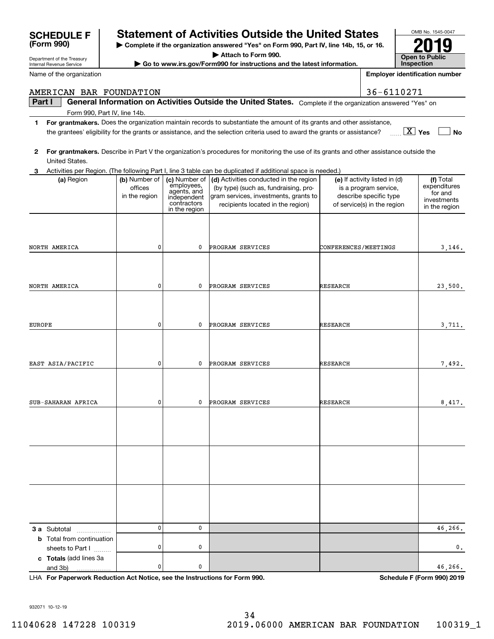| AMERICAN BAR FOUNDATION                              |                                           |                                                                                           |                                                                                                                                                               |                             | 36-6110271                                                                                                      |                                                                      |
|------------------------------------------------------|-------------------------------------------|-------------------------------------------------------------------------------------------|---------------------------------------------------------------------------------------------------------------------------------------------------------------|-----------------------------|-----------------------------------------------------------------------------------------------------------------|----------------------------------------------------------------------|
| Part I                                               |                                           |                                                                                           | General Information on Activities Outside the United States. Complete if the organization answered "Yes" on                                                   |                             |                                                                                                                 |                                                                      |
| Form 990, Part IV, line 14b.                         |                                           |                                                                                           |                                                                                                                                                               |                             |                                                                                                                 |                                                                      |
| 1                                                    |                                           |                                                                                           | For grantmakers. Does the organization maintain records to substantiate the amount of its grants and other assistance,                                        |                             |                                                                                                                 |                                                                      |
|                                                      |                                           |                                                                                           | the grantees' eligibility for the grants or assistance, and the selection criteria used to award the grants or assistance?                                    |                             |                                                                                                                 | $\boxed{\text{X}}$ Yes<br><b>No</b>                                  |
| 2<br>United States.                                  |                                           |                                                                                           | For grantmakers. Describe in Part V the organization's procedures for monitoring the use of its grants and other assistance outside the                       |                             |                                                                                                                 |                                                                      |
|                                                      |                                           |                                                                                           | 3 Activities per Region. (The following Part I, line 3 table can be duplicated if additional space is needed.)                                                |                             |                                                                                                                 |                                                                      |
| (a) Region                                           | (b) Number of<br>offices<br>in the region | (c) Number of<br>employees,<br>agents, and<br>independent<br>contractors<br>in the region | (d) Activities conducted in the region<br>(by type) (such as, fundraising, pro-<br>gram services, investments, grants to<br>recipients located in the region) |                             | (e) If activity listed in (d)<br>is a program service,<br>describe specific type<br>of service(s) in the region | (f) Total<br>expenditures<br>for and<br>investments<br>in the region |
| NORTH AMERICA                                        | 0                                         | 0                                                                                         | PROGRAM SERVICES                                                                                                                                              | <b>CONFERENCES/MEETINGS</b> |                                                                                                                 | 3,146.                                                               |
|                                                      | 0                                         | 0                                                                                         | PROGRAM SERVICES                                                                                                                                              | RESEARCH                    |                                                                                                                 | 23,500.                                                              |
| NORTH AMERICA                                        |                                           |                                                                                           |                                                                                                                                                               |                             |                                                                                                                 |                                                                      |
| EUROPE                                               | 0                                         | 0                                                                                         | PROGRAM SERVICES                                                                                                                                              | RESEARCH                    |                                                                                                                 | 3,711.                                                               |
|                                                      |                                           |                                                                                           |                                                                                                                                                               |                             |                                                                                                                 |                                                                      |
| EAST ASIA/PACIFIC                                    | 0                                         | 0                                                                                         | PROGRAM SERVICES                                                                                                                                              | RESEARCH                    |                                                                                                                 | 7,492.                                                               |
|                                                      |                                           |                                                                                           |                                                                                                                                                               |                             |                                                                                                                 |                                                                      |
| SUB-SAHARAN AFRICA                                   | 0                                         | 0                                                                                         | PROGRAM SERVICES                                                                                                                                              | RESEARCH                    |                                                                                                                 | 8,417.                                                               |
|                                                      |                                           |                                                                                           |                                                                                                                                                               |                             |                                                                                                                 |                                                                      |
|                                                      |                                           |                                                                                           |                                                                                                                                                               |                             |                                                                                                                 |                                                                      |
|                                                      |                                           |                                                                                           |                                                                                                                                                               |                             |                                                                                                                 |                                                                      |
| 3 a Subtotal                                         | 0                                         | 0                                                                                         |                                                                                                                                                               |                             |                                                                                                                 | 46,266.                                                              |
| <b>b</b> Total from continuation<br>sheets to Part I | 0                                         | 0                                                                                         |                                                                                                                                                               |                             |                                                                                                                 | $\mathfrak o$ .                                                      |
| c Totals (add lines 3a<br>and 3b)                    | 0                                         | 0                                                                                         |                                                                                                                                                               |                             |                                                                                                                 | 46,266.                                                              |

and 3b)

**For Paperwork Reduction Act Notice, see the Instructions for Form 990. Schedule F (Form 990) 2019** LHA

OMB No. 1545-0047

**2019**

**Open to Public InspectionEmployer identification number**

932071 10-12-19

Department of the Treasury Internal Revenue Service

**(Form 990)**

Name of the organization

| <b>SCHEDULE F</b>               | <b>Statement of Activities Outside the United States</b> |  |  |  |
|---------------------------------|----------------------------------------------------------|--|--|--|
| $T_{\rm max}$ $\Omega$ $\Omega$ |                                                          |  |  |  |

**| Complete if the organization answered "Yes" on Form 990, Part IV, line 14b, 15, or 16. | Attach to Form 990.**

**| Go to www.irs.gov/Form990 for instructions and the latest information.**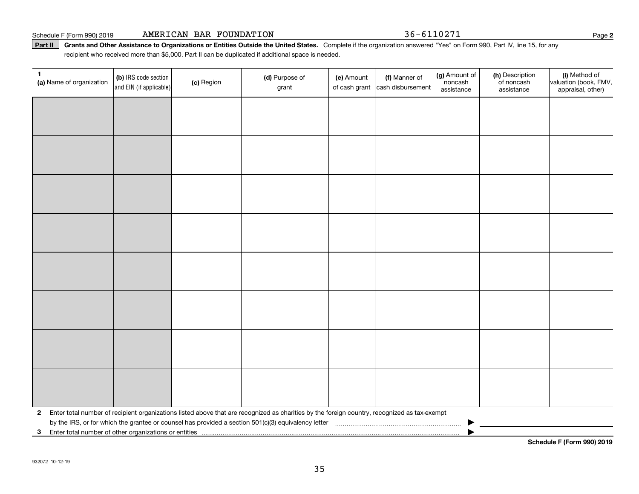Part II | Grants and Other Assistance to Organizations or Entities Outside the United States. Complete if the organization answered "Yes" on Form 990, Part IV, line 15, for any recipient who received more than \$5,000. Part II can be duplicated if additional space is needed.

| $\mathbf{1}$<br>(a) Name of organization                | (b) IRS code section<br>and EIN (if applicable) | (c) Region | (d) Purpose of<br>grant                                                                                                                      | (e) Amount<br>of cash grant | (f) Manner of<br>cash disbursement | (g) Amount of<br>noncash<br>assistance | (h) Description<br>of noncash<br>assistance | (i) Method of<br>valuation (book, FMV,<br>appraisal, other) |
|---------------------------------------------------------|-------------------------------------------------|------------|----------------------------------------------------------------------------------------------------------------------------------------------|-----------------------------|------------------------------------|----------------------------------------|---------------------------------------------|-------------------------------------------------------------|
|                                                         |                                                 |            |                                                                                                                                              |                             |                                    |                                        |                                             |                                                             |
|                                                         |                                                 |            |                                                                                                                                              |                             |                                    |                                        |                                             |                                                             |
|                                                         |                                                 |            |                                                                                                                                              |                             |                                    |                                        |                                             |                                                             |
|                                                         |                                                 |            |                                                                                                                                              |                             |                                    |                                        |                                             |                                                             |
|                                                         |                                                 |            |                                                                                                                                              |                             |                                    |                                        |                                             |                                                             |
|                                                         |                                                 |            |                                                                                                                                              |                             |                                    |                                        |                                             |                                                             |
|                                                         |                                                 |            |                                                                                                                                              |                             |                                    |                                        |                                             |                                                             |
|                                                         |                                                 |            |                                                                                                                                              |                             |                                    |                                        |                                             |                                                             |
|                                                         |                                                 |            |                                                                                                                                              |                             |                                    |                                        |                                             |                                                             |
|                                                         |                                                 |            |                                                                                                                                              |                             |                                    |                                        |                                             |                                                             |
|                                                         |                                                 |            |                                                                                                                                              |                             |                                    |                                        |                                             |                                                             |
|                                                         |                                                 |            |                                                                                                                                              |                             |                                    |                                        |                                             |                                                             |
|                                                         |                                                 |            |                                                                                                                                              |                             |                                    |                                        |                                             |                                                             |
|                                                         |                                                 |            |                                                                                                                                              |                             |                                    |                                        |                                             |                                                             |
|                                                         |                                                 |            |                                                                                                                                              |                             |                                    |                                        |                                             |                                                             |
|                                                         |                                                 |            |                                                                                                                                              |                             |                                    |                                        |                                             |                                                             |
| $\mathbf{2}$                                            |                                                 |            | Enter total number of recipient organizations listed above that are recognized as charities by the foreign country, recognized as tax-exempt |                             |                                    |                                        |                                             |                                                             |
| 3 Enter total number of other organizations or entities |                                                 |            |                                                                                                                                              |                             |                                    |                                        |                                             |                                                             |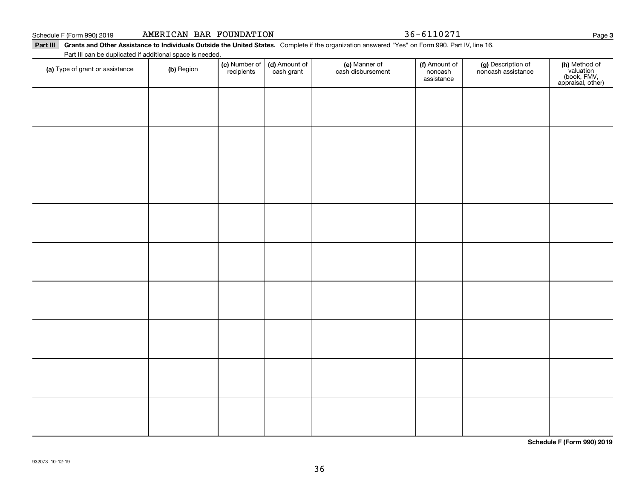**3**

Schedule F (Form 990) 2019 Page AMERICAN BAR FOUNDATION 36-6110271

| Part III Grants and Other Assistance to Individuals Outside the United States. Complete if the organization answered "Yes" on Form 990, Part IV, line 16 | . The contract of the contract of the contract of the contract of the contract of the contract of the contract of the contract of the contract of the contract of the contract of the contract of the contract of the contrac |
|----------------------------------------------------------------------------------------------------------------------------------------------------------|-------------------------------------------------------------------------------------------------------------------------------------------------------------------------------------------------------------------------------|
|                                                                                                                                                          |                                                                                                                                                                                                                               |

#### Part III can be duplicated if additional space is needed.

| (a) Type of grant or assistance | (b) Region | (c) Number of<br>recipients | (d) Amount of<br>cash grant | (e) Manner of<br>cash disbursement | (f) Amount of<br>noncash<br>assistance | (g) Description of<br>noncash assistance | (h) Method of<br>valuation<br>(book, FMV,<br>appraisal, other) |
|---------------------------------|------------|-----------------------------|-----------------------------|------------------------------------|----------------------------------------|------------------------------------------|----------------------------------------------------------------|
|                                 |            |                             |                             |                                    |                                        |                                          |                                                                |
|                                 |            |                             |                             |                                    |                                        |                                          |                                                                |
|                                 |            |                             |                             |                                    |                                        |                                          |                                                                |
|                                 |            |                             |                             |                                    |                                        |                                          |                                                                |
|                                 |            |                             |                             |                                    |                                        |                                          |                                                                |
|                                 |            |                             |                             |                                    |                                        |                                          |                                                                |
|                                 |            |                             |                             |                                    |                                        |                                          |                                                                |
|                                 |            |                             |                             |                                    |                                        |                                          |                                                                |
|                                 |            |                             |                             |                                    |                                        |                                          |                                                                |
|                                 |            |                             |                             |                                    |                                        |                                          |                                                                |
|                                 |            |                             |                             |                                    |                                        |                                          |                                                                |
|                                 |            |                             |                             |                                    |                                        |                                          |                                                                |
|                                 |            |                             |                             |                                    |                                        |                                          |                                                                |
|                                 |            |                             |                             |                                    |                                        |                                          |                                                                |
|                                 |            |                             |                             |                                    |                                        |                                          |                                                                |

**Schedule F (Form 990) 2019**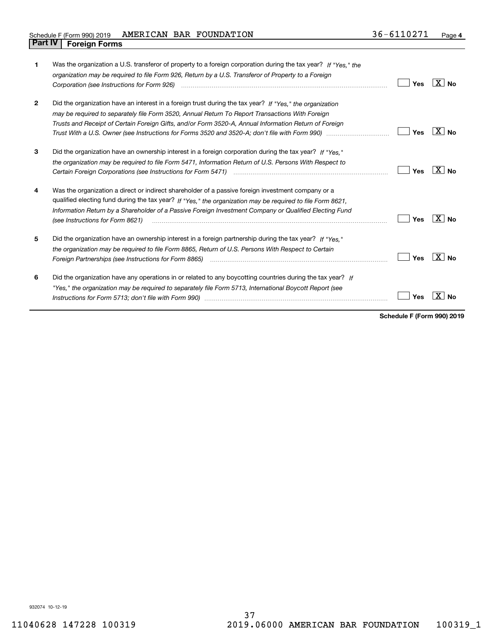| 1            | Was the organization a U.S. transferor of property to a foreign corporation during the tax year? If "Yes." the<br>organization may be required to file Form 926, Return by a U.S. Transferor of Property to a Foreign<br>Corporation (see Instructions for Form 926)                                                                                                                                                                   | Yes | X∣No      |
|--------------|----------------------------------------------------------------------------------------------------------------------------------------------------------------------------------------------------------------------------------------------------------------------------------------------------------------------------------------------------------------------------------------------------------------------------------------|-----|-----------|
| $\mathbf{2}$ | Did the organization have an interest in a foreign trust during the tax year? If "Yes," the organization<br>may be required to separately file Form 3520, Annual Return To Report Transactions With Foreign<br>Trusts and Receipt of Certain Foreign Gifts, and/or Form 3520-A, Annual Information Return of Foreign<br>Trust With a U.S. Owner (see Instructions for Forms 3520 and 3520-A; don't file with Form 990) manu-manu-manu- | Yes | X∣No      |
| 3            | Did the organization have an ownership interest in a foreign corporation during the tax year? If "Yes."<br>the organization may be required to file Form 5471, Information Return of U.S. Persons With Respect to<br>Certain Foreign Corporations (see Instructions for Form 5471) manufactured contain the content of the Corporations (see Instructions for Form 5471)                                                               | Yes | $X _{N0}$ |
| 4            | Was the organization a direct or indirect shareholder of a passive foreign investment company or a<br>qualified electing fund during the tax year? If "Yes," the organization may be required to file Form 8621,<br>Information Return by a Shareholder of a Passive Foreign Investment Company or Qualified Electing Fund<br>(see Instructions for Form 8621)                                                                         | Yes | X<br>Nο   |
| 5            | Did the organization have an ownership interest in a foreign partnership during the tax year? If "Yes."<br>the organization may be required to file Form 8865, Return of U.S. Persons With Respect to Certain                                                                                                                                                                                                                          | Yes | ∣X∣No     |
| 6            | Did the organization have any operations in or related to any boycotting countries during the tax year? If<br>"Yes," the organization may be required to separately file Form 5713, International Boycott Report (see                                                                                                                                                                                                                  | Yes |           |

**Schedule F (Form 990) 2019**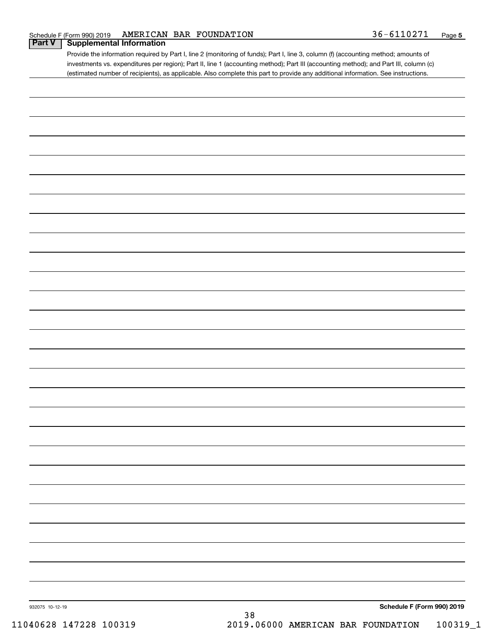# **Part V Supplemental Information**

Provide the information required by Part I, line 2 (monitoring of funds); Part I, line 3, column (f) (accounting method; amounts of investments vs. expenditures per region); Part II, line 1 (accounting method); Part III (accounting method); and Part III, column (c) (estimated number of recipients), as applicable. Also complete this part to provide any additional information. See instructions.

| 932075 10-12-19 |    | Schedule F (Form 990) 2019 |
|-----------------|----|----------------------------|
|                 | 38 |                            |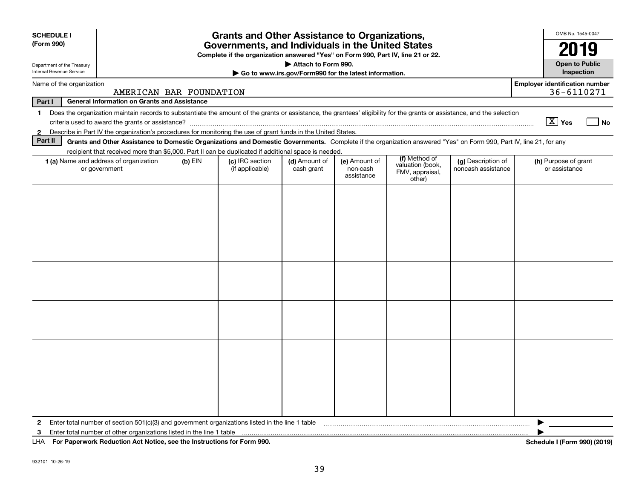| <b>SCHEDULE I</b><br>(Form 990)                                                                                                                                                                         | <b>Grants and Other Assistance to Organizations,</b><br>Governments, and Individuals in the United States<br>Complete if the organization answered "Yes" on Form 990, Part IV, line 21 or 22.                                                                             |           |                                    |                             |                                         |                                                                |                                          |                                                     |  |
|---------------------------------------------------------------------------------------------------------------------------------------------------------------------------------------------------------|---------------------------------------------------------------------------------------------------------------------------------------------------------------------------------------------------------------------------------------------------------------------------|-----------|------------------------------------|-----------------------------|-----------------------------------------|----------------------------------------------------------------|------------------------------------------|-----------------------------------------------------|--|
| Attach to Form 990.<br><b>Open to Public</b><br>Department of the Treasury<br>Internal Revenue Service<br>Go to www.irs.gov/Form990 for the latest information.                                         |                                                                                                                                                                                                                                                                           |           |                                    |                             |                                         |                                                                |                                          |                                                     |  |
| Name of the organization                                                                                                                                                                                | AMERICAN BAR FOUNDATION                                                                                                                                                                                                                                                   |           |                                    |                             |                                         |                                                                |                                          | <b>Employer identification number</b><br>36-6110271 |  |
| Part I                                                                                                                                                                                                  | <b>General Information on Grants and Assistance</b>                                                                                                                                                                                                                       |           |                                    |                             |                                         |                                                                |                                          |                                                     |  |
| Does the organization maintain records to substantiate the amount of the grants or assistance, the grantees' eligibility for the grants or assistance, and the selection<br>1<br>$\boxed{\text{X}}$ Yes |                                                                                                                                                                                                                                                                           |           |                                    |                             |                                         |                                                                |                                          |                                                     |  |
| $\mathbf{2}$<br>Part II                                                                                                                                                                                 | Describe in Part IV the organization's procedures for monitoring the use of grant funds in the United States.                                                                                                                                                             |           |                                    |                             |                                         |                                                                |                                          |                                                     |  |
|                                                                                                                                                                                                         | Grants and Other Assistance to Domestic Organizations and Domestic Governments. Complete if the organization answered "Yes" on Form 990, Part IV, line 21, for any<br>recipient that received more than \$5,000. Part II can be duplicated if additional space is needed. |           |                                    |                             |                                         |                                                                |                                          |                                                     |  |
|                                                                                                                                                                                                         | 1 (a) Name and address of organization<br>or government                                                                                                                                                                                                                   | $(b)$ EIN | (c) IRC section<br>(if applicable) | (d) Amount of<br>cash grant | (e) Amount of<br>non-cash<br>assistance | (f) Method of<br>valuation (book,<br>FMV, appraisal,<br>other) | (g) Description of<br>noncash assistance | (h) Purpose of grant<br>or assistance               |  |
|                                                                                                                                                                                                         |                                                                                                                                                                                                                                                                           |           |                                    |                             |                                         |                                                                |                                          |                                                     |  |
| $\mathbf{2}$                                                                                                                                                                                            | Enter total number of section 501(c)(3) and government organizations listed in the line 1 table                                                                                                                                                                           |           |                                    |                             |                                         |                                                                |                                          |                                                     |  |
| 3                                                                                                                                                                                                       | Enter total number of other organizations listed in the line 1 table                                                                                                                                                                                                      |           |                                    |                             |                                         |                                                                |                                          |                                                     |  |
| LHA                                                                                                                                                                                                     | For Paperwork Reduction Act Notice, see the Instructions for Form 990.                                                                                                                                                                                                    |           |                                    |                             |                                         |                                                                |                                          | Schedule I (Form 990) (2019)                        |  |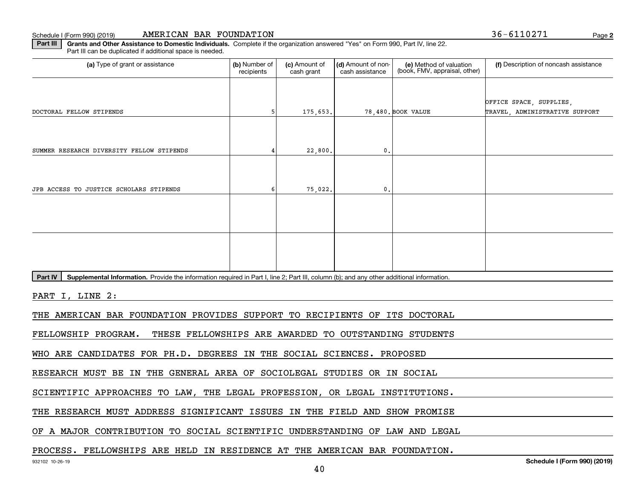**2**

**Part III | Grants and Other Assistance to Domestic Individuals. Complete if the organization answered "Yes" on Form 990, Part IV, line 22.** Part III can be duplicated if additional space is needed.

| (a) Type of grant or assistance                                            | (b) Number of<br>recipients                                                                                                               | (c) Amount of<br>cash grant | (d) Amount of non-<br>cash assistance | (e) Method of valuation<br>(book, FMV, appraisal, other) | (f) Description of noncash assistance                     |  |  |  |  |  |
|----------------------------------------------------------------------------|-------------------------------------------------------------------------------------------------------------------------------------------|-----------------------------|---------------------------------------|----------------------------------------------------------|-----------------------------------------------------------|--|--|--|--|--|
| DOCTORAL FELLOW STIPENDS                                                   |                                                                                                                                           | 175,653.                    |                                       | 78,480. BOOK VALUE                                       | OFFICE SPACE, SUPPLIES,<br>TRAVEL, ADMINISTRATIVE SUPPORT |  |  |  |  |  |
| SUMMER RESEARCH DIVERSITY FELLOW STIPENDS                                  |                                                                                                                                           | 22,800.                     | 0                                     |                                                          |                                                           |  |  |  |  |  |
| JPB ACCESS TO JUSTICE SCHOLARS STIPENDS                                    |                                                                                                                                           | 75,022.                     | $\mathbf{0}$ .                        |                                                          |                                                           |  |  |  |  |  |
|                                                                            |                                                                                                                                           |                             |                                       |                                                          |                                                           |  |  |  |  |  |
|                                                                            |                                                                                                                                           |                             |                                       |                                                          |                                                           |  |  |  |  |  |
| Part IV                                                                    | Supplemental Information. Provide the information required in Part I, line 2; Part III, column (b); and any other additional information. |                             |                                       |                                                          |                                                           |  |  |  |  |  |
| PART I, LINE 2:                                                            |                                                                                                                                           |                             |                                       |                                                          |                                                           |  |  |  |  |  |
| THE AMERICAN BAR FOUNDATION PROVIDES SUPPORT TO RECIPIENTS OF ITS DOCTORAL |                                                                                                                                           |                             |                                       |                                                          |                                                           |  |  |  |  |  |

FELLOWSHIP PROGRAM. THESE FELLOWSHIPS ARE AWARDED TO OUTSTANDING STUDENTS

WHO ARE CANDIDATES FOR PH.D. DEGREES IN THE SOCIAL SCIENCES. PROPOSED

RESEARCH MUST BE IN THE GENERAL AREA OF SOCIOLEGAL STUDIES OR IN SOCIAL

SCIENTIFIC APPROACHES TO LAW, THE LEGAL PROFESSION, OR LEGAL INSTITUTIONS.

THE RESEARCH MUST ADDRESS SIGNIFICANT ISSUES IN THE FIELD AND SHOW PROMISE

OF A MAJOR CONTRIBUTION TO SOCIAL SCIENTIFIC UNDERSTANDING OF LAW AND LEGAL

#### PROCESS. FELLOWSHIPS ARE HELD IN RESIDENCE AT THE AMERICAN BAR FOUNDATION.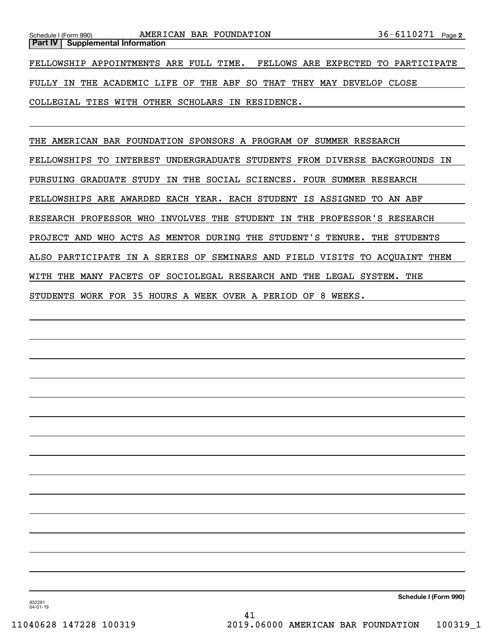COLLEGIAL TIES WITH OTHER SCHOLARS IN RESIDENCE.

THE AMERICAN BAR FOUNDATION SPONSORS A PROGRAM OF SUMMER RESEARCH FELLOWSHIPS TO INTEREST UNDERGRADUATE STUDENTS FROM DIVERSE BACKGROUNDS IN PURSUING GRADUATE STUDY IN THE SOCIAL SCIENCES. FOUR SUMMER RESEARCH FELLOWSHIPS ARE AWARDED EACH YEAR. EACH STUDENT IS ASSIGNED TO AN ABF RESEARCH PROFESSOR WHO INVOLVES THE STUDENT IN THE PROFESSOR'S RESEARCH PROJECT AND WHO ACTS AS MENTOR DURING THE STUDENT'S TENURE. THE STUDENTS ALSO PARTICIPATE IN A SERIES OF SEMINARS AND FIELD VISITS TO ACQUAINT THEM WITH THE MANY FACETS OF SOCIOLEGAL RESEARCH AND THE LEGAL SYSTEM. THE STUDENTS WORK FOR 35 HOURS A WEEK OVER A PERIOD OF 8 WEEKS.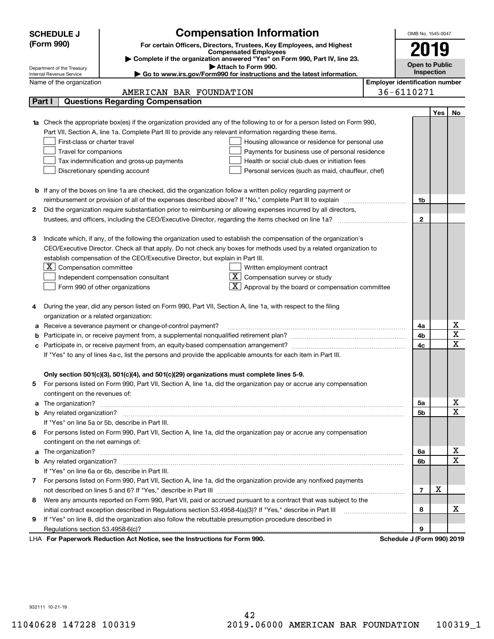| <b>Compensation Information</b><br><b>SCHEDULE J</b>                                                                                                                                                                                      | OMB No. 1545-0047                     |                   |             |
|-------------------------------------------------------------------------------------------------------------------------------------------------------------------------------------------------------------------------------------------|---------------------------------------|-------------------|-------------|
| (Form 990)<br>For certain Officers, Directors, Trustees, Key Employees, and Highest                                                                                                                                                       |                                       |                   |             |
| <b>Compensated Employees</b>                                                                                                                                                                                                              | 2019                                  |                   |             |
| Complete if the organization answered "Yes" on Form 990, Part IV, line 23.                                                                                                                                                                | <b>Open to Public</b>                 |                   |             |
| Attach to Form 990.<br>Department of the Treasury<br>► Go to www.irs.gov/Form990 for instructions and the latest information.<br>Internal Revenue Service                                                                                 |                                       | <b>Inspection</b> |             |
| Name of the organization                                                                                                                                                                                                                  | <b>Employer identification number</b> |                   |             |
| AMERICAN BAR FOUNDATION                                                                                                                                                                                                                   | 36-6110271                            |                   |             |
| <b>Questions Regarding Compensation</b><br>Part I                                                                                                                                                                                         |                                       |                   |             |
|                                                                                                                                                                                                                                           |                                       | Yes               | No          |
| Check the appropriate box(es) if the organization provided any of the following to or for a person listed on Form 990,                                                                                                                    |                                       |                   |             |
| Part VII, Section A, line 1a. Complete Part III to provide any relevant information regarding these items.                                                                                                                                |                                       |                   |             |
| First-class or charter travel<br>Housing allowance or residence for personal use                                                                                                                                                          |                                       |                   |             |
| Travel for companions<br>Payments for business use of personal residence                                                                                                                                                                  |                                       |                   |             |
| Tax indemnification and gross-up payments<br>Health or social club dues or initiation fees                                                                                                                                                |                                       |                   |             |
| Discretionary spending account<br>Personal services (such as maid, chauffeur, chef)                                                                                                                                                       |                                       |                   |             |
|                                                                                                                                                                                                                                           |                                       |                   |             |
| <b>b</b> If any of the boxes on line 1a are checked, did the organization follow a written policy regarding payment or                                                                                                                    |                                       |                   |             |
| reimbursement or provision of all of the expenses described above? If "No," complete Part III to explain                                                                                                                                  | 1b                                    |                   |             |
| Did the organization require substantiation prior to reimbursing or allowing expenses incurred by all directors,<br>2                                                                                                                     |                                       |                   |             |
|                                                                                                                                                                                                                                           | $\mathbf{2}$                          |                   |             |
|                                                                                                                                                                                                                                           |                                       |                   |             |
| Indicate which, if any, of the following the organization used to establish the compensation of the organization's<br>З                                                                                                                   |                                       |                   |             |
| CEO/Executive Director. Check all that apply. Do not check any boxes for methods used by a related organization to                                                                                                                        |                                       |                   |             |
| establish compensation of the CEO/Executive Director, but explain in Part III.                                                                                                                                                            |                                       |                   |             |
| $ \mathbf{X} $ Compensation committee<br>Written employment contract                                                                                                                                                                      |                                       |                   |             |
| $\overline{X}$ Compensation survey or study<br>Independent compensation consultant                                                                                                                                                        |                                       |                   |             |
| $\boxed{\textbf{X}}$ Approval by the board or compensation committee<br>Form 990 of other organizations                                                                                                                                   |                                       |                   |             |
|                                                                                                                                                                                                                                           |                                       |                   |             |
| During the year, did any person listed on Form 990, Part VII, Section A, line 1a, with respect to the filing<br>4                                                                                                                         |                                       |                   |             |
| organization or a related organization:                                                                                                                                                                                                   |                                       |                   |             |
| Receive a severance payment or change-of-control payment?<br>а                                                                                                                                                                            | 4a                                    |                   | х           |
| b                                                                                                                                                                                                                                         | 4b                                    |                   | X           |
| с                                                                                                                                                                                                                                         | 4c                                    |                   | X           |
| If "Yes" to any of lines 4a-c, list the persons and provide the applicable amounts for each item in Part III.                                                                                                                             |                                       |                   |             |
|                                                                                                                                                                                                                                           |                                       |                   |             |
| Only section 501(c)(3), 501(c)(4), and 501(c)(29) organizations must complete lines 5-9.                                                                                                                                                  |                                       |                   |             |
| For persons listed on Form 990, Part VII, Section A, line 1a, did the organization pay or accrue any compensation                                                                                                                         |                                       |                   |             |
| contingent on the revenues of:                                                                                                                                                                                                            |                                       |                   |             |
| The organization? <b>With the contract of the contract of the contract of the contract of the contract of the contract of the contract of the contract of the contract of the contract of the contract of the contract of the co</b><br>a | 5a                                    |                   | X           |
|                                                                                                                                                                                                                                           | 5b                                    |                   | $\mathbf X$ |
| If "Yes" on line 5a or 5b, describe in Part III.                                                                                                                                                                                          |                                       |                   |             |
| 6 For persons listed on Form 990, Part VII, Section A, line 1a, did the organization pay or accrue any compensation                                                                                                                       |                                       |                   |             |
| contingent on the net earnings of:                                                                                                                                                                                                        |                                       |                   |             |
| a                                                                                                                                                                                                                                         | 6a                                    |                   | X           |
|                                                                                                                                                                                                                                           | 6b                                    |                   | $\mathbf X$ |
| If "Yes" on line 6a or 6b, describe in Part III.                                                                                                                                                                                          |                                       |                   |             |
| 7 For persons listed on Form 990, Part VII, Section A, line 1a, did the organization provide any nonfixed payments                                                                                                                        |                                       |                   |             |
|                                                                                                                                                                                                                                           | $\overline{7}$                        | x                 |             |
| Were any amounts reported on Form 990, Part VII, paid or accrued pursuant to a contract that was subject to the<br>8                                                                                                                      |                                       |                   |             |
| initial contract exception described in Regulations section 53.4958-4(a)(3)? If "Yes," describe in Part III                                                                                                                               | 8                                     |                   | х           |
| If "Yes" on line 8, did the organization also follow the rebuttable presumption procedure described in<br>9                                                                                                                               |                                       |                   |             |
|                                                                                                                                                                                                                                           | 9                                     |                   |             |
| LHA For Paperwork Reduction Act Notice, see the Instructions for Form 990.                                                                                                                                                                | Schedule J (Form 990) 2019            |                   |             |

932111 10-21-19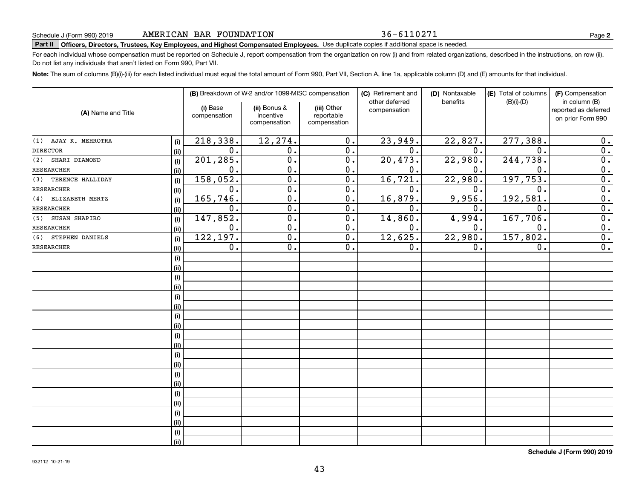#### 36-6110271

**2**

# **Part II Officers, Directors, Trustees, Key Employees, and Highest Compensated Employees.**  Schedule J (Form 990) 2019 Page Use duplicate copies if additional space is needed.

For each individual whose compensation must be reported on Schedule J, report compensation from the organization on row (i) and from related organizations, described in the instructions, on row (ii). Do not list any individuals that aren't listed on Form 990, Part VII.

**Note:**  The sum of columns (B)(i)-(iii) for each listed individual must equal the total amount of Form 990, Part VII, Section A, line 1a, applicable column (D) and (E) amounts for that individual.

| (A) Name and Title     |      |                          | (B) Breakdown of W-2 and/or 1099-MISC compensation |                                           | (C) Retirement and             | (D) Nontaxable | (E) Total of columns | (F) Compensation                                           |
|------------------------|------|--------------------------|----------------------------------------------------|-------------------------------------------|--------------------------------|----------------|----------------------|------------------------------------------------------------|
|                        |      | (i) Base<br>compensation | (ii) Bonus &<br>incentive<br>compensation          | (iii) Other<br>reportable<br>compensation | other deferred<br>compensation | benefits       | $(B)(i)-(D)$         | in column (B)<br>reported as deferred<br>on prior Form 990 |
| (1) AJAY K. MEHROTRA   | (i)  | 218,338.                 | 12,274.                                            | 0.                                        | 23,949.                        | 22,827.        | 277,388.             | 0.                                                         |
| <b>DIRECTOR</b>        | (ii) | 0.                       | 0.                                                 | $\overline{0}$ .                          | $\overline{0}$ .               | 0.             | $\mathbf 0$ .        | $\overline{0}$ .                                           |
| SHARI DIAMOND<br>(2)   | (i)  | 201, 285.                | $\overline{0}$ .                                   | $\overline{0}$ .                          | 20, 473.                       | 22,980.        | 244,738.             | $\overline{0}$ .                                           |
| <b>RESEARCHER</b>      | (ii) | 0.                       | $\overline{0}$ .                                   | $\overline{0}$ .                          | 0.                             | 0.             | 0.                   | $\overline{0}$ .                                           |
| (3) TERENCE HALLIDAY   | (i)  | 158,052.                 | $\overline{0}$ .                                   | 0.                                        | 16,721.                        | 22,980.        | 197, 753.            | $\overline{0}$ .                                           |
| <b>RESEARCHER</b>      | (ii) | 0.                       | $\overline{0}$ .                                   | 0.                                        | 0.                             | 0.             | $\mathbf 0$ .        | $\overline{0}$ .                                           |
| (4) ELIZABETH MERTZ    | (i)  | 165,746.                 | 0.                                                 | 0.                                        | 16,879.                        | 9,956.         | 192,581.             | $\overline{0}$ .                                           |
| <b>RESEARCHER</b>      | (ii) | 0.                       | 0.                                                 | 0.                                        | 0.                             | 0.             | 0.                   | $\overline{0}$ .                                           |
| SUSAN SHAPIRO<br>(5)   | (i)  | 147,852.                 | $\overline{0}$ .                                   | $\overline{0}$ .                          | 14,860.                        | 4,994.         | 167,706.             | $\overline{0}$ .                                           |
| <b>RESEARCHER</b>      | (ii) | $\overline{0}$ .         | $\overline{0}$ .                                   | $\overline{0}$ .                          | 0.                             | 0.             | $\overline{0}$ .     | $\overline{0}$ .                                           |
| STEPHEN DANIELS<br>(6) | (i)  | 122, 197.                | $\overline{0}$ .                                   | 0.                                        | 12,625.                        | 22,980.        | $157,802$ .          | 0.                                                         |
| <b>RESEARCHER</b>      | (ii) | 0.                       | $\overline{0}$ .                                   | 0.                                        | 0.                             | 0.             | 0.                   | $\overline{0}$ .                                           |
|                        | (i)  |                          |                                                    |                                           |                                |                |                      |                                                            |
|                        | (ii) |                          |                                                    |                                           |                                |                |                      |                                                            |
|                        | (i)  |                          |                                                    |                                           |                                |                |                      |                                                            |
|                        | (ii) |                          |                                                    |                                           |                                |                |                      |                                                            |
|                        | (i)  |                          |                                                    |                                           |                                |                |                      |                                                            |
|                        | (ii) |                          |                                                    |                                           |                                |                |                      |                                                            |
|                        | (i)  |                          |                                                    |                                           |                                |                |                      |                                                            |
|                        | (ii) |                          |                                                    |                                           |                                |                |                      |                                                            |
|                        | (i)  |                          |                                                    |                                           |                                |                |                      |                                                            |
|                        | (ii) |                          |                                                    |                                           |                                |                |                      |                                                            |
|                        | (i)  |                          |                                                    |                                           |                                |                |                      |                                                            |
|                        | (ii) |                          |                                                    |                                           |                                |                |                      |                                                            |
|                        | (i)  |                          |                                                    |                                           |                                |                |                      |                                                            |
|                        | (ii) |                          |                                                    |                                           |                                |                |                      |                                                            |
|                        | (i)  |                          |                                                    |                                           |                                |                |                      |                                                            |
|                        | (ii) |                          |                                                    |                                           |                                |                |                      |                                                            |
|                        | (i)  |                          |                                                    |                                           |                                |                |                      |                                                            |
|                        | (ii) |                          |                                                    |                                           |                                |                |                      |                                                            |
|                        | (i)  |                          |                                                    |                                           |                                |                |                      |                                                            |
|                        | (ii) |                          |                                                    |                                           |                                |                |                      |                                                            |

**Schedule J (Form 990) 2019**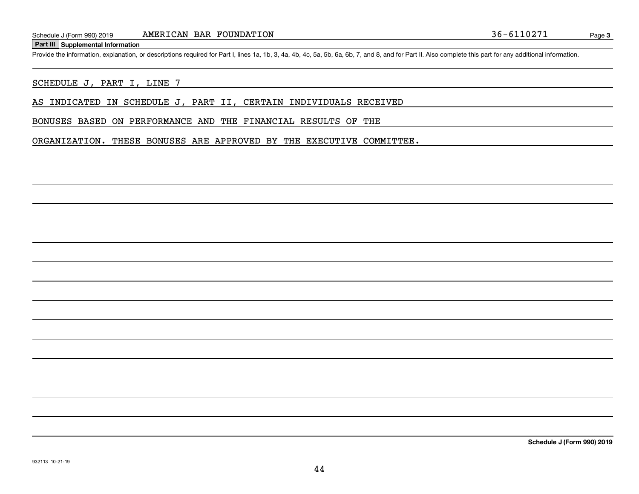#### **Part III Supplemental Information**

Schedule J (Form 990) 2019 **AMERICAN BAR FOUNDATION** 36 - 6110271<br>**Part III** Supplemental Information<br>Provide the information, explanation, or descriptions required for Part I, lines 1a, 1b, 3, 4a, 4b, 4c, 5a, 5b, 6a, 6b,

#### SCHEDULE J, PART I, LINE 7

AS INDICATED IN SCHEDULE J, PART II, CERTAIN INDIVIDUALS RECEIVED

#### BONUSES BASED ON PERFORMANCE AND THE FINANCIAL RESULTS OF THE

ORGANIZATION. THESE BONUSES ARE APPROVED BY THE EXECUTIVE COMMITTEE.

**Schedule J (Form 990) 2019**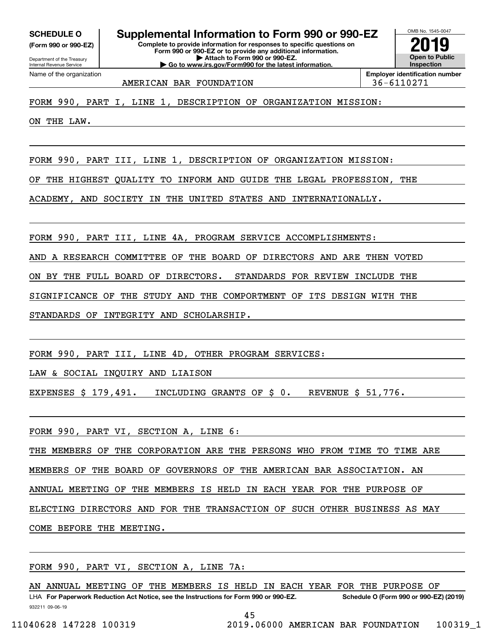**(Form 990 or 990-EZ)**

Department of the Treasury Internal Revenue Service Name of the organization

**Complete to provide information for responses to specific questions on SCHEDULE O Supplemental Information to Form 990 or 990-EZ**

**Form 990 or 990-EZ or to provide any additional information. | Attach to Form 990 or 990-EZ. | Go to www.irs.gov/Form990 for the latest information.**



AMERICAN BAR FOUNDATION **1990 120 136-6110271** 

FORM 990, PART I, LINE 1, DESCRIPTION OF ORGANIZATION MISSION:

ON THE LAW.

FORM 990, PART III, LINE 1, DESCRIPTION OF ORGANIZATION MISSION:

OF THE HIGHEST QUALITY TO INFORM AND GUIDE THE LEGAL PROFESSION, THE

ACADEMY, AND SOCIETY IN THE UNITED STATES AND INTERNATIONALLY.

FORM 990, PART III, LINE 4A, PROGRAM SERVICE ACCOMPLISHMENTS:

AND A RESEARCH COMMITTEE OF THE BOARD OF DIRECTORS AND ARE THEN VOTED

ON BY THE FULL BOARD OF DIRECTORS. STANDARDS FOR REVIEW INCLUDE THE

SIGNIFICANCE OF THE STUDY AND THE COMPORTMENT OF ITS DESIGN WITH THE

STANDARDS OF INTEGRITY AND SCHOLARSHIP.

FORM 990, PART III, LINE 4D, OTHER PROGRAM SERVICES:

LAW & SOCIAL INQUIRY AND LIAISON

EXPENSES \$ 179,491. INCLUDING GRANTS OF \$ 0. REVENUE \$ 51,776.

FORM 990, PART VI, SECTION A, LINE 6:

THE MEMBERS OF THE CORPORATION ARE THE PERSONS WHO FROM TIME TO TIME ARE MEMBERS OF THE BOARD OF GOVERNORS OF THE AMERICAN BAR ASSOCIATION. AN ANNUAL MEETING OF THE MEMBERS IS HELD IN EACH YEAR FOR THE PURPOSE OF ELECTING DIRECTORS AND FOR THE TRANSACTION OF SUCH OTHER BUSINESS AS MAY COME BEFORE THE MEETING.

FORM 990, PART VI, SECTION A, LINE 7A:

932211 09-06-19 LHA For Paperwork Reduction Act Notice, see the Instructions for Form 990 or 990-EZ. Schedule O (Form 990 or 990-EZ) (2019) AN ANNUAL MEETING OF THE MEMBERS IS HELD IN EACH YEAR FOR THE PURPOSE OF

45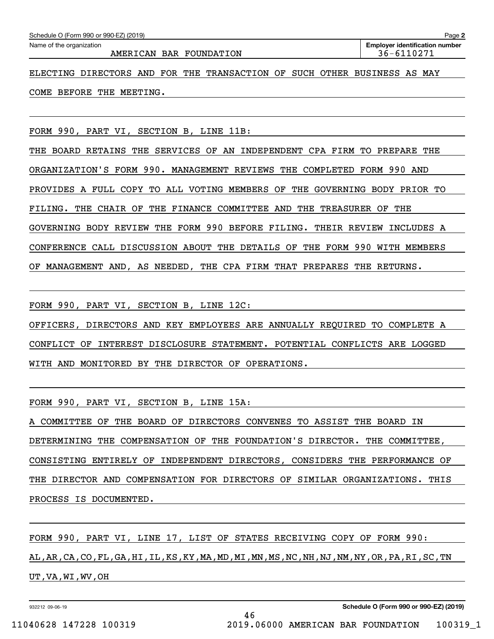| Schedule O (Form 990 or 990-EZ) (2019)                                   | Page 2                                |
|--------------------------------------------------------------------------|---------------------------------------|
| Name of the organization                                                 | <b>Employer identification number</b> |
| AMERICAN BAR FOUNDATION                                                  | 36-6110271                            |
|                                                                          |                                       |
| ELECTING DIRECTORS AND FOR THE TRANSACTION OF SUCH OTHER BUSINESS AS MAY |                                       |
|                                                                          |                                       |

## COME BEFORE THE MEETING.

FORM 990, PART VI, SECTION B, LINE 11B:

THE BOARD RETAINS THE SERVICES OF AN INDEPENDENT CPA FIRM TO PREPARE THE ORGANIZATION'S FORM 990. MANAGEMENT REVIEWS THE COMPLETED FORM 990 AND PROVIDES A FULL COPY TO ALL VOTING MEMBERS OF THE GOVERNING BODY PRIOR TO FILING. THE CHAIR OF THE FINANCE COMMITTEE AND THE TREASURER OF THE GOVERNING BODY REVIEW THE FORM 990 BEFORE FILING. THEIR REVIEW INCLUDES A CONFERENCE CALL DISCUSSION ABOUT THE DETAILS OF THE FORM 990 WITH MEMBERS OF MANAGEMENT AND, AS NEEDED, THE CPA FIRM THAT PREPARES THE RETURNS.

FORM 990, PART VI, SECTION B, LINE 12C:

OFFICERS, DIRECTORS AND KEY EMPLOYEES ARE ANNUALLY REQUIRED TO COMPLETE A CONFLICT OF INTEREST DISCLOSURE STATEMENT. POTENTIAL CONFLICTS ARE LOGGED WITH AND MONITORED BY THE DIRECTOR OF OPERATIONS.

FORM 990, PART VI, SECTION B, LINE 15A:

A COMMITTEE OF THE BOARD OF DIRECTORS CONVENES TO ASSIST THE BOARD IN DETERMINING THE COMPENSATION OF THE FOUNDATION'S DIRECTOR. THE COMMITTEE, CONSISTING ENTIRELY OF INDEPENDENT DIRECTORS, CONSIDERS THE PERFORMANCE OF THE DIRECTOR AND COMPENSATION FOR DIRECTORS OF SIMILAR ORGANIZATIONS. THIS PROCESS IS DOCUMENTED.

FORM 990, PART VI, LINE 17, LIST OF STATES RECEIVING COPY OF FORM 990: AL,AR,CA,CO,FL,GA,HI,IL,KS,KY,MA,MD,MI,MN,MS,NC,NH,NJ,NM,NY,OR,PA,RI,SC,TN UT,VA,WI,WV,OH

932212 09-06-19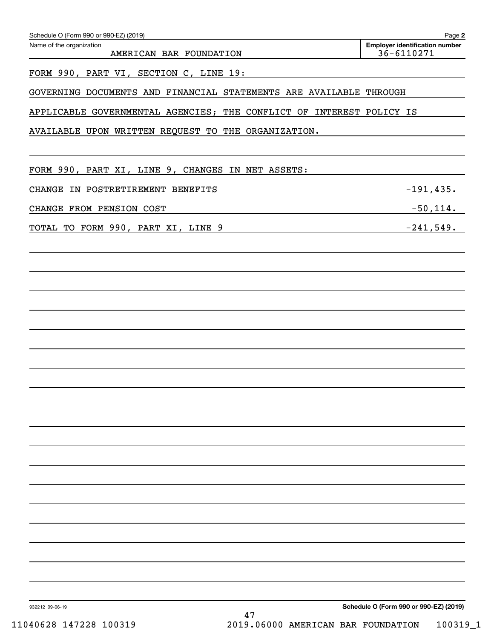| Name of the organization<br>AMERICAN BAR FOUNDATION                  | <b>Employer identification number</b><br>36-6110271 |
|----------------------------------------------------------------------|-----------------------------------------------------|
|                                                                      |                                                     |
| FORM 990, PART VI, SECTION C, LINE 19:                               |                                                     |
| GOVERNING DOCUMENTS AND FINANCIAL STATEMENTS ARE AVAILABLE THROUGH   |                                                     |
| APPLICABLE GOVERNMENTAL AGENCIES; THE CONFLICT OF INTEREST POLICY IS |                                                     |
| AVAILABLE UPON WRITTEN REQUEST TO THE ORGANIZATION.                  |                                                     |
| FORM 990, PART XI, LINE 9, CHANGES IN NET ASSETS:                    |                                                     |
| CHANGE IN POSTRETIREMENT BENEFITS                                    | $-191,435$ .                                        |
| CHANGE FROM PENSION COST                                             | $-50, 114.$                                         |
| TOTAL TO FORM 990, PART XI, LINE 9                                   | $-241,549.$                                         |
|                                                                      |                                                     |
|                                                                      |                                                     |
|                                                                      |                                                     |
|                                                                      |                                                     |
|                                                                      |                                                     |
|                                                                      |                                                     |
|                                                                      |                                                     |
|                                                                      |                                                     |
|                                                                      |                                                     |
|                                                                      |                                                     |
|                                                                      |                                                     |
|                                                                      |                                                     |
|                                                                      |                                                     |
|                                                                      |                                                     |
|                                                                      |                                                     |
|                                                                      |                                                     |
|                                                                      |                                                     |
|                                                                      |                                                     |
|                                                                      |                                                     |
|                                                                      | Schedule O (Form 990 or 990-EZ) (2019)              |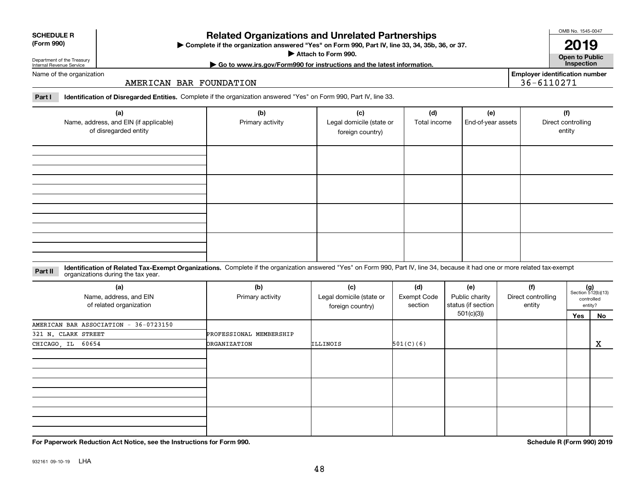| 932161 09-10-19 | LHA |
|-----------------|-----|
|                 |     |

# **Related Organizations and Unrelated Partnerships**

**Complete if the organization answered "Yes" on Form 990, Part IV, line 33, 34, 35b, 36, or 37.** |

**Attach to Form 990.**  |

**2019**

**Open to Public | Go to www.irs.gov/Form990 for instructions and the latest information. Inspection Employer identification number**

36-6110271

**Part I Identification of Disregarded Entities.**  Complete if the organization answered "Yes" on Form 990, Part IV, line 33.

AMERICAN BAR FOUNDATION

| (a)<br>Name, address, and EIN (if applicable)<br>of disregarded entity | (b)<br>Primary activity | (c)<br>Legal domicile (state or<br>foreign country) | (d)<br>Total income | (e)<br>End-of-year assets | (f)<br>Direct controlling<br>entity |
|------------------------------------------------------------------------|-------------------------|-----------------------------------------------------|---------------------|---------------------------|-------------------------------------|
|                                                                        |                         |                                                     |                     |                           |                                     |
|                                                                        |                         |                                                     |                     |                           |                                     |
|                                                                        |                         |                                                     |                     |                           |                                     |
|                                                                        |                         |                                                     |                     |                           |                                     |

**Identification of Related Tax-Exempt Organizations.** Complete if the organization answered "Yes" on Form 990, Part IV, line 34, because it had one or more related tax-exempt **Part II** organizations during the tax year.

| (a)<br>Name, address, and EIN<br>of related organization | (b)<br>Primary activity | (c)<br>Legal domicile (state or<br>foreign country) | (d)<br>Exempt Code<br>section | (e)<br>Public charity<br>status (if section | (f)<br>Direct controlling<br>entity | $(g)$<br>Section 512(b)(13) | controlled<br>entity? |
|----------------------------------------------------------|-------------------------|-----------------------------------------------------|-------------------------------|---------------------------------------------|-------------------------------------|-----------------------------|-----------------------|
|                                                          |                         |                                                     |                               | 501(c)(3))                                  |                                     | Yes                         | No                    |
| AMERICAN BAR ASSOCIATION - 36-0723150                    |                         |                                                     |                               |                                             |                                     |                             |                       |
| 321 N. CLARK STREET                                      | PROFESSIONAL MEMBERSHIP |                                                     |                               |                                             |                                     |                             |                       |
| CHICAGO, IL 60654                                        | <b>ORGANIZATION</b>     | ILLINOIS                                            | 501(C)(6)                     |                                             |                                     |                             | х                     |
|                                                          |                         |                                                     |                               |                                             |                                     |                             |                       |
|                                                          |                         |                                                     |                               |                                             |                                     |                             |                       |
|                                                          |                         |                                                     |                               |                                             |                                     |                             |                       |

**For Paperwork Reduction Act Notice, see the Instructions for Form 990. Schedule R (Form 990) 2019**

| <b>SCHEDULE R</b> |  |
|-------------------|--|
| (Form 990)        |  |

| Department of the Treasury<br>Internal Revenue Service |  |
|--------------------------------------------------------|--|
| Name of the organization                               |  |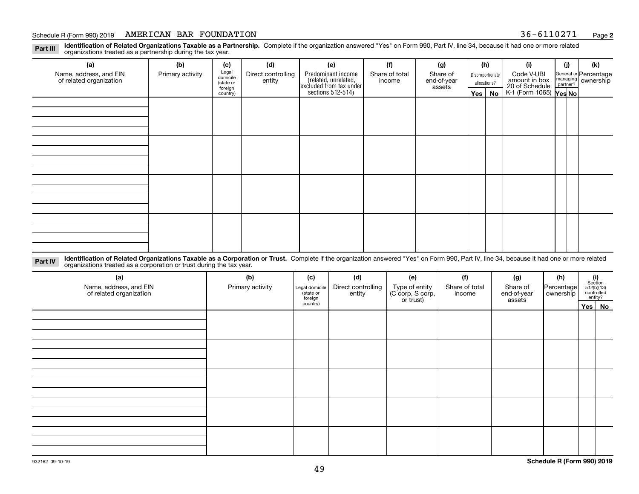**Identification of Related Organizations Taxable as a Partnership.** Complete if the organization answered "Yes" on Form 990, Part IV, line 34, because it had one or more related **Part III** organizations treated as a partnership during the tax year.

| (a)                                               | (b)              | (c)                  | (d)                          | (e)                                                                  | (f) | (g)                      | (h)                     |          | (i)                                                       | (j)        | (k) |                                                           |  |  |  |  |  |  |
|---------------------------------------------------|------------------|----------------------|------------------------------|----------------------------------------------------------------------|-----|--------------------------|-------------------------|----------|-----------------------------------------------------------|------------|-----|-----------------------------------------------------------|--|--|--|--|--|--|
| Name, address, and EIN<br>of related organization | Primary activity | Legal<br>domicile    | Direct controlling<br>entity | Predominant income                                                   |     | Share of total<br>income | Share of<br>end-of-year |          | Disproportionate                                          | Code V-UBI |     | General or Percentage<br>managing<br>partner?<br>partner? |  |  |  |  |  |  |
|                                                   |                  | (state or<br>foreign |                              | (related, unrelated,<br>excluded from tax under<br>sections 512-514) |     | assets                   | allocations?            |          |                                                           |            |     |                                                           |  |  |  |  |  |  |
|                                                   |                  | country)             |                              |                                                                      |     |                          |                         | Yes   No | amount in box<br>20 of Schedule<br>K-1 (Form 1065) Yes No |            |     |                                                           |  |  |  |  |  |  |
|                                                   |                  |                      |                              |                                                                      |     |                          |                         |          |                                                           |            |     |                                                           |  |  |  |  |  |  |
|                                                   |                  |                      |                              |                                                                      |     |                          |                         |          |                                                           |            |     |                                                           |  |  |  |  |  |  |
|                                                   |                  |                      |                              |                                                                      |     |                          |                         |          |                                                           |            |     |                                                           |  |  |  |  |  |  |
|                                                   |                  |                      |                              |                                                                      |     |                          |                         |          |                                                           |            |     |                                                           |  |  |  |  |  |  |
|                                                   |                  |                      |                              |                                                                      |     |                          |                         |          |                                                           |            |     |                                                           |  |  |  |  |  |  |
|                                                   |                  |                      |                              |                                                                      |     |                          |                         |          |                                                           |            |     |                                                           |  |  |  |  |  |  |
|                                                   |                  |                      |                              |                                                                      |     |                          |                         |          |                                                           |            |     |                                                           |  |  |  |  |  |  |
|                                                   |                  |                      |                              |                                                                      |     |                          |                         |          |                                                           |            |     |                                                           |  |  |  |  |  |  |
|                                                   |                  |                      |                              |                                                                      |     |                          |                         |          |                                                           |            |     |                                                           |  |  |  |  |  |  |
|                                                   |                  |                      |                              |                                                                      |     |                          |                         |          |                                                           |            |     |                                                           |  |  |  |  |  |  |
|                                                   |                  |                      |                              |                                                                      |     |                          |                         |          |                                                           |            |     |                                                           |  |  |  |  |  |  |
|                                                   |                  |                      |                              |                                                                      |     |                          |                         |          |                                                           |            |     |                                                           |  |  |  |  |  |  |
|                                                   |                  |                      |                              |                                                                      |     |                          |                         |          |                                                           |            |     |                                                           |  |  |  |  |  |  |
|                                                   |                  |                      |                              |                                                                      |     |                          |                         |          |                                                           |            |     |                                                           |  |  |  |  |  |  |
|                                                   |                  |                      |                              |                                                                      |     |                          |                         |          |                                                           |            |     |                                                           |  |  |  |  |  |  |
|                                                   |                  |                      |                              |                                                                      |     |                          |                         |          |                                                           |            |     |                                                           |  |  |  |  |  |  |
|                                                   |                  |                      |                              |                                                                      |     |                          |                         |          |                                                           |            |     |                                                           |  |  |  |  |  |  |

**Identification of Related Organizations Taxable as a Corporation or Trust.** Complete if the organization answered "Yes" on Form 990, Part IV, line 34, because it had one or more related **Part IV** organizations treated as a corporation or trust during the tax year.

| (a)<br>Name, address, and EIN<br>of related organization | (b)<br>Primary activity |          | (d)<br>(f)<br>(c)<br>(e)<br>Direct controlling<br>Type of entity<br>(C corp, S corp,<br>Share of total<br>Legal domicile<br>(state or<br>entity<br>income<br>foreign<br>or trust) | (g)<br>Share of<br>end-of-year<br>assets | (h)<br>Percentage<br>ownership | $\begin{array}{c} \textbf{(i)}\\ \text{Section}\\ 512 \text{(b)} \text{(13)}\\ \text{controlled} \\ \text{entity?} \end{array}$ |        |
|----------------------------------------------------------|-------------------------|----------|-----------------------------------------------------------------------------------------------------------------------------------------------------------------------------------|------------------------------------------|--------------------------------|---------------------------------------------------------------------------------------------------------------------------------|--------|
|                                                          |                         | country) |                                                                                                                                                                                   |                                          |                                |                                                                                                                                 | Yes No |
|                                                          |                         |          |                                                                                                                                                                                   |                                          |                                |                                                                                                                                 |        |
|                                                          |                         |          |                                                                                                                                                                                   |                                          |                                |                                                                                                                                 |        |
|                                                          |                         |          |                                                                                                                                                                                   |                                          |                                |                                                                                                                                 |        |
|                                                          |                         |          |                                                                                                                                                                                   |                                          |                                |                                                                                                                                 |        |
|                                                          |                         |          |                                                                                                                                                                                   |                                          |                                |                                                                                                                                 |        |
|                                                          |                         |          |                                                                                                                                                                                   |                                          |                                |                                                                                                                                 |        |
|                                                          |                         |          |                                                                                                                                                                                   |                                          |                                |                                                                                                                                 |        |
|                                                          |                         |          |                                                                                                                                                                                   |                                          |                                |                                                                                                                                 |        |
|                                                          |                         |          |                                                                                                                                                                                   |                                          |                                |                                                                                                                                 |        |
|                                                          |                         |          |                                                                                                                                                                                   |                                          |                                |                                                                                                                                 |        |
|                                                          |                         |          |                                                                                                                                                                                   |                                          |                                |                                                                                                                                 |        |
|                                                          |                         |          |                                                                                                                                                                                   |                                          |                                |                                                                                                                                 |        |
|                                                          |                         |          |                                                                                                                                                                                   |                                          |                                |                                                                                                                                 |        |
|                                                          |                         |          |                                                                                                                                                                                   |                                          |                                |                                                                                                                                 |        |
|                                                          |                         |          |                                                                                                                                                                                   |                                          |                                |                                                                                                                                 |        |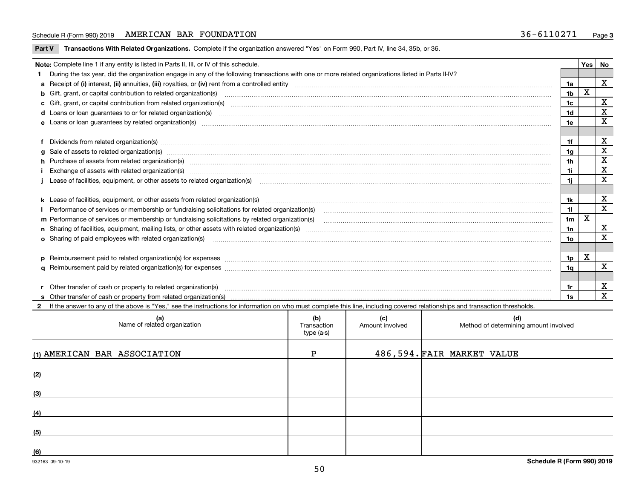**Part V** T**ransactions With Related Organizations.** Complete if the organization answered "Yes" on Form 990, Part IV, line 34, 35b, or 36.

| Note: Complete line 1 if any entity is listed in Parts II, III, or IV of this schedule.                                                                                                                                        |                | Yes | No          |
|--------------------------------------------------------------------------------------------------------------------------------------------------------------------------------------------------------------------------------|----------------|-----|-------------|
| During the tax year, did the organization engage in any of the following transactions with one or more related organizations listed in Parts II-IV?                                                                            |                |     |             |
|                                                                                                                                                                                                                                | 1a             |     | X           |
| b Gift, grant, or capital contribution to related organization(s) mature and contained and contribution to related organization(s) matures are contained and contribution to related organization(s) matures are contained and | 1b             | х   |             |
| c Gift, grant, or capital contribution from related organization(s) www.communities.com/www.communities.com/www.communities.com/www.communities.com/www.communities.com/www.communities.com/www.communities.com/www.communitie | 1c             |     | $\mathbf X$ |
|                                                                                                                                                                                                                                | 1 <sub>d</sub> |     | $\mathbf X$ |
|                                                                                                                                                                                                                                | 1e             |     | X           |
| Dividends from related organization(s) www.communically.communically.communically and all properties are constrained as a constrained organization of the constraint of the construction of the constraint of the constraint o | 1f             |     | х           |
| g Sale of assets to related organization(s) www.communicallycommunicallycommunicallycommunicallycommunicallycommunicallycommunicallycommunicallycommunicallycommunicallycommunicallycommunicallycommunicallycommunicallycommun | 1a             |     | $\mathbf X$ |
| h Purchase of assets from related organization(s) manufactured and content to content and content and content and content and content and content and content and content and content and content and content and content and  | 1 <sub>h</sub> |     | $\mathbf X$ |
| Exchange of assets with related organization(s) www.communically.communically contract and a set with related organization(s)                                                                                                  | 1i             |     | $\mathbf X$ |
| Lease of facilities, equipment, or other assets to related organization(s) manufactured content to the set of facilities, equipment, or other assets to related organization(s) manufactured content to the set of the set of  | 1i.            |     | X           |
|                                                                                                                                                                                                                                |                |     |             |
| k Lease of facilities, equipment, or other assets from related organization(s) manufaction content and content to the assets from related organization(s) manufaction content and content and content and content and content  | 1k             |     | X           |
| Performance of services or membership or fundraising solicitations for related organization(s) manufaction manufactured content and the services or membership or fundraising solicitations for related organization(s) manufa | 11             |     | X           |
| m Performance of services or membership or fundraising solicitations by related organization(s)                                                                                                                                | 1 <sub>m</sub> | х   |             |
|                                                                                                                                                                                                                                | 1n             |     | x           |
| <b>o</b> Sharing of paid employees with related organization(s)                                                                                                                                                                | 10             |     | X           |
|                                                                                                                                                                                                                                |                |     |             |
| p Reimbursement paid to related organization(s) for expenses [11111] [12] reasonal content of the separation (s) for expenses [11111] [12] reasonal content in the separation (s) for expenses [1111] [12] reasonal content in | 1p.            | х   |             |
|                                                                                                                                                                                                                                | 1q             |     | X           |
|                                                                                                                                                                                                                                |                |     |             |
| r Other transfer of cash or property to related organization(s)                                                                                                                                                                | 1r             |     | X           |
| r Other transfer of cash or property to related organization(s) www.communities.communities content transfer of cash or property from related organization(s) www.communities.communities content transfer of cash or property | 1s             |     | $\mathbf X$ |
| 2 If the answer to any of the above is "Yes." see the instructions for information on who must complete this line, including covered relationships and transaction thresholds.                                                 |                |     |             |

| (a)<br>Name of related organization | (b)<br>Transaction<br>type (a-s) | (c)<br>Amount involved | (d)<br>Method of determining amount involved |
|-------------------------------------|----------------------------------|------------------------|----------------------------------------------|
| (1) AMERICAN BAR ASSOCIATION        | P                                |                        | 486,594.FAIR MARKET VALUE                    |
| (2)                                 |                                  |                        |                                              |
| (3)                                 |                                  |                        |                                              |
| (4)                                 |                                  |                        |                                              |
| (5)                                 |                                  |                        |                                              |
| (6)                                 |                                  |                        |                                              |

 $\overline{\phantom{a}}$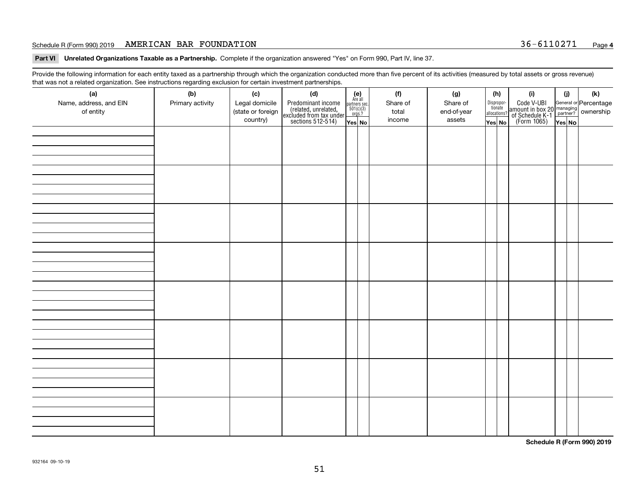**Part VI Unrelated Organizations Taxable as a Partnership. Complete if the organization answered "Yes" on Form 990, Part IV, line 37.** 

Provide the following information for each entity taxed as a partnership through which the organization conducted more than five percent of its activities (measured by total assets or gross revenue) that was not a related organization. See instructions regarding exclusion for certain investment partnerships.

| - - - - -<br>(a)<br>Name, address, and EIN<br>of entity | ----- <del>-</del> -------<br>(b)<br>Primary activity | (c)<br>Legal domicile<br>(state or foreign<br>country) | (d)<br>Predominant income<br>(related, unrelated,<br>excluded from tax under<br>sections 512-514) | (e)<br>Are all<br>partners sec.<br>$501(c)(3)$<br>orgs.?<br>Yes No | (f)<br>Share of<br>total<br>income | (g)<br>Share of<br>end-of-year<br>assets | (h)<br>Dispropor-<br>tionate<br>allocations?<br>Yes No | (i)<br>Code V-UBI<br>amount in box 20 managing<br>of Schedule K-1<br>(Form 1065)<br>$\overline{Yes}$ No | (i)<br>Yes No | (k) |
|---------------------------------------------------------|-------------------------------------------------------|--------------------------------------------------------|---------------------------------------------------------------------------------------------------|--------------------------------------------------------------------|------------------------------------|------------------------------------------|--------------------------------------------------------|---------------------------------------------------------------------------------------------------------|---------------|-----|
|                                                         |                                                       |                                                        |                                                                                                   |                                                                    |                                    |                                          |                                                        |                                                                                                         |               |     |
|                                                         |                                                       |                                                        |                                                                                                   |                                                                    |                                    |                                          |                                                        |                                                                                                         |               |     |
|                                                         |                                                       |                                                        |                                                                                                   |                                                                    |                                    |                                          |                                                        |                                                                                                         |               |     |
|                                                         |                                                       |                                                        |                                                                                                   |                                                                    |                                    |                                          |                                                        |                                                                                                         |               |     |
|                                                         |                                                       |                                                        |                                                                                                   |                                                                    |                                    |                                          |                                                        |                                                                                                         |               |     |
|                                                         |                                                       |                                                        |                                                                                                   |                                                                    |                                    |                                          |                                                        |                                                                                                         |               |     |
|                                                         |                                                       |                                                        |                                                                                                   |                                                                    |                                    |                                          |                                                        |                                                                                                         |               |     |
|                                                         |                                                       |                                                        |                                                                                                   |                                                                    |                                    |                                          |                                                        |                                                                                                         |               |     |

**Schedule R (Form 990) 2019**